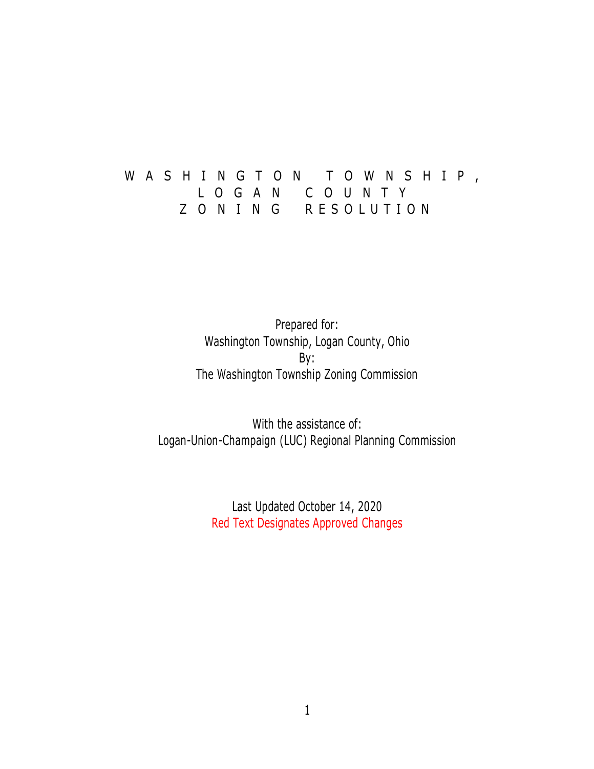# W A S H I N G T O N T O W N S H I P , L O G A N C O U N T Y Z O N I N G RESOLUTION

Prepared for: Washington Township, Logan County, Ohio By: The Washington Township Zoning Commission

With the assistance of: Logan-Union-Champaign (LUC) Regional Planning Commission

> Last Updated October 14, 2020 Red Text Designates Approved Changes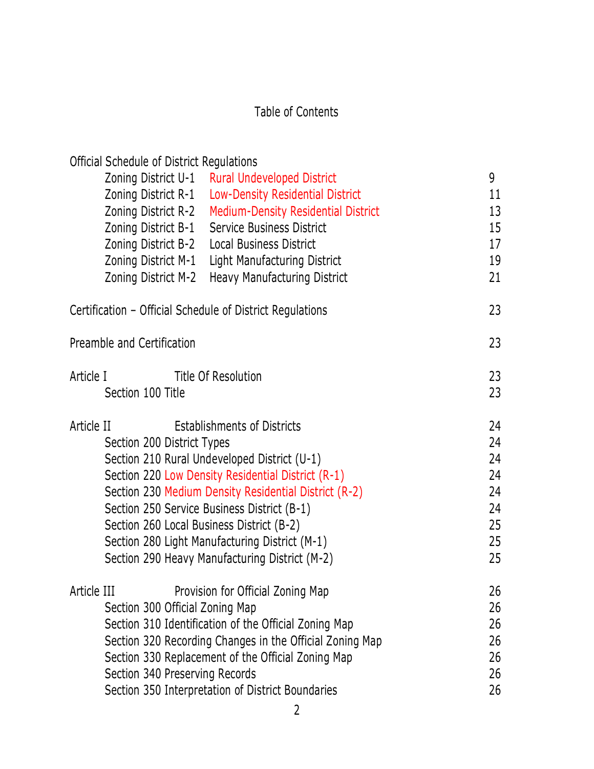# Table of Contents

| Official Schedule of District Regulations                                                        |          |
|--------------------------------------------------------------------------------------------------|----------|
| Zoning District U-1<br><b>Rural Undeveloped District</b>                                         | 9        |
| Zoning District R-1<br>Low-Density Residential District                                          | 11       |
| Zoning District R-2<br><b>Medium-Density Residential District</b>                                | 13       |
| Zoning District B-1<br>Service Business District                                                 | 15       |
| Zoning District B-2<br>Local Business District                                                   | 17       |
| Zoning District M-1<br>Light Manufacturing District                                              | 19       |
| Zoning District M-2<br><b>Heavy Manufacturing District</b>                                       | 21       |
| Certification - Official Schedule of District Regulations                                        | 23       |
| Preamble and Certification                                                                       | 23       |
| Title Of Resolution<br>Article I                                                                 | 23       |
| Section 100 Title                                                                                | 23       |
| <b>Establishments of Districts</b><br>Article II                                                 | 24       |
| Section 200 District Types                                                                       | 24       |
| Section 210 Rural Undeveloped District (U-1)                                                     | 24       |
| Section 220 Low Density Residential District (R-1)                                               | 24       |
| Section 230 Medium Density Residential District (R-2)                                            | 24       |
| Section 250 Service Business District (B-1)                                                      | 24       |
| Section 260 Local Business District (B-2)                                                        | 25       |
| Section 280 Light Manufacturing District (M-1)<br>Section 290 Heavy Manufacturing District (M-2) | 25<br>25 |
|                                                                                                  |          |
| Provision for Official Zoning Map<br>Article III                                                 | 26       |
| Section 300 Official Zoning Map                                                                  | 26       |
| Section 310 Identification of the Official Zoning Map                                            | 26       |
| Section 320 Recording Changes in the Official Zoning Map                                         | 26       |
| Section 330 Replacement of the Official Zoning Map<br>Section 340 Preserving Records             | 26<br>26 |
| Section 350 Interpretation of District Boundaries                                                | 26       |
|                                                                                                  |          |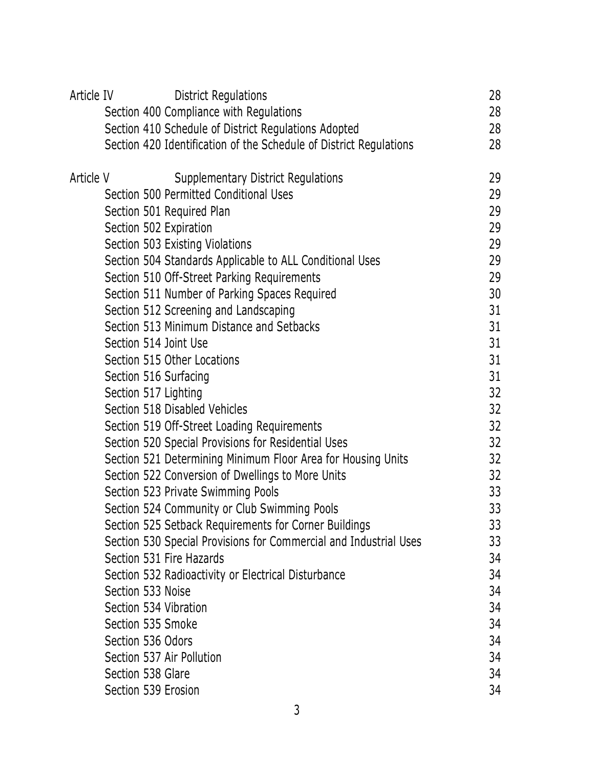| Article IV |                        | District Regulations                                               | 28 |
|------------|------------------------|--------------------------------------------------------------------|----|
|            |                        | Section 400 Compliance with Regulations                            | 28 |
|            |                        | Section 410 Schedule of District Regulations Adopted               | 28 |
|            |                        | Section 420 Identification of the Schedule of District Regulations | 28 |
| Article V  |                        | <b>Supplementary District Regulations</b>                          | 29 |
|            |                        | Section 500 Permitted Conditional Uses                             | 29 |
|            |                        | Section 501 Required Plan                                          | 29 |
|            | Section 502 Expiration |                                                                    | 29 |
|            |                        | Section 503 Existing Violations                                    | 29 |
|            |                        | Section 504 Standards Applicable to ALL Conditional Uses           | 29 |
|            |                        | Section 510 Off-Street Parking Requirements                        | 29 |
|            |                        | Section 511 Number of Parking Spaces Required                      | 30 |
|            |                        | Section 512 Screening and Landscaping                              | 31 |
|            |                        | Section 513 Minimum Distance and Setbacks                          | 31 |
|            | Section 514 Joint Use  |                                                                    | 31 |
|            |                        | Section 515 Other Locations                                        | 31 |
|            | Section 516 Surfacing  |                                                                    | 31 |
|            | Section 517 Lighting   |                                                                    | 32 |
|            |                        | Section 518 Disabled Vehicles                                      | 32 |
|            |                        | Section 519 Off-Street Loading Requirements                        | 32 |
|            |                        | Section 520 Special Provisions for Residential Uses                | 32 |
|            |                        | Section 521 Determining Minimum Floor Area for Housing Units       | 32 |
|            |                        | Section 522 Conversion of Dwellings to More Units                  | 32 |
|            |                        | Section 523 Private Swimming Pools                                 | 33 |
|            |                        | Section 524 Community or Club Swimming Pools                       | 33 |
|            |                        | Section 525 Setback Requirements for Corner Buildings              | 33 |
|            |                        | Section 530 Special Provisions for Commercial and Industrial Uses  | 33 |
|            |                        | Section 531 Fire Hazards                                           | 34 |
|            |                        | Section 532 Radioactivity or Electrical Disturbance                | 34 |
|            | Section 533 Noise      |                                                                    | 34 |
|            | Section 534 Vibration  |                                                                    | 34 |
|            | Section 535 Smoke      |                                                                    | 34 |
|            | Section 536 Odors      |                                                                    | 34 |
|            |                        | Section 537 Air Pollution                                          | 34 |
|            | Section 538 Glare      |                                                                    | 34 |
|            | Section 539 Erosion    |                                                                    | 34 |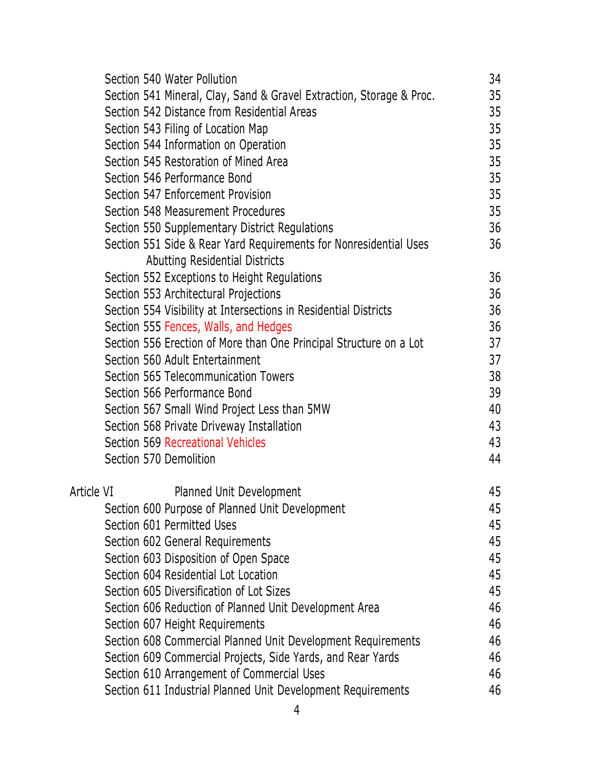|            | Section 540 Water Pollution                                                                                 | 34 |
|------------|-------------------------------------------------------------------------------------------------------------|----|
|            | Section 541 Mineral, Clay, Sand & Gravel Extraction, Storage & Proc.                                        | 35 |
|            | Section 542 Distance from Residential Areas                                                                 | 35 |
|            | Section 543 Filing of Location Map                                                                          | 35 |
|            | Section 544 Information on Operation                                                                        | 35 |
|            | Section 545 Restoration of Mined Area                                                                       | 35 |
|            | Section 546 Performance Bond                                                                                | 35 |
|            | Section 547 Enforcement Provision                                                                           | 35 |
|            | Section 548 Measurement Procedures                                                                          | 35 |
|            | Section 550 Supplementary District Regulations                                                              | 36 |
|            | Section 551 Side & Rear Yard Requirements for Nonresidential Uses<br>Abutting Residential Districts         | 36 |
|            |                                                                                                             | 36 |
|            | Section 552 Exceptions to Height Regulations<br>Section 553 Architectural Projections                       | 36 |
|            | Section 554 Visibility at Intersections in Residential Districts                                            | 36 |
|            |                                                                                                             | 36 |
|            | Section 555 Fences, Walls, and Hedges<br>Section 556 Erection of More than One Principal Structure on a Lot | 37 |
|            | Section 560 Adult Entertainment                                                                             | 37 |
|            | Section 565 Telecommunication Towers                                                                        | 38 |
|            | Section 566 Performance Bond                                                                                | 39 |
|            |                                                                                                             | 40 |
|            | Section 567 Small Wind Project Less than 5MW                                                                | 43 |
|            | Section 568 Private Driveway Installation<br>Section 569 Recreational Vehicles                              | 43 |
|            | Section 570 Demolition                                                                                      | 44 |
|            |                                                                                                             |    |
| Article VI | Planned Unit Development                                                                                    | 45 |
|            | Section 600 Purpose of Planned Unit Development                                                             | 45 |
|            | Section 601 Permitted Uses                                                                                  | 45 |
|            | Section 602 General Requirements                                                                            | 45 |
|            | Section 603 Disposition of Open Space                                                                       | 45 |
|            | Section 604 Residential Lot Location                                                                        | 45 |
|            | Section 605 Diversification of Lot Sizes                                                                    | 45 |
|            | Section 606 Reduction of Planned Unit Development Area                                                      | 46 |
|            | Section 607 Height Requirements                                                                             | 46 |
|            | Section 608 Commercial Planned Unit Development Requirements                                                | 46 |
|            | Section 609 Commercial Projects, Side Yards, and Rear Yards                                                 | 46 |
|            | Section 610 Arrangement of Commercial Uses                                                                  | 46 |
|            | Section 611 Industrial Planned Unit Development Requirements                                                | 46 |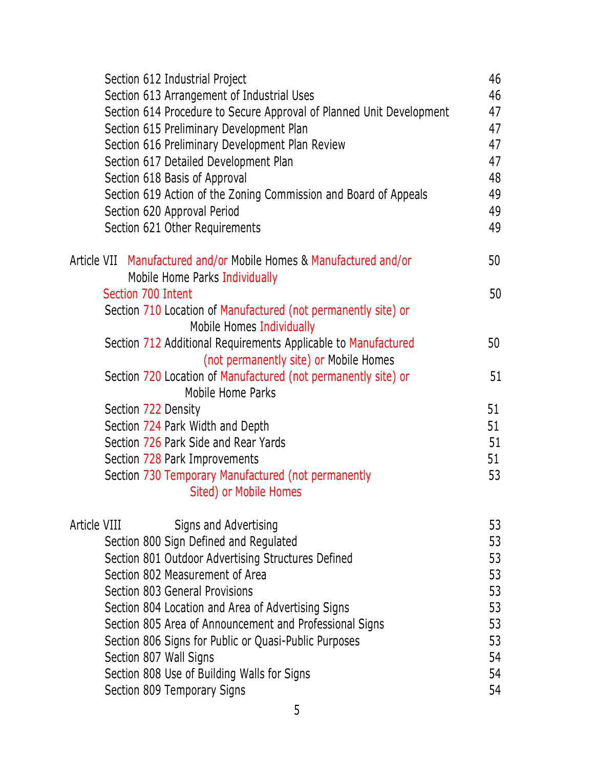| Section 612 Industrial Project                                                      | 46 |
|-------------------------------------------------------------------------------------|----|
| Section 613 Arrangement of Industrial Uses                                          | 46 |
| Section 614 Procedure to Secure Approval of Planned Unit Development                | 47 |
| Section 615 Preliminary Development Plan                                            | 47 |
| Section 616 Preliminary Development Plan Review                                     | 47 |
| Section 617 Detailed Development Plan                                               | 47 |
| Section 618 Basis of Approval                                                       | 48 |
| Section 619 Action of the Zoning Commission and Board of Appeals                    | 49 |
| Section 620 Approval Period                                                         | 49 |
| Section 621 Other Requirements                                                      | 49 |
| Article VII Manufactured and/or Mobile Homes & Manufactured and/or                  | 50 |
| Mobile Home Parks Individually                                                      |    |
| Section 700 Intent                                                                  | 50 |
| Section 710 Location of Manufactured (not permanently site) or                      |    |
| Mobile Homes Individually                                                           |    |
| Section 712 Additional Requirements Applicable to Manufactured                      | 50 |
| (not permanently site) or Mobile Homes                                              |    |
| Section 720 Location of Manufactured (not permanently site) or<br>Mobile Home Parks | 51 |
| Section 722 Density                                                                 | 51 |
| Section 724 Park Width and Depth                                                    | 51 |
| Section 726 Park Side and Rear Yards                                                | 51 |
| Section 728 Park Improvements                                                       | 51 |
| Section 730 Temporary Manufactured (not permanently                                 | 53 |
| Sited) or Mobile Homes                                                              |    |
| Article VIII<br>Signs and Advertising                                               | 53 |
| Section 800 Sign Defined and Regulated                                              | 53 |
| Section 801 Outdoor Advertising Structures Defined                                  | 53 |
| Section 802 Measurement of Area                                                     | 53 |
| Section 803 General Provisions                                                      | 53 |
| Section 804 Location and Area of Advertising Signs                                  | 53 |
| Section 805 Area of Announcement and Professional Signs                             | 53 |
| Section 806 Signs for Public or Quasi-Public Purposes                               | 53 |
| Section 807 Wall Signs                                                              | 54 |
| Section 808 Use of Building Walls for Signs                                         | 54 |
| Section 809 Temporary Signs                                                         | 54 |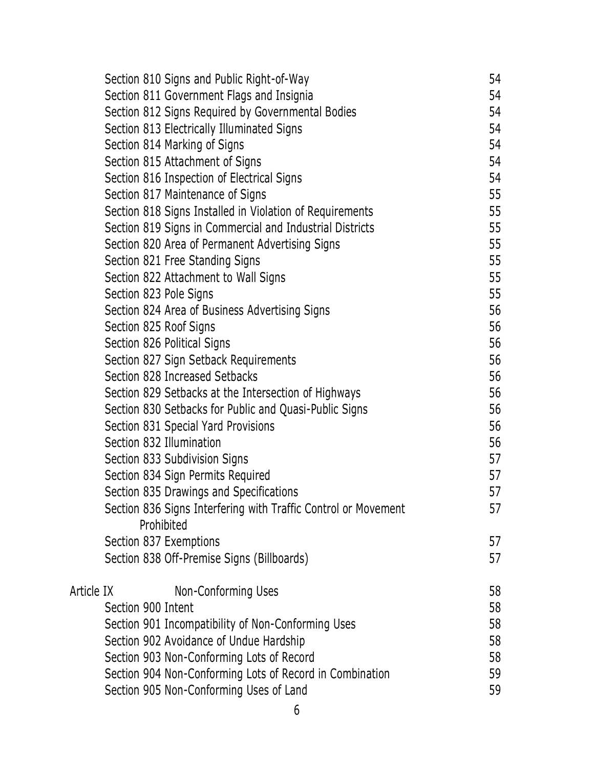|            |                    | Section 810 Signs and Public Right-of-Way                      | 54 |
|------------|--------------------|----------------------------------------------------------------|----|
|            |                    | Section 811 Government Flags and Insignia                      | 54 |
|            |                    | Section 812 Signs Required by Governmental Bodies              | 54 |
|            |                    | Section 813 Electrically Illuminated Signs                     | 54 |
|            |                    | Section 814 Marking of Signs                                   | 54 |
|            |                    | Section 815 Attachment of Signs                                | 54 |
|            |                    | Section 816 Inspection of Electrical Signs                     | 54 |
|            |                    | Section 817 Maintenance of Signs                               | 55 |
|            |                    | Section 818 Signs Installed in Violation of Requirements       | 55 |
|            |                    | Section 819 Signs in Commercial and Industrial Districts       | 55 |
|            |                    | Section 820 Area of Permanent Advertising Signs                | 55 |
|            |                    | Section 821 Free Standing Signs                                | 55 |
|            |                    | Section 822 Attachment to Wall Signs                           | 55 |
|            |                    | Section 823 Pole Signs                                         | 55 |
|            |                    | Section 824 Area of Business Advertising Signs                 | 56 |
|            |                    | Section 825 Roof Signs                                         | 56 |
|            |                    | Section 826 Political Signs                                    | 56 |
|            |                    | Section 827 Sign Setback Requirements                          | 56 |
|            |                    | Section 828 Increased Setbacks                                 | 56 |
|            |                    | Section 829 Setbacks at the Intersection of Highways           | 56 |
|            |                    | Section 830 Setbacks for Public and Quasi-Public Signs         | 56 |
|            |                    | Section 831 Special Yard Provisions                            | 56 |
|            |                    | Section 832 Illumination                                       | 56 |
|            |                    | Section 833 Subdivision Signs                                  | 57 |
|            |                    | Section 834 Sign Permits Required                              | 57 |
|            |                    | Section 835 Drawings and Specifications                        | 57 |
|            |                    | Section 836 Signs Interfering with Traffic Control or Movement | 57 |
|            |                    | Prohibited                                                     |    |
|            |                    | Section 837 Exemptions                                         | 57 |
|            |                    | Section 838 Off-Premise Signs (Billboards)                     | 57 |
| Article IX |                    | Non-Conforming Uses                                            | 58 |
|            | Section 900 Intent |                                                                | 58 |
|            |                    | Section 901 Incompatibility of Non-Conforming Uses             | 58 |
|            |                    | Section 902 Avoidance of Undue Hardship                        | 58 |
|            |                    | Section 903 Non-Conforming Lots of Record                      | 58 |
|            |                    | Section 904 Non-Conforming Lots of Record in Combination       | 59 |
|            |                    | Section 905 Non-Conforming Uses of Land                        | 59 |
|            |                    |                                                                |    |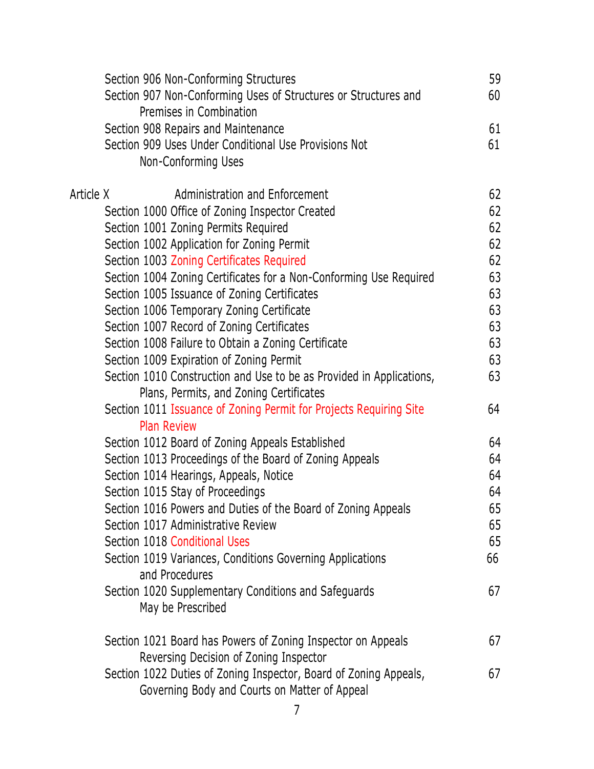| Section 906 Non-Conforming Structures                                | 59 |
|----------------------------------------------------------------------|----|
| Section 907 Non-Conforming Uses of Structures or Structures and      | 60 |
| Premises in Combination                                              |    |
| Section 908 Repairs and Maintenance                                  | 61 |
| Section 909 Uses Under Conditional Use Provisions Not                | 61 |
| Non-Conforming Uses                                                  |    |
|                                                                      |    |
| Article X<br>Administration and Enforcement                          | 62 |
| Section 1000 Office of Zoning Inspector Created                      | 62 |
| Section 1001 Zoning Permits Required                                 | 62 |
| Section 1002 Application for Zoning Permit                           | 62 |
| Section 1003 Zoning Certificates Required                            | 62 |
| Section 1004 Zoning Certificates for a Non-Conforming Use Required   | 63 |
| Section 1005 Issuance of Zoning Certificates                         | 63 |
| Section 1006 Temporary Zoning Certificate                            | 63 |
| Section 1007 Record of Zoning Certificates                           | 63 |
| Section 1008 Failure to Obtain a Zoning Certificate                  | 63 |
| Section 1009 Expiration of Zoning Permit                             | 63 |
| Section 1010 Construction and Use to be as Provided in Applications, | 63 |
| Plans, Permits, and Zoning Certificates                              |    |
| Section 1011 Issuance of Zoning Permit for Projects Requiring Site   | 64 |
| <b>Plan Review</b>                                                   |    |
| Section 1012 Board of Zoning Appeals Established                     | 64 |
| Section 1013 Proceedings of the Board of Zoning Appeals              | 64 |
| Section 1014 Hearings, Appeals, Notice                               | 64 |
| Section 1015 Stay of Proceedings                                     | 64 |
| Section 1016 Powers and Duties of the Board of Zoning Appeals        | 65 |
| Section 1017 Administrative Review                                   | 65 |
| Section 1018 Conditional Uses                                        | 65 |
| Section 1019 Variances, Conditions Governing Applications            | 66 |
| and Procedures                                                       |    |
| Section 1020 Supplementary Conditions and Safeguards                 | 67 |
| May be Prescribed                                                    |    |
|                                                                      |    |
| Section 1021 Board has Powers of Zoning Inspector on Appeals         | 67 |
| Reversing Decision of Zoning Inspector                               |    |
| Section 1022 Duties of Zoning Inspector, Board of Zoning Appeals,    | 67 |
| Governing Body and Courts on Matter of Appeal                        |    |
| 7                                                                    |    |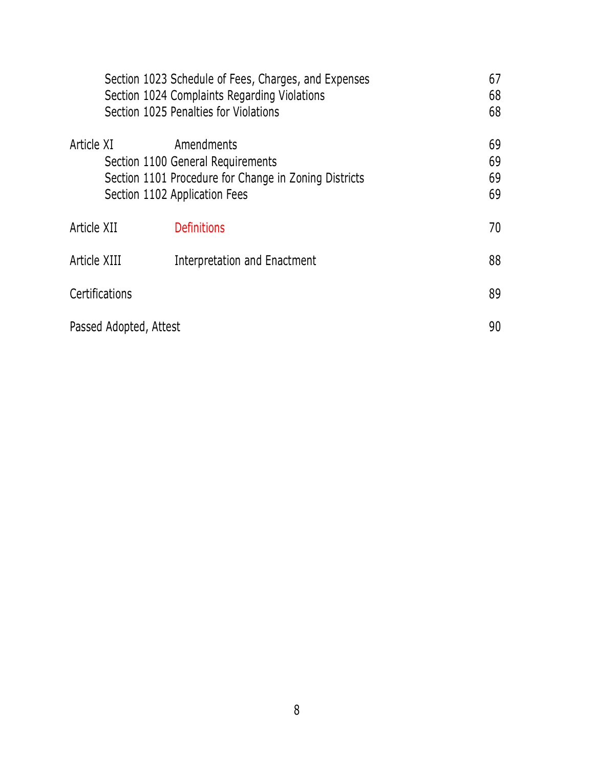|                        | Section 1023 Schedule of Fees, Charges, and Expenses<br>Section 1024 Complaints Regarding Violations<br>Section 1025 Penalties for Violations | 67<br>68<br>68       |
|------------------------|-----------------------------------------------------------------------------------------------------------------------------------------------|----------------------|
| Article XI             | Amendments<br>Section 1100 General Requirements<br>Section 1101 Procedure for Change in Zoning Districts<br>Section 1102 Application Fees     | 69<br>69<br>69<br>69 |
| Article XII            | <b>Definitions</b>                                                                                                                            | 70                   |
| Article XIII           | Interpretation and Enactment                                                                                                                  | 88                   |
| Certifications         |                                                                                                                                               | 89                   |
| Passed Adopted, Attest |                                                                                                                                               | 90                   |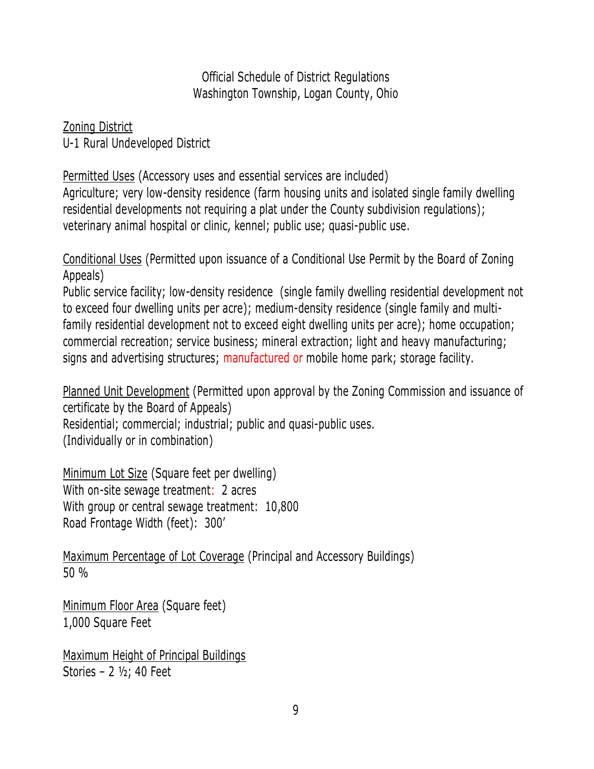Zoning District U-1 Rural Undeveloped District

Permitted Uses (Accessory uses and essential services are included) Agriculture; very low-density residence (farm housing units and isolated single family dwelling residential developments not requiring a plat under the County subdivision regulations); veterinary animal hospital or clinic, kennel; public use; quasi-public use.

Conditional Uses (Permitted upon issuance of a Conditional Use Permit by the Board of Zoning Appeals)

Public service facility; low-density residence (single family dwelling residential development not to exceed four dwelling units per acre); medium-density residence (single family and multifamily residential development not to exceed eight dwelling units per acre); home occupation; commercial recreation; service business; mineral extraction; light and heavy manufacturing; signs and advertising structures; manufactured or mobile home park; storage facility.

Planned Unit Development (Permitted upon approval by the Zoning Commission and issuance of certificate by the Board of Appeals) Residential; commercial; industrial; public and quasi-public uses. (Individually or in combination)

Minimum Lot Size (Square feet per dwelling) With on-site sewage treatment: 2 acres With group or central sewage treatment: 10,800 Road Frontage Width (feet): 300'

Maximum Percentage of Lot Coverage (Principal and Accessory Buildings) 50 %

Minimum Floor Area (Square feet) 1,000 Square Feet

Maximum Height of Principal Buildings Stories – 2 ½; 40 Feet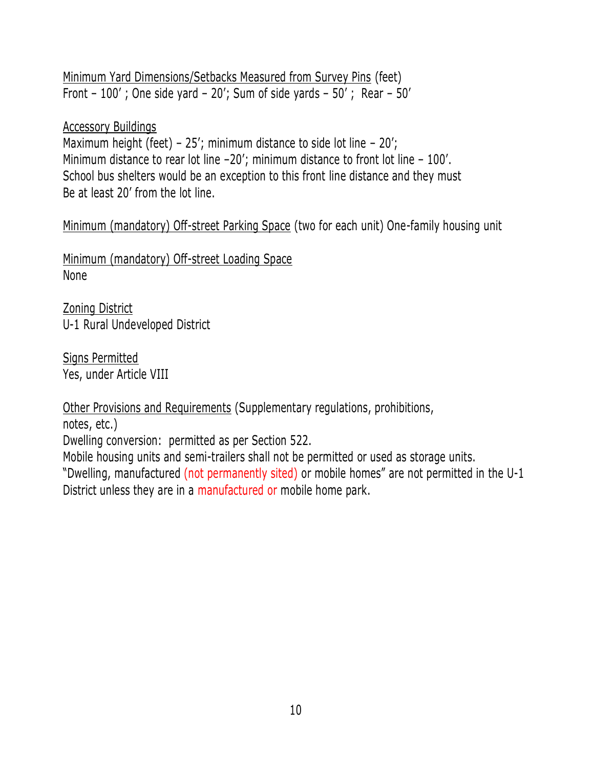Minimum Yard Dimensions/Setbacks Measured from Survey Pins (feet) Front – 100' ; One side yard – 20'; Sum of side yards – 50' ; Rear – 50'

### Accessory Buildings

Maximum height (feet) –  $25'$ ; minimum distance to side lot line –  $20'$ ; Minimum distance to rear lot line –20'; minimum distance to front lot line – 100'. School bus shelters would be an exception to this front line distance and they must Be at least 20' from the lot line.

Minimum (mandatory) Off-street Parking Space (two for each unit) One-family housing unit

Minimum (mandatory) Off-street Loading Space None

Zoning District U-1 Rural Undeveloped District

Signs Permitted Yes, under Article VIII

Other Provisions and Requirements (Supplementary regulations, prohibitions,

notes, etc.)

Dwelling conversion: permitted as per Section 522.

Mobile housing units and semi-trailers shall not be permitted or used as storage units. "Dwelling, manufactured (not permanently sited) or mobile homes" are not permitted in the U-1 District unless they are in a manufactured or mobile home park.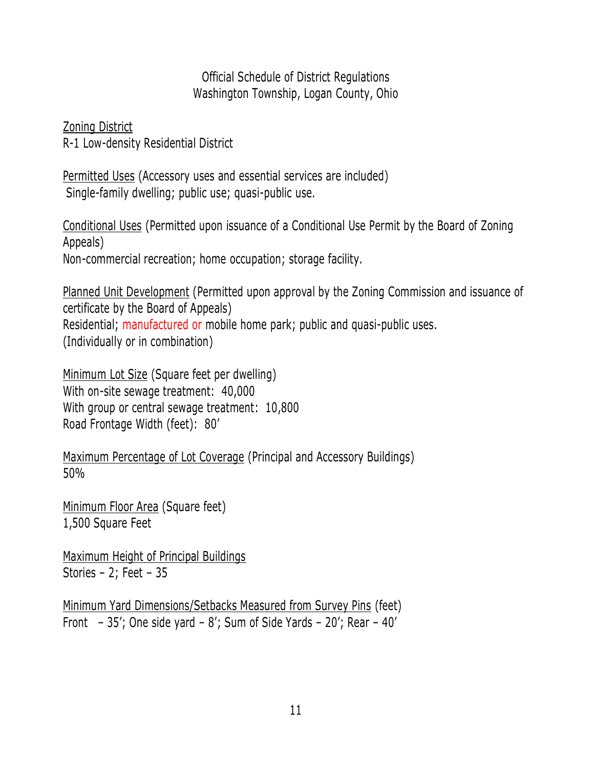Zoning District R-1 Low-density Residential District

Permitted Uses (Accessory uses and essential services are included) Single-family dwelling; public use; quasi-public use.

Conditional Uses (Permitted upon issuance of a Conditional Use Permit by the Board of Zoning Appeals) Non-commercial recreation; home occupation; storage facility.

Planned Unit Development (Permitted upon approval by the Zoning Commission and issuance of certificate by the Board of Appeals) Residential; manufactured or mobile home park; public and quasi-public uses. (Individually or in combination)

Minimum Lot Size (Square feet per dwelling) With on-site sewage treatment: 40,000 With group or central sewage treatment: 10,800 Road Frontage Width (feet): 80'

Maximum Percentage of Lot Coverage (Principal and Accessory Buildings) 50%

Minimum Floor Area (Square feet) 1,500 Square Feet

Maximum Height of Principal Buildings Stories – 2; Feet – 35

Minimum Yard Dimensions/Setbacks Measured from Survey Pins (feet) Front  $-35'$ ; One side yard  $-8'$ ; Sum of Side Yards  $-20'$ ; Rear  $-40'$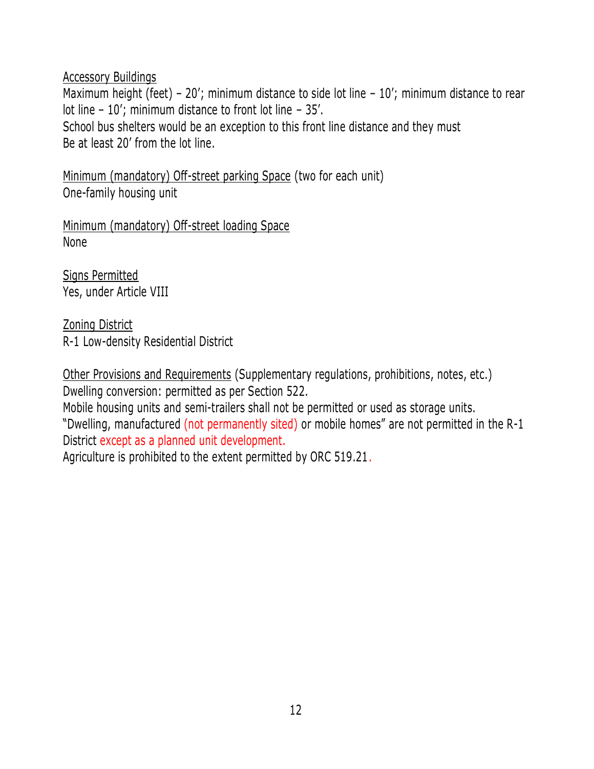Maximum height (feet) – 20'; minimum distance to side lot line – 10'; minimum distance to rear lot line – 10'; minimum distance to front lot line – 35'. School bus shelters would be an exception to this front line distance and they must Be at least 20' from the lot line.

Minimum (mandatory) Off-street parking Space (two for each unit) One-family housing unit

Minimum (mandatory) Off-street loading Space None

Signs Permitted Yes, under Article VIII

Zoning District R-1 Low-density Residential District

Other Provisions and Requirements (Supplementary regulations, prohibitions, notes, etc.) Dwelling conversion: permitted as per Section 522.

Mobile housing units and semi-trailers shall not be permitted or used as storage units.

"Dwelling, manufactured (not permanently sited) or mobile homes" are not permitted in the R-1 District except as a planned unit development.

Agriculture is prohibited to the extent permitted by ORC 519.21.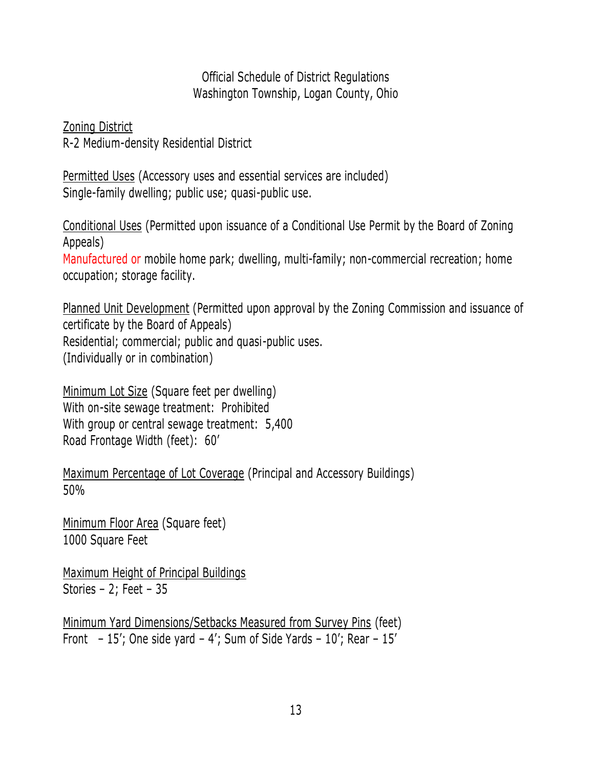Zoning District R-2 Medium-density Residential District

Permitted Uses (Accessory uses and essential services are included) Single-family dwelling; public use; quasi-public use.

Conditional Uses (Permitted upon issuance of a Conditional Use Permit by the Board of Zoning Appeals)

Manufactured or mobile home park; dwelling, multi-family; non-commercial recreation; home occupation; storage facility.

Planned Unit Development (Permitted upon approval by the Zoning Commission and issuance of certificate by the Board of Appeals) Residential; commercial; public and quasi-public uses. (Individually or in combination)

Minimum Lot Size (Square feet per dwelling) With on-site sewage treatment: Prohibited With group or central sewage treatment: 5,400 Road Frontage Width (feet): 60'

Maximum Percentage of Lot Coverage (Principal and Accessory Buildings) 50%

Minimum Floor Area (Square feet) 1000 Square Feet

Maximum Height of Principal Buildings Stories – 2; Feet – 35

Minimum Yard Dimensions/Setbacks Measured from Survey Pins (feet) Front  $-15'$ ; One side yard  $-4'$ ; Sum of Side Yards  $-10'$ ; Rear  $-15'$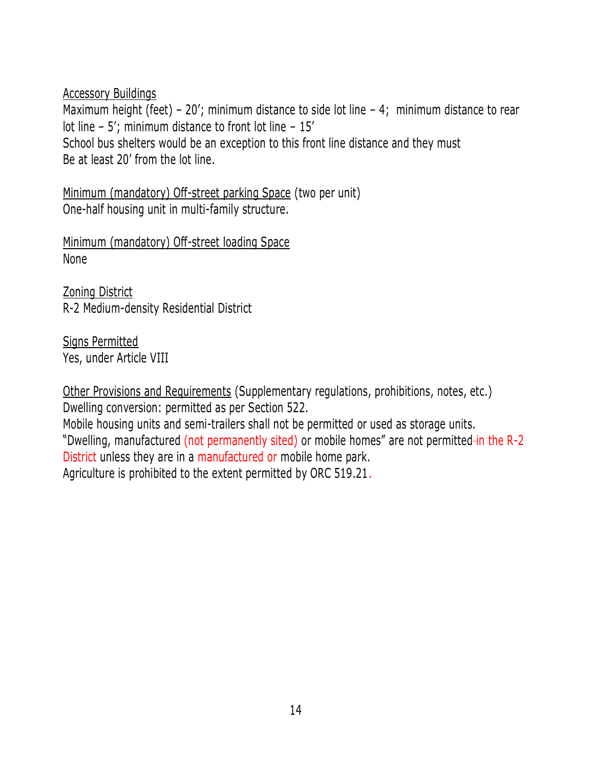Maximum height (feet) – 20'; minimum distance to side lot line – 4; minimum distance to rear lot line – 5'; minimum distance to front lot line – 15' School bus shelters would be an exception to this front line distance and they must Be at least 20' from the lot line.

Minimum (mandatory) Off-street parking Space (two per unit) One-half housing unit in multi-family structure.

Minimum (mandatory) Off-street loading Space None

Zoning District R-2 Medium-density Residential District

Signs Permitted Yes, under Article VIII

Other Provisions and Requirements (Supplementary regulations, prohibitions, notes, etc.) Dwelling conversion: permitted as per Section 522.

Mobile housing units and semi-trailers shall not be permitted or used as storage units. "Dwelling, manufactured (not permanently sited) or mobile homes" are not permitted-in the R-2 District unless they are in a manufactured or mobile home park.

Agriculture is prohibited to the extent permitted by ORC 519.21.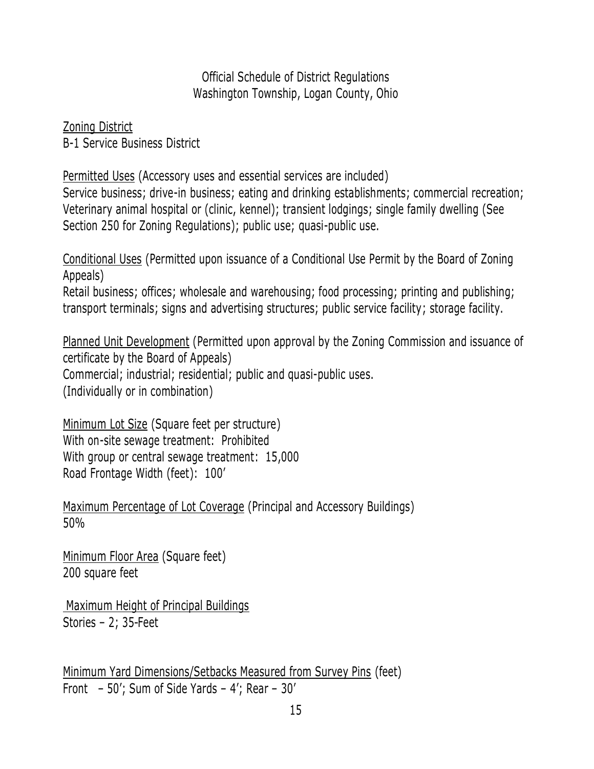Zoning District B-1 Service Business District

Permitted Uses (Accessory uses and essential services are included) Service business; drive-in business; eating and drinking establishments; commercial recreation; Veterinary animal hospital or (clinic, kennel); transient lodgings; single family dwelling (See Section 250 for Zoning Regulations); public use; quasi-public use.

Conditional Uses (Permitted upon issuance of a Conditional Use Permit by the Board of Zoning Appeals) Retail business; offices; wholesale and warehousing; food processing; printing and publishing; transport terminals; signs and advertising structures; public service facility; storage facility.

Planned Unit Development (Permitted upon approval by the Zoning Commission and issuance of certificate by the Board of Appeals) Commercial; industrial; residential; public and quasi-public uses. (Individually or in combination)

Minimum Lot Size (Square feet per structure) With on-site sewage treatment: Prohibited With group or central sewage treatment: 15,000 Road Frontage Width (feet): 100'

Maximum Percentage of Lot Coverage (Principal and Accessory Buildings) 50%

Minimum Floor Area (Square feet) 200 square feet

Maximum Height of Principal Buildings Stories – 2; 35 Feet

Minimum Yard Dimensions/Setbacks Measured from Survey Pins (feet) Front – 50'; Sum of Side Yards – 4'; Rear – 30'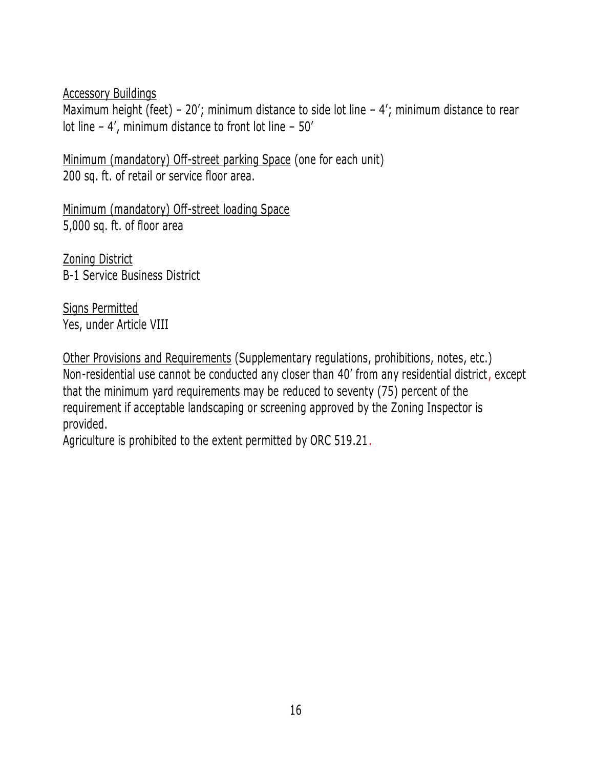Maximum height (feet) – 20'; minimum distance to side lot line – 4'; minimum distance to rear lot line – 4', minimum distance to front lot line – 50'

Minimum (mandatory) Off-street parking Space (one for each unit) 200 sq. ft. of retail or service floor area.

Minimum (mandatory) Off-street loading Space 5,000 sq. ft. of floor area

Zoning District B-1 Service Business District

Signs Permitted Yes, under Article VIII

Other Provisions and Requirements (Supplementary regulations, prohibitions, notes, etc.) Non-residential use cannot be conducted any closer than 40' from any residential district, except that the minimum yard requirements may be reduced to seventy (75) percent of the requirement if acceptable landscaping or screening approved by the Zoning Inspector is provided.

Agriculture is prohibited to the extent permitted by ORC 519.21.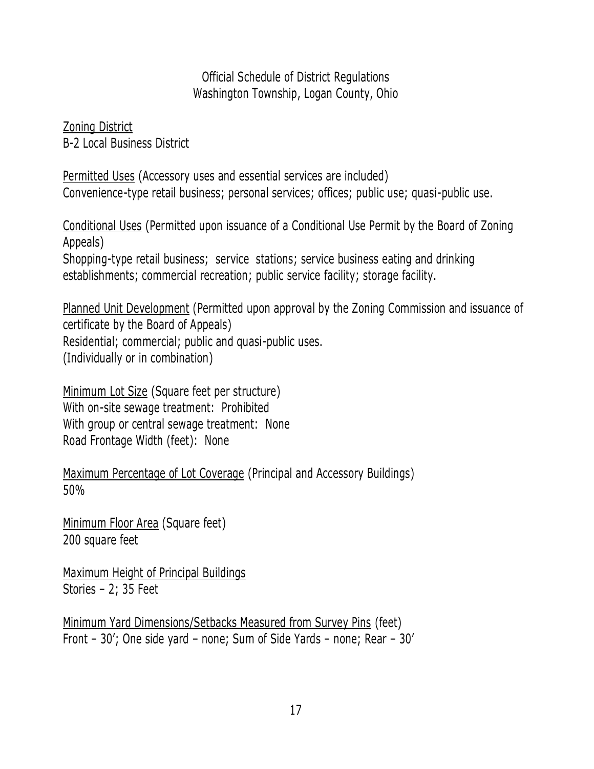Zoning District B-2 Local Business District

Permitted Uses (Accessory uses and essential services are included) Convenience-type retail business; personal services; offices; public use; quasi-public use.

Conditional Uses (Permitted upon issuance of a Conditional Use Permit by the Board of Zoning Appeals) Shopping-type retail business; service stations; service business eating and drinking

establishments; commercial recreation; public service facility; storage facility.

Planned Unit Development (Permitted upon approval by the Zoning Commission and issuance of certificate by the Board of Appeals) Residential; commercial; public and quasi-public uses. (Individually or in combination)

Minimum Lot Size (Square feet per structure) With on-site sewage treatment: Prohibited With group or central sewage treatment: None Road Frontage Width (feet): None

Maximum Percentage of Lot Coverage (Principal and Accessory Buildings) 50%

Minimum Floor Area (Square feet) 200 square feet

Maximum Height of Principal Buildings Stories – 2; 35 Feet

Minimum Yard Dimensions/Setbacks Measured from Survey Pins (feet) Front – 30'; One side yard – none; Sum of Side Yards – none; Rear – 30'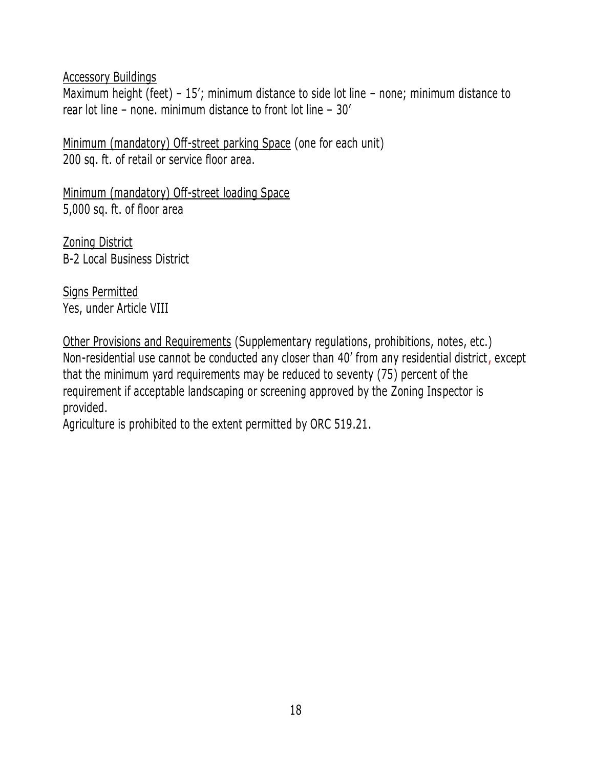Maximum height (feet) – 15'; minimum distance to side lot line – none; minimum distance to rear lot line – none. minimum distance to front lot line – 30'

Minimum (mandatory) Off-street parking Space (one for each unit) 200 sq. ft. of retail or service floor area.

Minimum (mandatory) Off-street loading Space 5,000 sq. ft. of floor area

Zoning District B-2 Local Business District

Signs Permitted Yes, under Article VIII

Other Provisions and Requirements (Supplementary regulations, prohibitions, notes, etc.) Non-residential use cannot be conducted any closer than 40' from any residential district, except that the minimum yard requirements may be reduced to seventy (75) percent of the requirement if acceptable landscaping or screening approved by the Zoning Inspector is provided.

Agriculture is prohibited to the extent permitted by ORC 519.21.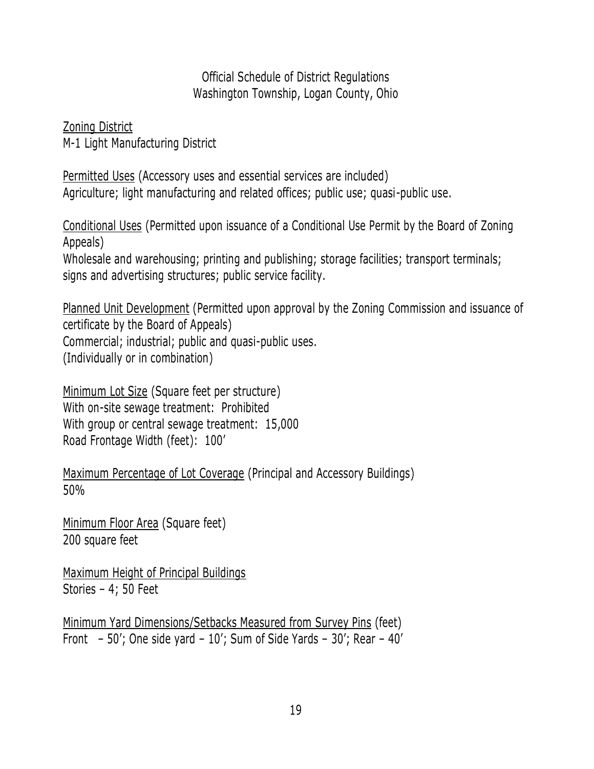Zoning District M-1 Light Manufacturing District

Permitted Uses (Accessory uses and essential services are included) Agriculture; light manufacturing and related offices; public use; quasi-public use.

Conditional Uses (Permitted upon issuance of a Conditional Use Permit by the Board of Zoning Appeals)

Wholesale and warehousing; printing and publishing; storage facilities; transport terminals; signs and advertising structures; public service facility.

Planned Unit Development (Permitted upon approval by the Zoning Commission and issuance of certificate by the Board of Appeals) Commercial; industrial; public and quasi-public uses. (Individually or in combination)

Minimum Lot Size (Square feet per structure) With on-site sewage treatment: Prohibited With group or central sewage treatment: 15,000 Road Frontage Width (feet): 100'

Maximum Percentage of Lot Coverage (Principal and Accessory Buildings) 50%

Minimum Floor Area (Square feet) 200 square feet

Maximum Height of Principal Buildings Stories – 4; 50 Feet

Minimum Yard Dimensions/Setbacks Measured from Survey Pins (feet) Front – 50'; One side yard – 10'; Sum of Side Yards – 30'; Rear – 40'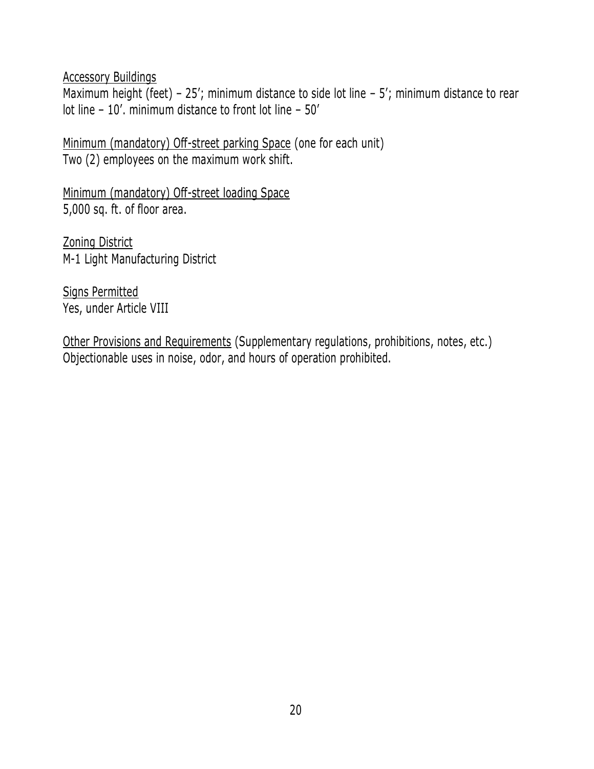Maximum height (feet) -  $25'$ ; minimum distance to side lot line -  $5'$ ; minimum distance to rear lot line – 10'. minimum distance to front lot line – 50'

Minimum (mandatory) Off-street parking Space (one for each unit) Two (2) employees on the maximum work shift.

Minimum (mandatory) Off-street loading Space 5,000 sq. ft. of floor area.

Zoning District M-1 Light Manufacturing District

Signs Permitted Yes, under Article VIII

Other Provisions and Requirements (Supplementary regulations, prohibitions, notes, etc.) Objectionable uses in noise, odor, and hours of operation prohibited.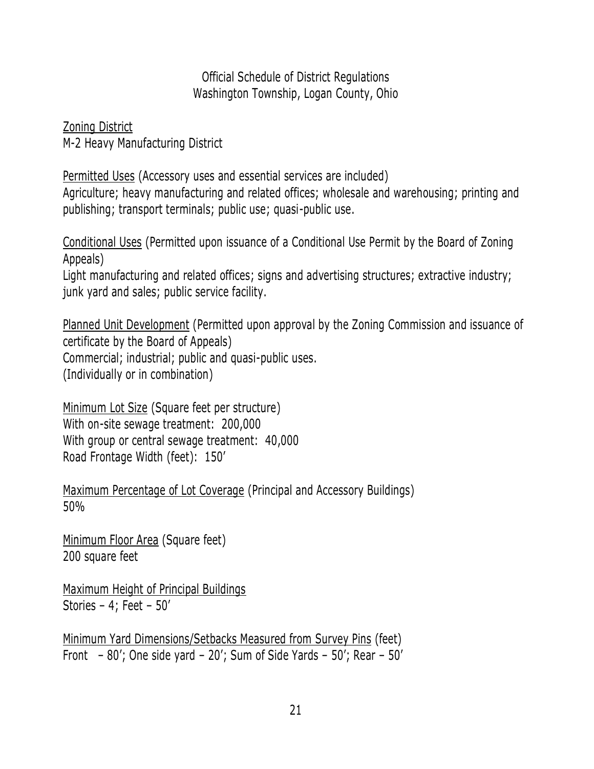Zoning District M-2 Heavy Manufacturing District

Permitted Uses (Accessory uses and essential services are included) Agriculture; heavy manufacturing and related offices; wholesale and warehousing; printing and publishing; transport terminals; public use; quasi-public use.

Conditional Uses (Permitted upon issuance of a Conditional Use Permit by the Board of Zoning Appeals)

Light manufacturing and related offices; signs and advertising structures; extractive industry; junk yard and sales; public service facility.

Planned Unit Development (Permitted upon approval by the Zoning Commission and issuance of certificate by the Board of Appeals) Commercial; industrial; public and quasi-public uses. (Individually or in combination)

Minimum Lot Size (Square feet per structure) With on-site sewage treatment: 200,000 With group or central sewage treatment: 40,000 Road Frontage Width (feet): 150'

Maximum Percentage of Lot Coverage (Principal and Accessory Buildings) 50%

Minimum Floor Area (Square feet) 200 square feet

Maximum Height of Principal Buildings Stories – 4; Feet – 50'

Minimum Yard Dimensions/Setbacks Measured from Survey Pins (feet) Front – 80'; One side yard – 20'; Sum of Side Yards – 50'; Rear – 50'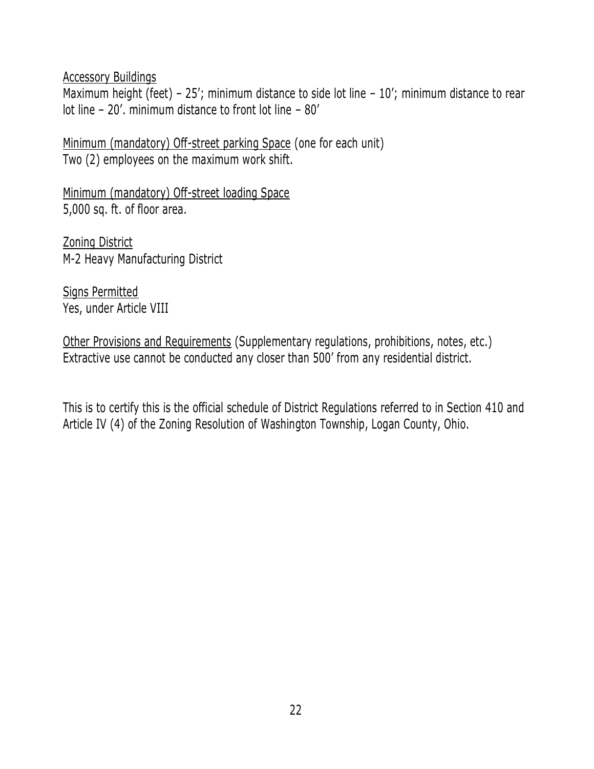Maximum height (feet) - 25'; minimum distance to side lot line - 10'; minimum distance to rear lot line – 20'. minimum distance to front lot line – 80'

Minimum (mandatory) Off-street parking Space (one for each unit) Two (2) employees on the maximum work shift.

Minimum (mandatory) Off-street loading Space 5,000 sq. ft. of floor area.

Zoning District M-2 Heavy Manufacturing District

Signs Permitted Yes, under Article VIII

Other Provisions and Requirements (Supplementary regulations, prohibitions, notes, etc.) Extractive use cannot be conducted any closer than 500' from any residential district.

This is to certify this is the official schedule of District Regulations referred to in Section 410 and Article IV (4) of the Zoning Resolution of Washington Township, Logan County, Ohio.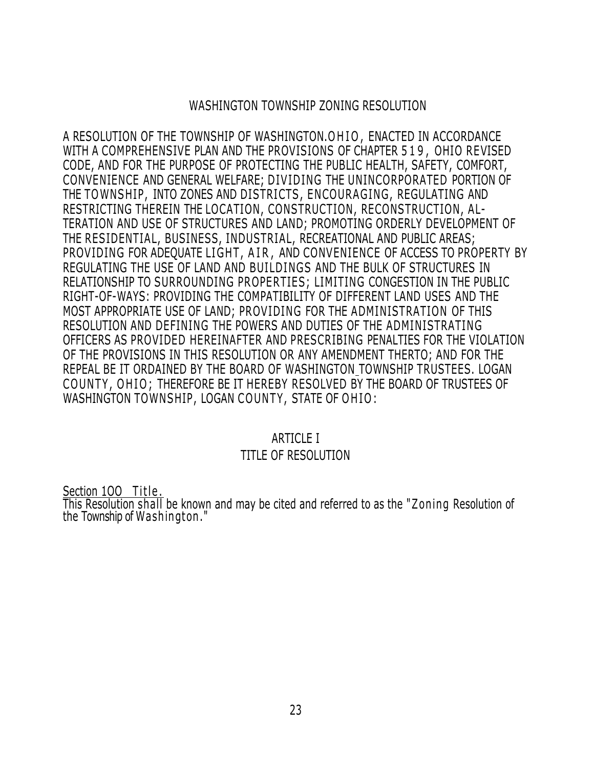### WASHINGTON TOWNSHIP ZONING RESOLUTION

A RESOLUTION OF THE TOWNSHIP OF WASHINGTON.OHIO, ENACTED IN ACCORDANCE WITH A COMPREHENSIVE PLAN AND THE PROVISIONS OF CHAPTER 519, OHIO REVISED CODE, AND FOR THE PURPOSE OF PROTECTING THE PUBLIC HEALTH, SAFETY, COMFORT, CONVENIENCE AND GENERAL WELFARE; DIV IDING THE UNINCORPORATED PORTION OF THE TOWNSHIP, INTO ZONES AND DISTRICTS, ENCOURAGING, REGULATING AND RESTRICTING THEREIN THE LOCATION, CONSTRUCTION, RECONSTRUCTION, A L-TERATION AND USE OF STRUCTURES AND LAND; PROMOTING ORDERLY DEVELOPMENT OF THE RESIDENTIAL, BUSINESS, INDUSTRIAL, RECREATIONAL AND PUBLIC AREAS; PROVIDING FOR ADEQUATE LIGHT, AIR, AND CONVENIENCE OF ACCESS TO PROPERTY BY REGULATING THE USE OF LAND AND BUILDINGS AND THE BULK OF STRUCTURES IN RELATIONSHIP TO SURROUNDING PROPERTIES; LIMITING CONGESTION IN THE PUBLIC RIGHT-OF-WAYS: PROVIDING THE COMPATIBILITY OF DIFFERENT LAND USES AND THE MOST APPROPRIATE USE OF LAND; PROVIDING FOR THE ADMINISTRATION OF THIS RESOLUTION AND DEFINING THE POWERS AND DUTIES OF THE ADMINISTRATING OFFICERS AS PROVIDED HEREINAFTER AND PRESCRIBING PENALTIES FOR THE VIOLATION OF THE PROVISIONS IN THIS RESOLUTION OR ANY AMENDMENT THERTO; AND FOR THE REPEAL BE IT ORDAINED BY THE BOARD OF WASHINGTON TOWNSHIP TRUSTEES. LOGAN COUNTY, OHIO; THEREFORE BE IT HEREBY RESOLVED BY THE BOARD OF TRUSTEES OF WASHINGTON TOWNSHIP, LOGAN COUNTY, STATE OF OHIO:

#### ARTICLE I

### TITLE OF RESOLUTION

Section 100 Title. This Resolution shall be known and may be cited and referred to as the "Zoning Resolution of the Township of Washington ."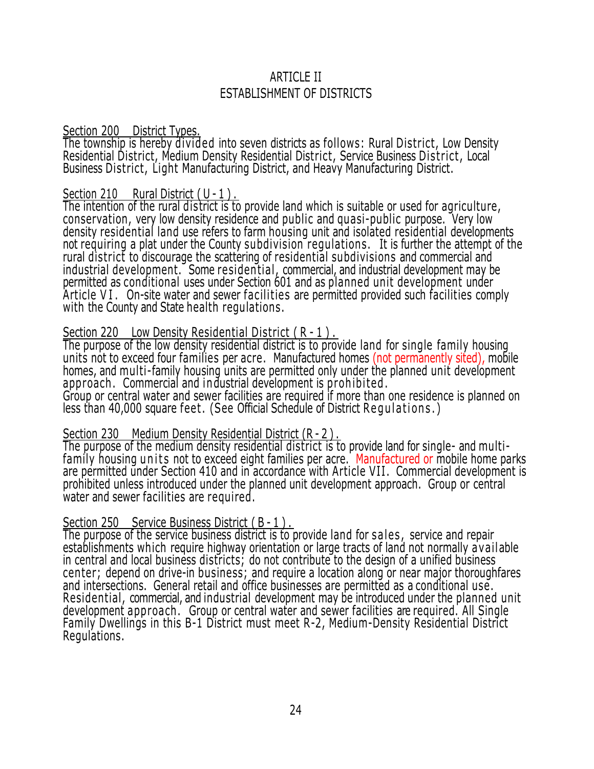# ARTICI F II ESTABLISHMENT OF DISTRICTS

#### Section 200 District Types.

The township is hereby divided into seven districts as follows: Rural District, Low Density Residential District, Medium Density Residential District, Service Business District, Local Business District, Light Manufacturing District, and Heavy Manufacturing District.

#### Section 210 Rural District  $(U - 1)$ .

The intention of the rural district is to provide land which is suitable or used for agriculture, conservation, very low density residence and public and quasi-public purpose. Very low density residential land use refers to farm housing unit and isolated residential developments not requiring a plat under the County subdivision regulations. It is further the attempt of the rural district to discourage the scattering of residential subdivisions and commercial and industrial development. Some residential, commercial, and industrial development may be permitted as conditional uses under Section 601 and as planned unit development under Article VI. On-site water and sewer facilities are permitted provided such facilities comply with the County and State health regulations.

### Section 220 Low Density Residential District ( R - 1 ) .

The purpose of the low density residential district is to provide land for single family housing units not to exceed four families per acre. Manufactured homes (not permanently sited), mobile homes, and multi-family housing units are permitted only under the planned unit development approach. Commercial and industrial development is prohibited. Group or central water and sewer facilities are required if more than one residence is planned on less than 40,000 square feet. (See Official Schedule of District Regulations.)

### Section 230 Medium Density Residential District (R - 2).

The purpose of the medium density residential district is to provide land for single- and multifamily housing units not to exceed eight families per acre. Manufactured or mobile home parks are permitted under Section 410 and in accordance with Article VII. Commercial development is prohibited unless introduced under the planned unit development approach. Group or central water and sewer facilities are required.

### Section 250 Service Business District (B-1).

The purpose of the service business district is to provide land for sales, service and repair establishments which require highway orientation or large tracts of land not normally a vailable in central and local business districts; do not contribute to the design of a unified business center; depend on drive-in business; and require a location along or near major thoroughfares and intersections. General retail and office businesses are permitted as a conditional use. Residential, commercial, and industrial development may be introduced under the planned unit development approach . Group or central water and sewer facilities are required. All Single Family Dwellings in this B-1 District must meet R-2, Medium-Density Residential District Regulations.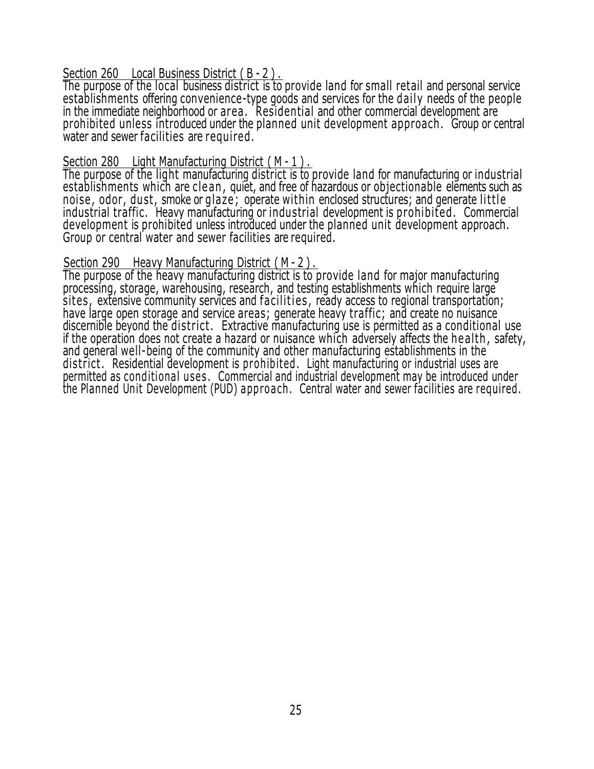#### Section 260 Local Business District (B - 2).

The purpose of the local business district is to provide land for small retail and personal service establishments offering convenience-type goods and services for the dail y needs of the people in the immediate neighborhood or area . Residential and other commercial development are prohibited unless introduced under the planned unit development approach . Group or central water and sewer facilities are required.

#### Section 280 Light Manufacturing District ( M - 1 ) .

The purpose of the light manufacturing district is to provide land for manufacturing or industrial establishments which are clean, quiet, and free of hazardous or objectionable elements such as noise, odor, dust, smoke or glaze; operate within enclosed structures; and generate little industrial traffic. Heavy manufacturing or industrial development is prohibited . Commercial development is prohibited unless introduced under the planned unit development approach. Group or central water and sewer facilities are required.

#### Section 290 Heavy Manufacturing District ( M - 2 ) .

The purpose of the heavy manufacturing district is to provide land for major manufacturing processing, storage, warehousing, research, and testing establishments which require large sites, extensive community services and facilities, ready access to regional transportation; have large open storage and service areas; generate heavy traffic; and create no nuisance discernible beyond the district. Extractive manufacturing use is permitted as a conditional use if the operation does not create a hazard or nuisance which adversely affects the health, safety, and general well-being of the community and other manufacturing establishments in the district. Residential development is prohibited. Light manufacturing or industrial uses are permitted as conditional uses. Commercial and industrial development may be introduced under the Planned Unit Development (PUD) approach. Central water and sewer facilities are required.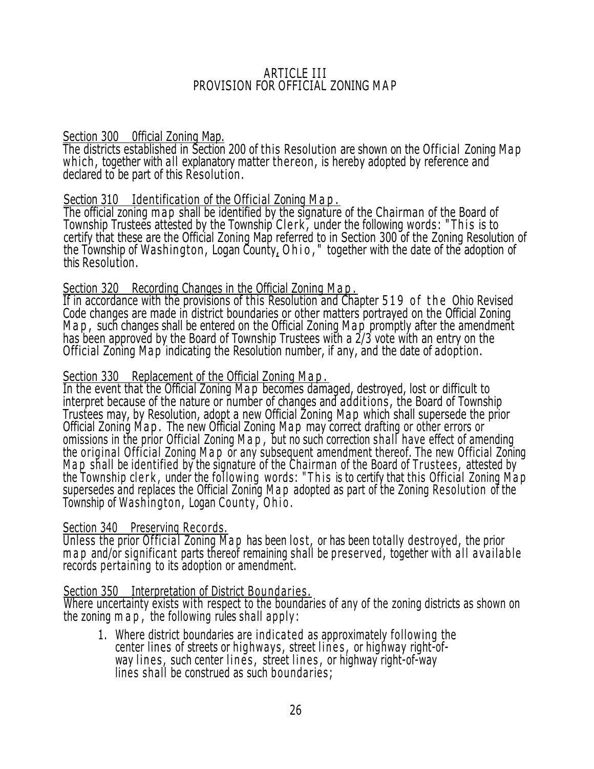#### ARTICLE III PROVISION FOR OFFICIAL ZONING M A P

#### Section 300 0fficial Zoning Map.

The districts established in Section 200 of this Resolution are shown on the Official Zoning M a p which, together with all explanatory matter thereon, is hereby adopted by reference and declared to be part of this Resolution .

### Section 310 Identification of the Official Zoning Map.

The official zoning map shall be identified by the signature of the Chairman of the Board of Township Trustees attested by the Township Clerk, under the following words: "This is to certify that these are the Official Zoning Map referred to in Section 300 of the Zoning Resolution of the Township of Washington, Logan County, O h i o," together with the date of the adoption of this Resolution.

### Section 320 Recording Changes in the Official Zoning M a p.

If in accordance with the provisions of this Resolution and Chapter 519 of the Ohio Revised Code changes are made in district boundaries or other matters portrayed on the Official Zoning M a p , such changes shall be entered on the Official Zoning M a p promptly after the amendment has been approved by the Board of Township Trustees with a 2/3 vote with an entry on the Official Zoning M a p indicating the Resolution number, if any, and the date of adoption.

### Section 330 Replacement of the Official Zoning M a p .

In the event that the Official Zoning M a p becomes damaged, destroyed, lost or difficult to interpret because of the nature or number of changes and additions, the Board of Township Trustees may, by Resolution, adopt a new Official Zoning Map which shall supersede the prior Official Zoning Map. The new Official Zoning Map may correct drafting or other errors or omissions in the prior Official Zoning M a p , but no such correction shall have effect of amending the original Official Zoning M a p or any subsequent amendment thereof. The new Official Zoning Map shall be identified by the signature of the Chairman of the Board of Trustees, attested by the Township clerk, under the following words: "This is to certify that this Official Zoning Map supersedes and replaces the Official Zoning M a p adopted as part of the Zoning Resolution of the Township of Washington, Logan County, Ohio.

### Section 340 Preserving Records.

Unless the prior Official Zoning M a p has been lost, or has been totally destroyed, the prior m a p and/or significant parts thereof remaining shall be preserved, together with all available records pertaining to its adoption or amendment.

### Section 350 Interpretation of District Boundaries.

Where uncertainty exists with respect to the boundaries of any of the zoning districts as shown on the zoning  $m a p$ , the following rules shall apply:

1. Where district boundaries are indicated as approximately following the center lines of streets or highways, street lines, or highway right-ofway lines, such center lines, street lines, or highway right-of-way lines shall be construed as such boundaries;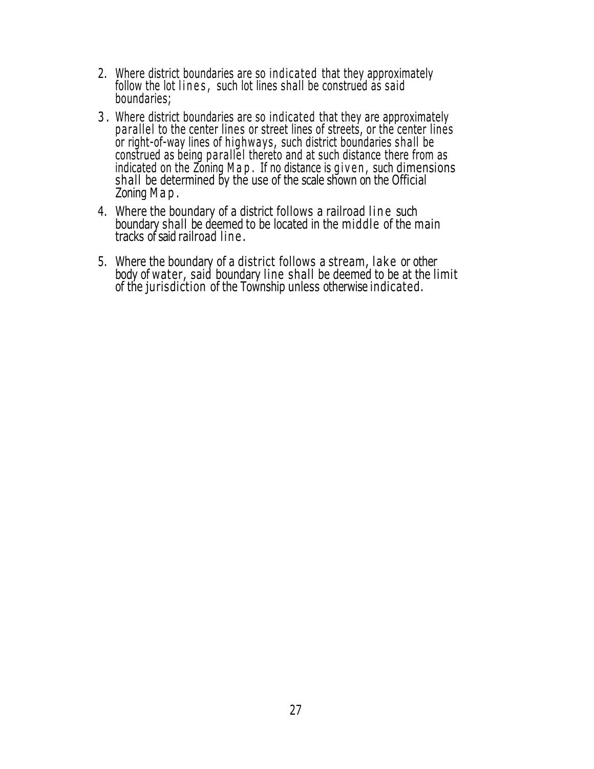- 2. Where district boundaries are so indicated that they approximately follow the lot lines, such lot lines shall be construed as said boundaries;
- 3 . Where district boundaries are so indicated that they are approximately pa rallel to the center lines or street lines of streets, or the center lines or right-of-way lines of highways, such district boundaries shall be construed as being pa rallel thereto and at such distance there from as indicated on the Zoning M a p. If no distance is given, such dimensions shall be determined by the use of the scale shown on the Official Zoning M a p .
- 4. Where the boundary of a district follows a railroad line such boundary shall be deemed to be located in the middle of the main tracks of said railroad lin e .
- 5. Where the boundary of a district follows a stream, lake or other body of water, said boundary line shall be deemed to be at the limit of the jurisdiction of the Township unless otherwise indicated.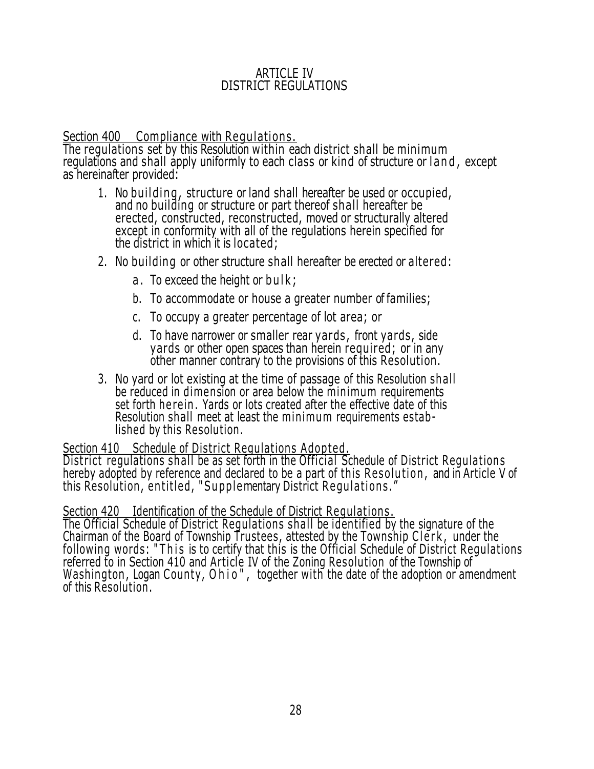#### ARTICLE IV DISTRICT REGULATIONS

### Section 400 Compliance with Regulations.

The regulations set by this Resolution within each district shall be minimum regulations and shall apply uniformly to each class or kind of structure or land, except as hereinafter provided:

- 1. No building, structure or land shall hereafter be used or occupied, and no building or structure or part thereof shall hereafter be erected, constructed, reconstructed, moved or structurally altered except in conformity with all of the regulations herein specified for the district in which it is located;
- 2. No building or other structure shall hereafter be erected or altered:
	- a. To exceed the height or bulk;
	- b. To accommodate or house a greater number of families;
	- c. To occupy a greater percentage of lot area; or
	- d. To have narrower or smaller rear yards , front yards, side yards or other open spaces than herein required; or in any other manner contrary to the provisions of this Resolution.
- 3. No yard or lot existing at the time of passage of this Resolution shall be reduced in dimension or area below the minimum requirements set forth herein. Yards or lots created after the effective date of this Resolution shall meet at least the minimum requirements established by this Resolution .

#### Section 410 Schedule of District Regulations Adopted.

District regulations shall be as set forth in the Official Schedule of District Regulations hereby adopted by reference and declared to be a part of this Resolution, and in Article V of this Resolution, entitled, "Supplementary District Regulations."

### Section 420 Identification of the Schedule of District Regulations.

The Official Schedule of District Regulations shall be identified by the signature of the Chairman of the Board of Township Trustees, attested by the Township Clerk, under the following words: "This is to certify that this is the Official Schedule of District Regulations referred to in Section 410 and Article IV of the Zoning Resolution of the Township of Washington, Logan County, Ohio", together with the date of the adoption or amendment of this Resolution .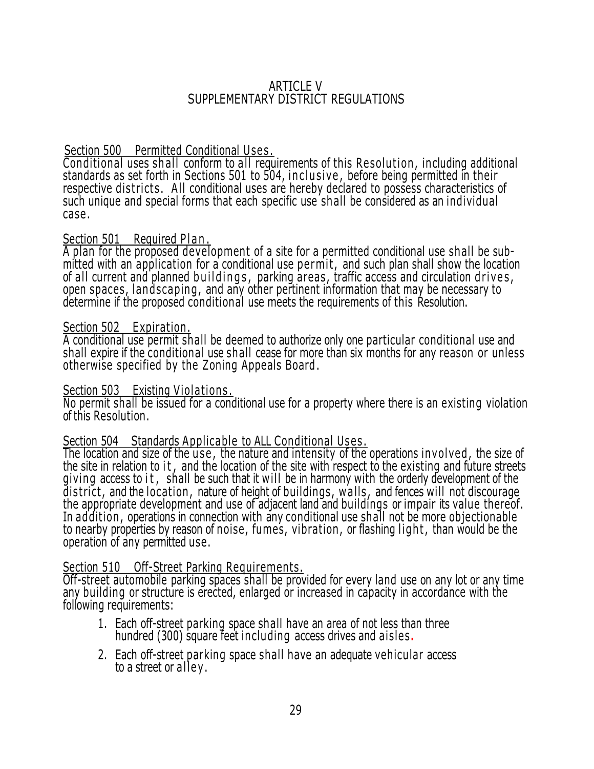#### ARTICLE V SUPPLEMENTARY DISTRICT REGULATIONS

### Section 500 Permitted Conditional Uses.

Conditional uses shall conform to all requirements of this Resolution, including additional standards as set forth in Sections 501 to 504, inclusive, before being permitted in their respective districts. All conditional uses are hereby declared to possess characteristics of such unique and special forms that each specific use shall be considered as an individual case .

#### Section 501 Required Plan.

A plan for the proposed development of a site for a permitted conditional use shall be submitted with an application for a conditional use permit, and such plan shall show the location of all current and planned buildings, parking areas, traffic access and circulation drives, open spaces, landscaping, and any other pertinent information that may be necessary to determine if the proposed conditional use meets the requirements of this Resolution.

#### Section 502 Expiration.

A conditional use permit shall be deemed to authorize only one particular conditional use and shall expire if the conditional use shall cease for more than six months for any reason or unless otherwise specified by the Zoning Appeals Board.

#### Section 503 Existing Violations.

No permit shall be issued for a conditional use for a property where there is an existing violation of this Resolution.

#### Section 504 Standards Applicable to ALL Conditional Uses.

The location and size of the use, the nature and intensity of the operations involved, the size of the site in relation to it, and the location of the site with respect to the existing and future streets giving access to it, shall be such that it will be in harmony with the orderly development of the district, and the location, nature of height of buildings, walls, and fences will not discourage the appropriate development and use of adjacent land and buildings or impair its value thereof. In addition , operations in connection with any conditional use shall not be more objectionable to nearby properties by reason of noise, fumes, vibration, or flashing light, than would be the operation of any permitted use.

#### Section 510 Off-Street Parking Requirements.

Off-street automobile parking spaces shall be provided for every land use on any lot or any time any building or structure is erected, enlarged or increased in capacity in accordance with the following requirements:

- 1. Each off-street parking space shall have an area of not less than three hundred (300) square feet including access drives and aisles**.**
- 2. Each off-street parking space shall have an adequate vehicular access to a street or alley.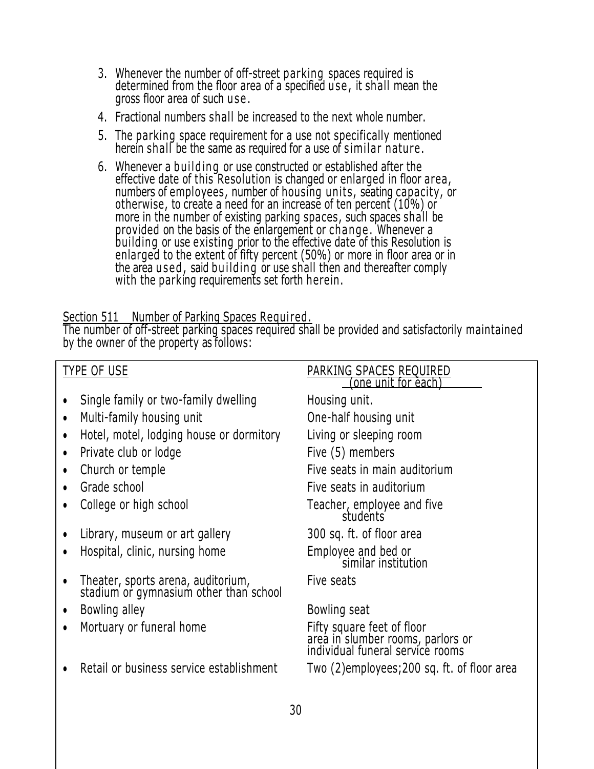- 3. Whenever the number of off-street parking spaces required is determined from the floor area of a specified u se , it shall mean the gross floor area of such use.
- 4. Fractional numbers shall be increased to the next whole number.
- 5. The parking space requirement for a use not specifically mentioned herein shall be the same as required for a use of similar nature.
- 6. Whenever a building or use constructed or established after the effective date of this Resolution is changed or enlarged in floor area, numbers of employees, number of housing units, seating capacity, or otherwise, to create a need for an increase of ten percent (10%) or more in the number of existing parking spaces, such spaces shall be provided on the basis of the enlargement or change . Whenever a building or use existing prior to the effective date of this Resolution is enlarged to the extent of fifty percent (50%) or more in floor area or in the area used, said building or use shall then and thereafter comply with the parking requirements set forth herein.

### Section 511 Number of Parking Spaces Required.

The number of off-street parking spaces required shall be provided and satisfactorily maintained by the owner of the property as follows:

| TYPE OF USE                                                                  | PARKING SPACES REQUIRED<br><u>(one unit for each)</u>                                               |
|------------------------------------------------------------------------------|-----------------------------------------------------------------------------------------------------|
| Single family or two-family dwelling                                         | Housing unit.                                                                                       |
| Multi-family housing unit<br>$\bullet$                                       | One-half housing unit                                                                               |
| Hotel, motel, lodging house or dormitory                                     | Living or sleeping room                                                                             |
| Private club or lodge<br>$\bullet$                                           | Five (5) members                                                                                    |
| Church or temple<br>$\bullet$                                                | Five seats in main auditorium                                                                       |
| Grade school<br>$\bullet$                                                    | Five seats in auditorium                                                                            |
| College or high school                                                       | Teacher, employee and five<br>students                                                              |
| Library, museum or art gallery                                               | 300 sq. ft. of floor area                                                                           |
| Hospital, clinic, nursing home                                               | Employee and bed or<br>similar institution                                                          |
| Theater, sports arena, auditorium,<br>stadium or gymnasium other than school | Five seats                                                                                          |
| Bowling alley<br>$\bullet$                                                   | Bowling seat                                                                                        |
| Mortuary or funeral home                                                     | Fifty square feet of floor<br>area in slumber rooms, parlors or<br>individual funeral service rooms |
| Retail or business service establishment                                     | Two (2) employees; 200 sq. ft. of floor area                                                        |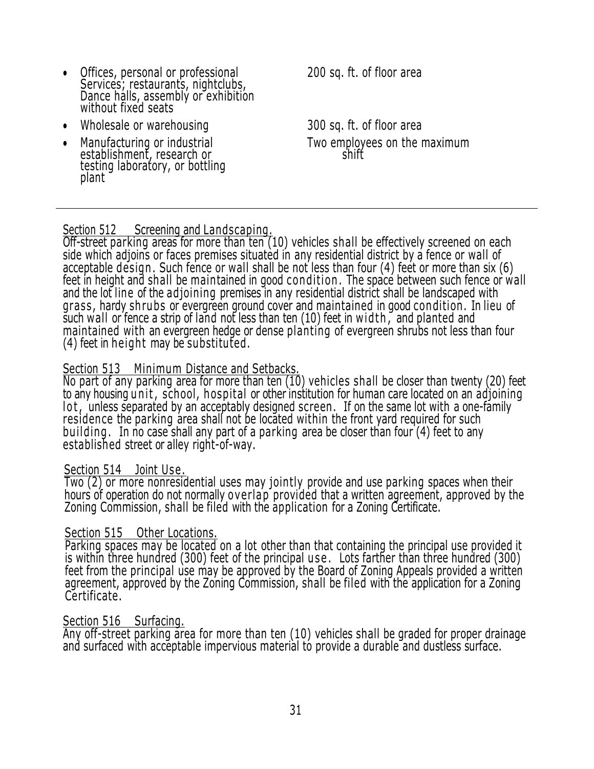- Offices, personal or professional 200 sq. ft. of floor area Services; restaurants, nightclubs, Dance halls, assembly or exhibition without fixed seats
- Wholesale or warehousing 300 sq. ft. of floor area
- Manufacturing or industrial **Two employees on the maximum**<br>establishment, research or Manufacturing or industrial<br>establishment, research or testing laboratory, or bottling plant

### Section 512 Screening and Landscaping.

Off-street parking areas for more than ten (10) vehicles shall be effectively screened on each side which adjoins or faces premises situated in any residential district by a fence or wall of acceptable design. Such fence or wall shall be not less than four (4) feet or more than six (6) feet in height and shall be maintained in good condition. The space between such fence or wall and the lot line of the adjoining premises in any residential district shall be landscaped with grass, hardy shrubs or evergreen ground cover and maintained in good condition. In lieu of such wall or fence a strip of land not less than ten (10) feet in width, and planted and maintained with an evergreen hedge or dense planting of evergreen shrubs not less than four  $(4)$  feet in height may be substituted.

### Section 513 Minimum Distance and Setbacks.

No part of any parking area for more than ten (10) vehicles shall be closer than twenty (20) feet to any housing unit, school, hospital or other institution for human care located on an adjoining lot, unless separated by an acceptably designed screen. If on the same lot with a one-family residence the parking area shall not be located within the front yard required for such buil ding . In no case shall any part of a parking area be closer than four (4) feet to any established street or alley right-of-way.

### Section 514 Joint Use.

Two (2) or more nonresidential uses may jointly provide and use parking spaces when their hours of operation do not normally overlap provided that a written agreement, approved by the Zoning Commission, shall be filed with the application for a Zoning Certificate.

### Section 515 Other Locations.

Parking spaces may be located on a lot other than that containing the principal use provided it is within three hundred (300) feet of the principal use. Lots farther than three hundred (300) feet from the principal use may be approved by the Board of Zoning Appeals provided a written agreement, approved by the Zoning Commission, shall be filed with the application for a Zoning Certificate.

### Section 516 Surfacing.

Any off-street parking area for more than ten (10) vehicles shall be graded for proper drainage and surfaced with acceptable impervious material to provide a durable and dustless surface.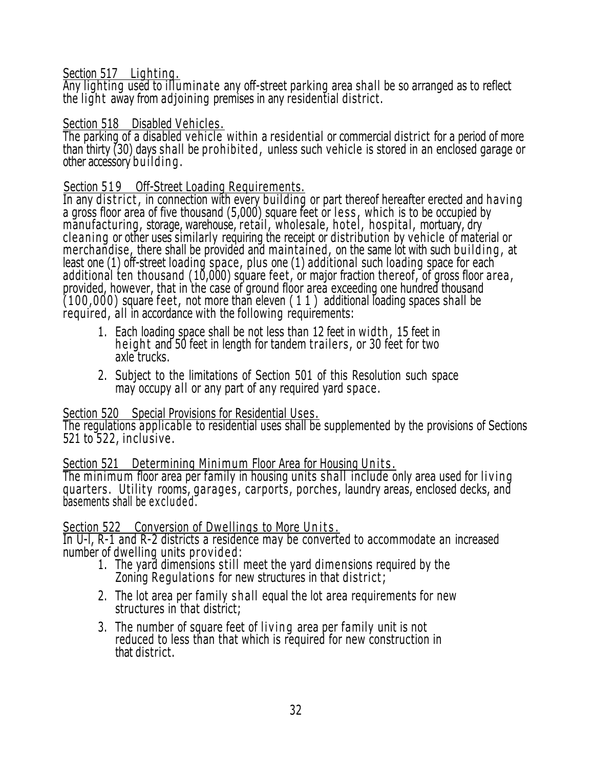### Section 517 Lighting.

Any lighting used to illuminate any off-street parking area shall be so arranged as to reflect the light away from adjoining premises in any residential district.

### Section 518 Disabled Vehicles.

The parking of a disabled vehicle within a residential or commercial district for a period of more than thirty (30) days shall be prohibited, unless such vehicle is stored in an enclosed garage or other accessory building.

# Section 519 Off-Street Loading Requirements.

In any district, in connection with every building or part thereof hereafter erected and having a gross floor area of five thousand (5,000) square feet or less, which is to be occupied by manu facturing, storage, warehouse, retail, wholesale, hotel, hospital, mortuary, dry cleaning or other uses similarly requiring the receipt or distribution by vehicle of material or merchandise, there shall be provided and maintained, on the same lot with such building, at least one (1) off-street loading space, plus one (1) additional such loading space for each additional ten thousand (10,000) square feet, or major fraction thereof, of gross floor area, provided, however, that in the case of ground floor area exceeding one hundred thousand  $(100,000)$  square feet, not more than eleven  $(11)$  additional loading spaces shall be required, all in accordance with the following requirements:

- 1. Each loading space shall be not less than 12 feet in width, 15 feet in height and 50 feet in length for tandem trailers, or 30 feet for two axle trucks.
- 2. Subject to the limitations of Section 501 of this Resolution such space may occupy all or any part of any required yard space.

### Section 520 Special Provisions for Residential Uses.

The regulations applicable to residential uses shall be supplemented by the provisions of Sections 521 to 522, inclusive.

### Section 521 Determining Minimum Floor Area for Housing Units.

The minimum floor area per family in housing units shall include only area used for living quarters. Utility rooms, garages, carports, porches, laundry areas, enclosed decks, and basements shall be excluded.

### Section 522 Conversion of Dwellings to More Units.

In U-l, R-1 and R-2 districts a residence may be converted to accommodate an increased number of dwelling units provided:

- 1. The yard dimensions s till meet the yard dimensions required by the Zoning Regulations for new structures in that district;
- 2. The lot area per family shall equal the lot area requirements for new structures in that district;
- 3. The number of square feet of living area per family unit is not reduced to less than that which is required for new construction in that district.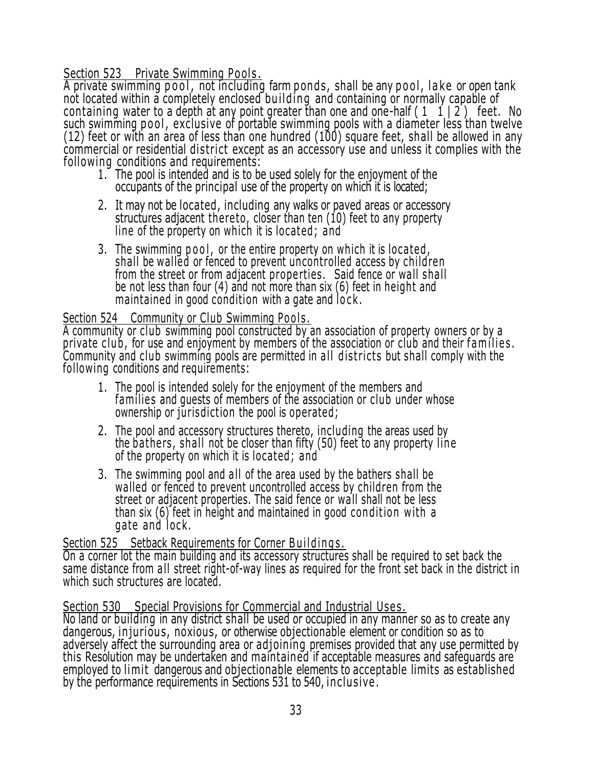Section 523 Private Swimming Pools.

A private swimming pool, not including farm ponds, shall be any pool, lake or open tank not located within a completely enclosed building and containing or normally capable of containing water to a depth at any point greater than one and one-half  $(1\ 1\ 1\ 2)$  feet. No such swimming pool, exclusive of portable swimming pools with a diameter less than twelve  $(12)$  feet or with an area of less than one hundred  $(100)$  square feet, shall be allowed in any commercial or residential district except as an accessory use and unless it complies with the following conditions and requirements:

- 1. The pool is intended and is to be used solely for the enjoyment of the occupants of the principal use of the property on which it is located;
- 2. It may not be located, including any walks or paved areas or accessory structures adjacent there to, closer than ten (10) feet to any property line of the property on which it is located; and
- 3. The swimming pool, or the entire property on which it is located, shall be walled or fenced to prevent uncontrolled access by children from the street or from adjacent properties. Said fence or wall shall be not less than four (4) and not more than six (6) feet in height and maintained in good condition with a gate and lock.

#### Section 524 Community or Club Swimming Pools.

A community or club swimming pool constructed by an association of property owners or by a private club, for use and enjoyment by members of the association or club and their families. Community and club swimming pools are permitted in all districts but shall comply with the following conditions and requirements:

- 1. The pool is intended solely for the enjoyment of the members and families and quests of members of the association or club under whose ownership or jurisdiction the pool is operated;
- 2. The pool and accessory structures thereto, including the areas used by the bathers, shall not be closer than fifty (50) feet to any property line of the property on which it is located; and
- 3. The swimming pool and all of the area used by the bathers shall be walled or fenced to prevent uncontrolled access by children from the street or adjacent properties. The said fence or wall shall not be less than six (6) feet in height and maintained in good condition with a gate and lock.

#### <u>Section 525 Setback Requirements for Corner Buildings.</u> On a corner lot the main building and its accessory structures shall be required to set back the same distance from all street right-of-way lines as required for the front set back in the district in which such structures are located.

### Section 530 Special Provisions for Commercial and Industrial Uses .

No land or building in any district shall be used or occupied in any manner so as to create any dangerous, injurious, noxious, or otherwise objectionable element or condition so as to adversely affect the surrounding area or adjoining premises provided that any use permitted by this Resolution may be undertaken and maintained if acceptable measures and safeguards are employed to limit dangerous and objectionable elements to acceptable limits as established by the performance requirements in Sections 531 to 540, in clu sive .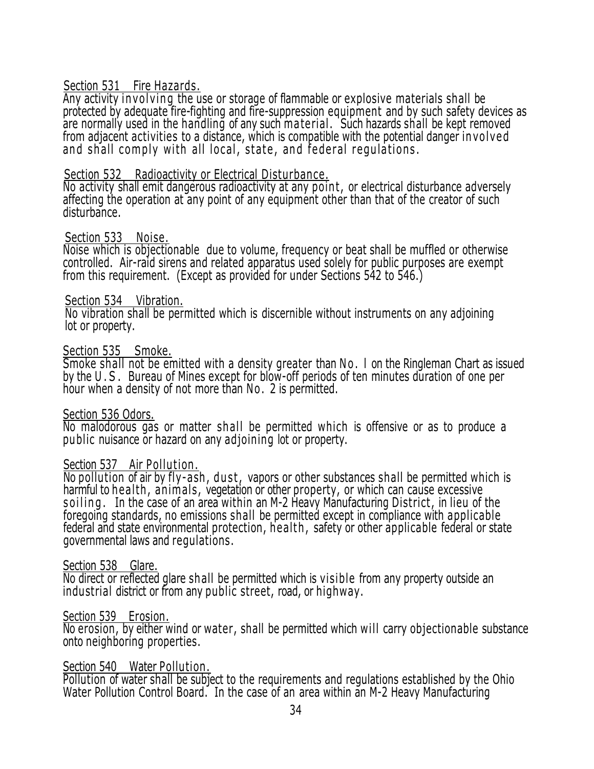#### Section 531 Fire Hazards.

Any activity involving the use or storage of flammable or explosive materials shall be protected by adequate fire-fighting and fire-suppression equipment and by such safety devices as are normally used in the handling of any such ma terial . Such hazards shall be kept removed from adjacent activities to a distance, which is compatible with the potential danger in vol ve d and shall comply with all local, state, and federal regulations.

#### Section 532 Radioactivity or Electrical Disturbance.

No activity shall emit dangerous radioactivity at any point, or electrical disturbance adversely affecting the operation at any point of any equipment other than that of the creator of such disturbance.

#### Section 533 Noise.

Noise which is objectionable due to volume, frequency or beat shall be muffled or otherwise controlled. Air-raid sirens and related apparatus used solely for public purposes are exempt from this requirement. (Except as provided for under Sections 542 to 546.)

#### Section 534 Vibration.

No vibration shall be permitted which is discernible without instruments on any adjoining lot or property.

#### Section 535 Smoke.

Smoke shall not be emitted with a density greater than No. I on the Ringleman Chart as issued by the U.S. Bureau of Mines except for blow-off periods of ten minutes duration of one per hour when a density of not more than No. 2 is permitted.

#### Section 536 Odors.

No malodorous gas or matter shall be permitted which is offensive or as to produce a public nuisance or hazard on any adjoining lot or property.

#### Section 537 Air Pollution.

No pollution of air by fly-ash, dust, vapors or other substances shall be permitted which is harmful to health, animals, vegetation or other property, or which can cause excessive soiling. In the case of an area within an M-2 Heavy Manufacturing District, in lieu of the foregoing standards, no emissions shall be permitted except in compliance with applicable federal and state environmental protection, health, safety or other applicable federal or state governmental laws and regulations.

#### Section 538 Glare.

No direct or reflected glare shall be permitted which is visible from any property outside an industrial district or from any public street, road, or highway.

#### Section 539 Erosion.

No erosion, by either wind or water, shall be permitted which will carry objectionable substance onto neighboring properties.

#### Section 540 Water Pollution.

Pollution of water shall be subject to the requirements and regulations established by the Ohio Water Pollution Control Board. In the case of an area within an M-2 Heavy Manufacturing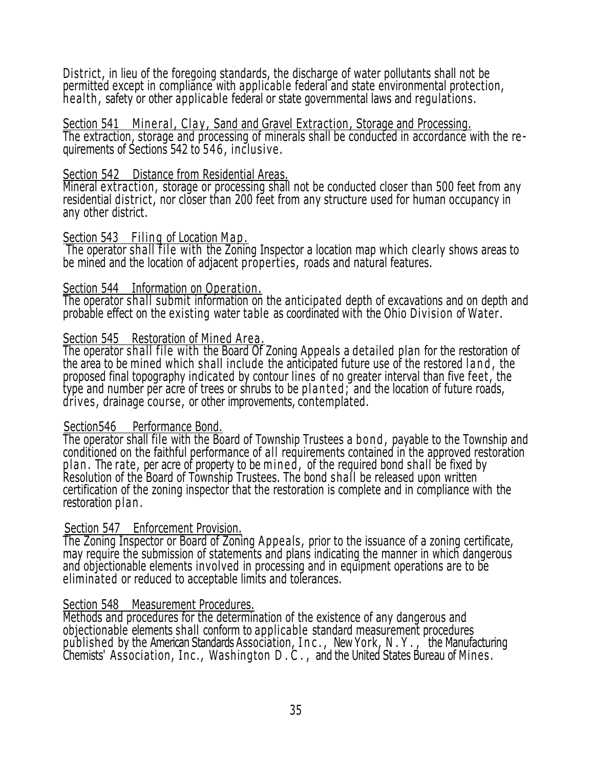District, in lieu of the foregoing standards, the discharge of water pollutants shall not be permitted except in compliance with applicable federal and state environmental protection, health, safety or other applicable federal or state governmental laws and regulations.

Section 541 Mineral, Clay, Sand and Gravel Extraction, Storage and Processing. The extraction, storage and processing of minerals shall be conducted in accordance with the requirements of Sections 542 to 546, inclusive .

#### Section 542 Distance from Residential Areas.

Mineral extraction , storage or processing shall not be conducted closer than 500 feet from any residential district, nor closer than 200 feet from any structure used for human occupancy in any other district.

#### Section 543 Filing of Location Map.

The operator shall file with the Zoning Inspector a location map which clearly shows areas to be mined and the location of adjacent properties, roads and natural features.

#### Section 544 Information on Operation.

The operator shall submit information on the anticipated depth of excavations and on depth and probable effect on the existing water table as coordinated with the Ohio Division of Water.

### Section 545 Restoration of Mined Area.

The operator shall file with the Board Of Zoning Appeals a detailed plan for the restoration of the area to be mined which shall include the anticipated future use of the restored land, the proposed final topography indicated by contour lines of no greater interval than five feet , the type and number per acre of trees or shrubs to be planted; and the location of future roads, drives , drainage course, or other improvements, contemplated.

### Section546 Performance Bond.

The operator shall file with the Board of Township Trustees a b on d , payable to the Township and conditioned on the faithful performance of all requirements contained in the approved restoration plan. The rate, per acre of property to be mined, of the required bond shall be fixed by Resolution of the Board of Township Trustees. The bond shall be released upon written certification of the zoning inspector that the restoration is complete and in compliance with the restoration plan.

### Section 547 Enforcement Provision.

The Zoning Inspector or Board of Zoning Appeals, prior to the issuance of a zoning certificate, may require the submission of statements and plans indicating the manner in which dangerous and objectionable elements involved in processing and in equipment operations are to be eliminated or reduced to acceptable limits and tolerances.

### Section 548 Measurement Procedures.

Methods and procedures for the determination of the existence of any dangerous and objectionable elements shall conform to applicable standard measurement procedures published by the American Standards Association, I n c . , New York, N . Y . , the Manufacturing Chemists' Association, Inc., Washington D.C., and the United States Bureau of Mines.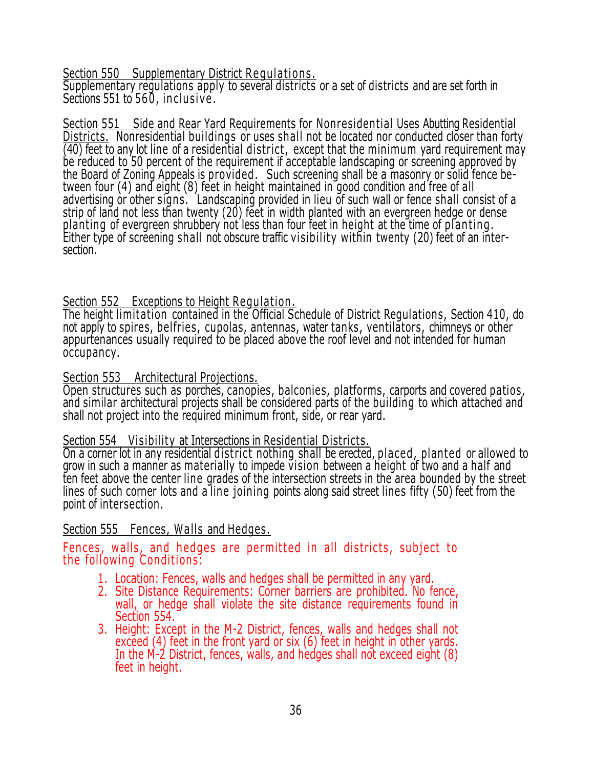Section 550 Supplementary District Requilations.

Supplementary regulations apply to several districts or a set of districts and are set forth in Sections 551 to 560, inclusive.

Section 551 Side and Rear Yard Requirements for Nonresidential Uses Abutting Residential Districts. Nonresidential buildings or uses shall not be located nor conducted closer than forty  $\overline{(40)}$  feet to any lot line of a residential district, except that the minimum yard requirement may be reduced to 50 percent of the requirement if acceptable landscaping or screening approved by the Board of Zoning Appeals is provided . Such screening shall be a masonry or solid fence between four (4) and eight (8) feet in height maintained in good condition and free of all advertising or other signs. Landscaping provided in lieu of such wall or fence shall consist of a strip of land not less than twenty (20) feet in width planted with an evergreen hedge or dense planting of evergreen shrubbery not less than four feet in height at the time of planting. Either type of screening shall not obscure traffic visibility within twenty (20) feet of an intersection.

### Section 552 Exceptions to Height Regulation.

The height limitation contained in the Official Schedule of District Regulations, Section 410, do not apply to spires, belfries, cupolas, antennas, water tanks, ventilators, chimneys or other appurtenances usually required to be placed above the roof level and not intended for human occupancy.

### Section 553 Architectural Projections.

Open structures such as porches, canopies, balconies, platforms, carports and covered patios, and similar architectural projects shall be considered parts of the building to which attached and shall not project into the required minimum front, side, or rear yard.

### Section 554 Visibility at Intersections in Residential Districts.

On a corner lot in any residential district nothing shall be erected, placed , planted or allowed to grow in such a manner as materially to impede vision between a height of two and a half and ten feet above the center line grades of the intersection streets in the area bounded by the street lines of such corner lots and a line joining points along said street lines fifty (50) feet from the point of intersection.

### Section 555 Fences, Walls and Hedges.

Fences, walls, and hedges are permitted in all districts, subject to the following Conditions:

- 1. Location: Fences, walls and hedges shall be permitted in any yard.
- 2. Site Distance Requirements: Corner barriers are prohibited. No fence, wall, or hedge shall violate the site distance requirements found in Section 554.
- 3. Height: Except in the M-2 District, fences, walls and hedges shall not exceed (4) feet in the front yard or six (6) feet in height in other yards. In the M-2 District, fences, walls, and hedges shall not exceed eight (8) feet in height.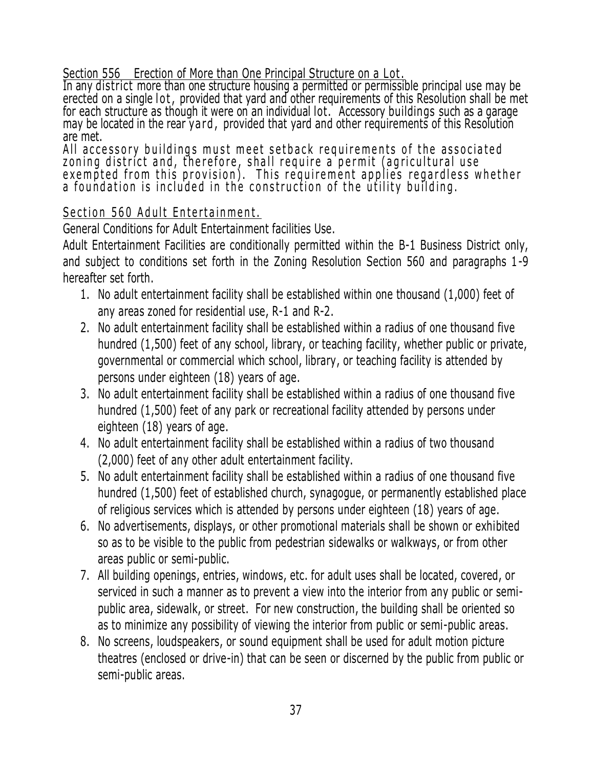# Section 556 Erection of More than One Principal Structure on a Lot .

In any district more than one structure housing a permitted or permissible principal use may be erected on a single lot, provided that yard and other requirements of this Resolution shall be met for each structure as though it were on an individual lot. Accessory buildings such as a garage may be located in the rear yard, provided that yard and other requirements of this Resolution are met.

All accessory buildings must meet setback requirements of the associated zoning district and, therefore, shall require a permit (agricultural use exempted from this provision). This requirement applies regardless whether a foundation is included in the construction of the utility building.

# Section 560 Adult Entertainment.

General Conditions for Adult Entertainment facilities Use.

Adult Entertainment Facilities are conditionally permitted within the B-1 Business District only, and subject to conditions set forth in the Zoning Resolution Section 560 and paragraphs 1-9 hereafter set forth.

- 1. No adult entertainment facility shall be established within one thousand (1,000) feet of any areas zoned for residential use, R-1 and R-2.
- 2. No adult entertainment facility shall be established within a radius of one thousand five hundred (1,500) feet of any school, library, or teaching facility, whether public or private, governmental or commercial which school, library, or teaching facility is attended by persons under eighteen (18) years of age.
- 3. No adult entertainment facility shall be established within a radius of one thousand five hundred (1,500) feet of any park or recreational facility attended by persons under eighteen (18) years of age.
- 4. No adult entertainment facility shall be established within a radius of two thousand (2,000) feet of any other adult entertainment facility.
- 5. No adult entertainment facility shall be established within a radius of one thousand five hundred (1,500) feet of established church, synagogue, or permanently established place of religious services which is attended by persons under eighteen (18) years of age.
- 6. No advertisements, displays, or other promotional materials shall be shown or exhibited so as to be visible to the public from pedestrian sidewalks or walkways, or from other areas public or semi-public.
- 7. All building openings, entries, windows, etc. for adult uses shall be located, covered, or serviced in such a manner as to prevent a view into the interior from any public or semipublic area, sidewalk, or street. For new construction, the building shall be oriented so as to minimize any possibility of viewing the interior from public or semi-public areas.
- 8. No screens, loudspeakers, or sound equipment shall be used for adult motion picture theatres (enclosed or drive-in) that can be seen or discerned by the public from public or semi-public areas.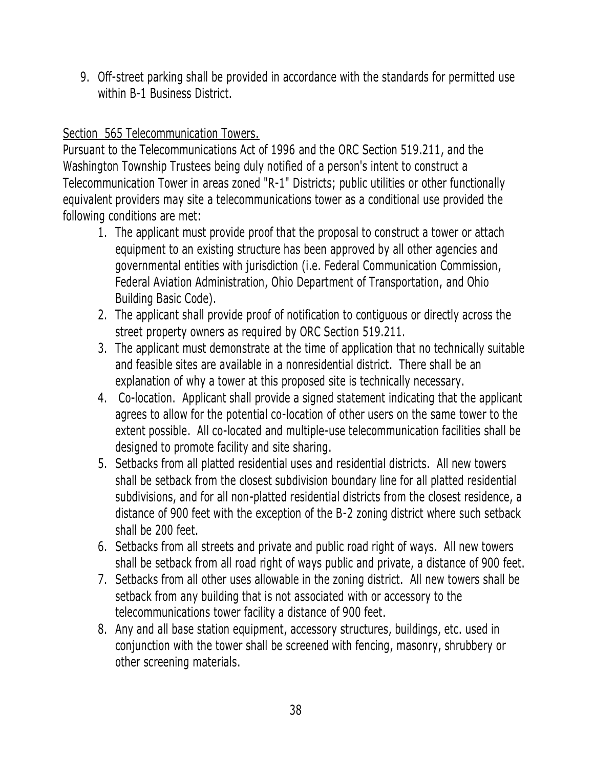9. Off-street parking shall be provided in accordance with the standards for permitted use within B-1 Business District.

# Section 565 Telecommunication Towers.

Pursuant to the Telecommunications Act of 1996 and the ORC Section 519.211, and the Washington Township Trustees being duly notified of a person's intent to construct a Telecommunication Tower in areas zoned "R-1" Districts; public utilities or other functionally equivalent providers may site a telecommunications tower as a conditional use provided the following conditions are met:

- 1. The applicant must provide proof that the proposal to construct a tower or attach equipment to an existing structure has been approved by all other agencies and governmental entities with jurisdiction (i.e. Federal Communication Commission, Federal Aviation Administration, Ohio Department of Transportation, and Ohio Building Basic Code).
- 2. The applicant shall provide proof of notification to contiguous or directly across the street property owners as required by ORC Section 519.211.
- 3. The applicant must demonstrate at the time of application that no technically suitable and feasible sites are available in a nonresidential district. There shall be an explanation of why a tower at this proposed site is technically necessary.
- 4. Co-location. Applicant shall provide a signed statement indicating that the applicant agrees to allow for the potential co-location of other users on the same tower to the extent possible. All co-located and multiple-use telecommunication facilities shall be designed to promote facility and site sharing.
- 5. Setbacks from all platted residential uses and residential districts. All new towers shall be setback from the closest subdivision boundary line for all platted residential subdivisions, and for all non-platted residential districts from the closest residence, a distance of 900 feet with the exception of the B-2 zoning district where such setback shall be 200 feet.
- 6. Setbacks from all streets and private and public road right of ways. All new towers shall be setback from all road right of ways public and private, a distance of 900 feet.
- 7. Setbacks from all other uses allowable in the zoning district. All new towers shall be setback from any building that is not associated with or accessory to the telecommunications tower facility a distance of 900 feet.
- 8. Any and all base station equipment, accessory structures, buildings, etc. used in conjunction with the tower shall be screened with fencing, masonry, shrubbery or other screening materials.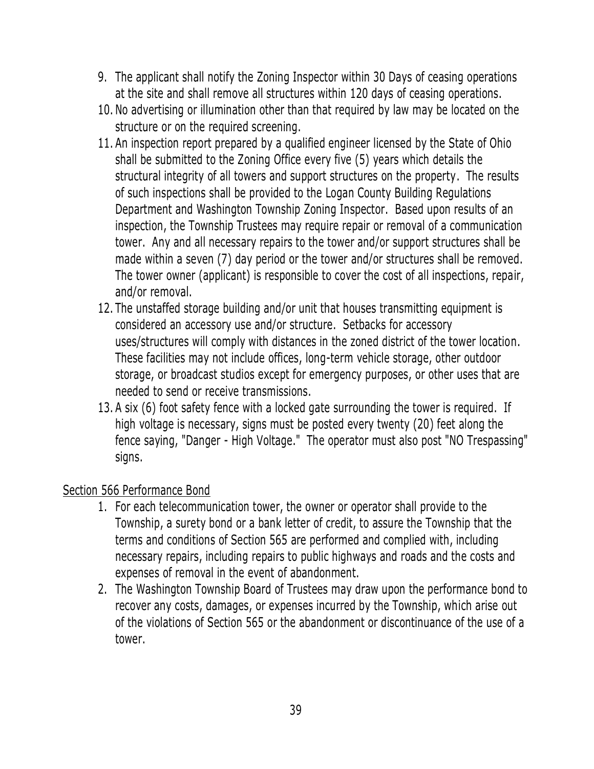- 9. The applicant shall notify the Zoning Inspector within 30 Days of ceasing operations at the site and shall remove all structures within 120 days of ceasing operations.
- 10. No advertising or illumination other than that required by law may be located on the structure or on the required screening.
- 11. An inspection report prepared by a qualified engineer licensed by the State of Ohio shall be submitted to the Zoning Office every five (5) years which details the structural integrity of all towers and support structures on the property. The results of such inspections shall be provided to the Logan County Building Regulations Department and Washington Township Zoning Inspector. Based upon results of an inspection, the Township Trustees may require repair or removal of a communication tower. Any and all necessary repairs to the tower and/or support structures shall be made within a seven (7) day period or the tower and/or structures shall be removed. The tower owner (applicant) is responsible to cover the cost of all inspections, repair, and/or removal.
- 12. The unstaffed storage building and/or unit that houses transmitting equipment is considered an accessory use and/or structure. Setbacks for accessory uses/structures will comply with distances in the zoned district of the tower location. These facilities may not include offices, long-term vehicle storage, other outdoor storage, or broadcast studios except for emergency purposes, or other uses that are needed to send or receive transmissions.
- 13. A six (6) foot safety fence with a locked gate surrounding the tower is required. If high voltage is necessary, signs must be posted every twenty (20) feet along the fence saying, "Danger - High Voltage." The operator must also post "NO Trespassing" signs.

# Section 566 Performance Bond

- 1. For each telecommunication tower, the owner or operator shall provide to the Township, a surety bond or a bank letter of credit, to assure the Township that the terms and conditions of Section 565 are performed and complied with, including necessary repairs, including repairs to public highways and roads and the costs and expenses of removal in the event of abandonment.
- 2. The Washington Township Board of Trustees may draw upon the performance bond to recover any costs, damages, or expenses incurred by the Township, which arise out of the violations of Section 565 or the abandonment or discontinuance of the use of a tower.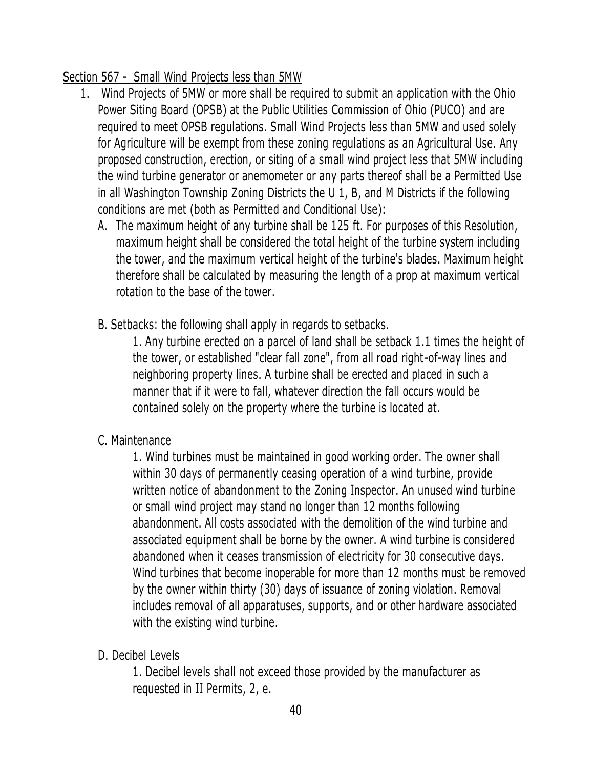# Section 567 - Small Wind Projects less than 5MW

- 1. Wind Projects of 5MW or more shall be required to submit an application with the Ohio Power Siting Board (OPSB) at the Public Utilities Commission of Ohio (PUCO) and are required to meet OPSB regulations. Small Wind Projects less than 5MW and used solely for Agriculture will be exempt from these zoning regulations as an Agricultural Use. Any proposed construction, erection, or siting of a small wind project less that 5MW including the wind turbine generator or anemometer or any parts thereof shall be a Permitted Use in all Washington Township Zoning Districts the U 1, B, and M Districts if the following conditions are met (both as Permitted and Conditional Use):
	- A. The maximum height of any turbine shall be 125 ft. For purposes of this Resolution, maximum height shall be considered the total height of the turbine system including the tower, and the maximum vertical height of the turbine's blades. Maximum height therefore shall be calculated by measuring the length of a prop at maximum vertical rotation to the base of the tower.
	- B. Setbacks: the following shall apply in regards to setbacks.

1. Any turbine erected on a parcel of land shall be setback 1.1 times the height of the tower, or established "clear fall zone", from all road right-of-way lines and neighboring property lines. A turbine shall be erected and placed in such a manner that if it were to fall, whatever direction the fall occurs would be contained solely on the property where the turbine is located at.

C. Maintenance

1. Wind turbines must be maintained in good working order. The owner shall within 30 days of permanently ceasing operation of a wind turbine, provide written notice of abandonment to the Zoning Inspector. An unused wind turbine or small wind project may stand no longer than 12 months following abandonment. All costs associated with the demolition of the wind turbine and associated equipment shall be borne by the owner. A wind turbine is considered abandoned when it ceases transmission of electricity for 30 consecutive days. Wind turbines that become inoperable for more than 12 months must be removed by the owner within thirty (30) days of issuance of zoning violation. Removal includes removal of all apparatuses, supports, and or other hardware associated with the existing wind turbine.

D. Decibel Levels

1. Decibel levels shall not exceed those provided by the manufacturer as requested in II Permits, 2, e.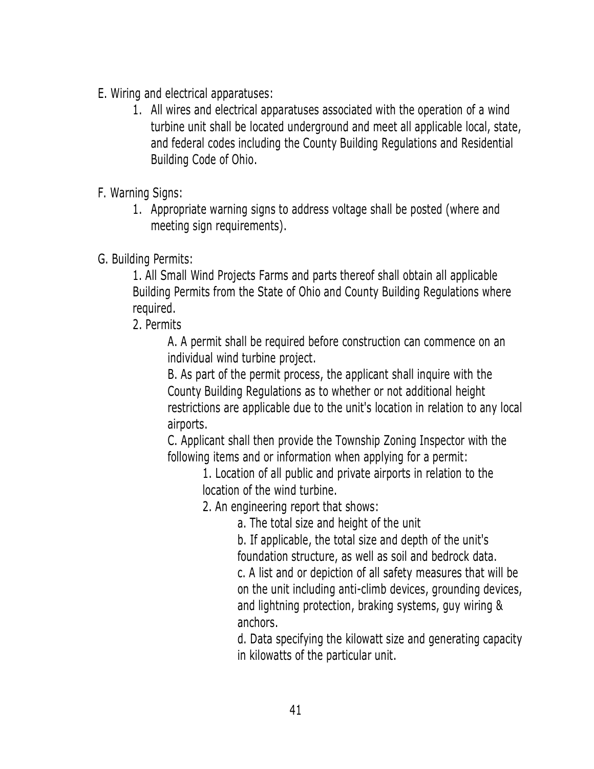- E. Wiring and electrical apparatuses:
	- 1. All wires and electrical apparatuses associated with the operation of a wind turbine unit shall be located underground and meet all applicable local, state, and federal codes including the County Building Regulations and Residential Building Code of Ohio.
- F. Warning Signs:
	- 1. Appropriate warning signs to address voltage shall be posted (where and meeting sign requirements).
- G. Building Permits:

1. All Small Wind Projects Farms and parts thereof shall obtain all applicable Building Permits from the State of Ohio and County Building Regulations where required.

2. Permits

A. A permit shall be required before construction can commence on an individual wind turbine project.

B. As part of the permit process, the applicant shall inquire with the County Building Regulations as to whether or not additional height restrictions are applicable due to the unit's location in relation to any local airports.

C. Applicant shall then provide the Township Zoning Inspector with the following items and or information when applying for a permit:

> 1. Location of all public and private airports in relation to the location of the wind turbine.

2. An engineering report that shows:

a. The total size and height of the unit

b. If applicable, the total size and depth of the unit's foundation structure, as well as soil and bedrock data.

c. A list and or depiction of all safety measures that will be on the unit including anti-climb devices, grounding devices, and lightning protection, braking systems, guy wiring & anchors.

d. Data specifying the kilowatt size and generating capacity in kilowatts of the particular unit.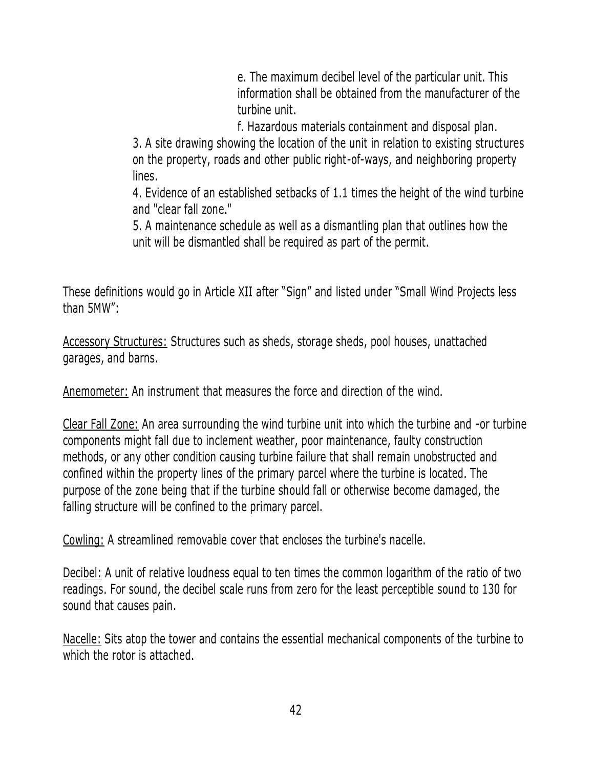e. The maximum decibel level of the particular unit. This information shall be obtained from the manufacturer of the turbine unit.

f. Hazardous materials containment and disposal plan.

3. A site drawing showing the location of the unit in relation to existing structures on the property, roads and other public right-of-ways, and neighboring property lines.

4. Evidence of an established setbacks of 1.1 times the height of the wind turbine and "clear fall zone."

5. A maintenance schedule as well as a dismantling plan that outlines how the unit will be dismantled shall be required as part of the permit.

These definitions would go in Article XII after "Sign" and listed under "Small Wind Projects less than 5MW":

Accessory Structures: Structures such as sheds, storage sheds, pool houses, unattached garages, and barns.

Anemometer: An instrument that measures the force and direction of the wind.

Clear Fall Zone: An area surrounding the wind turbine unit into which the turbine and -or turbine components might fall due to inclement weather, poor maintenance, faulty construction methods, or any other condition causing turbine failure that shall remain unobstructed and confined within the property lines of the primary parcel where the turbine is located. The purpose of the zone being that if the turbine should fall or otherwise become damaged, the falling structure will be confined to the primary parcel.

Cowling: A streamlined removable cover that encloses the turbine's nacelle.

Decibel: A unit of relative loudness equal to ten times the common logarithm of the ratio of two readings. For sound, the decibel scale runs from zero for the least perceptible sound to 130 for sound that causes pain.

Nacelle: Sits atop the tower and contains the essential mechanical components of the turbine to which the rotor is attached.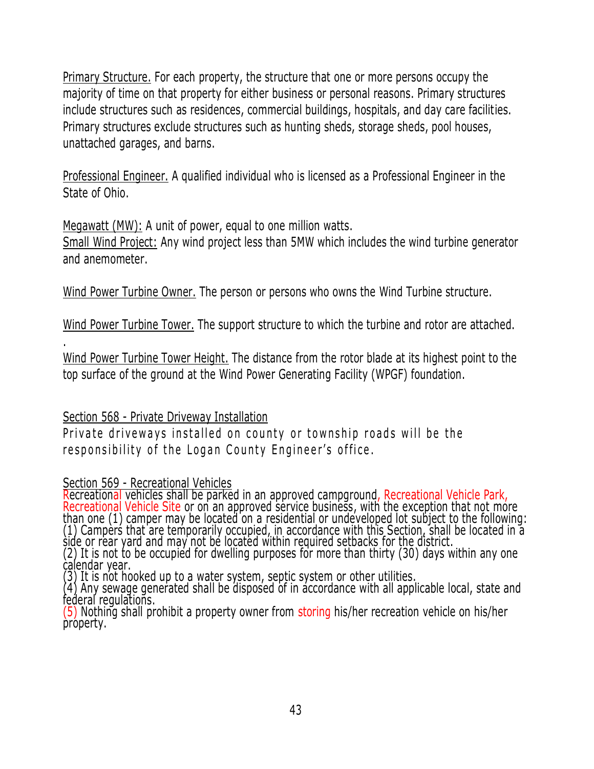Primary Structure. For each property, the structure that one or more persons occupy the majority of time on that property for either business or personal reasons. Primary structures include structures such as residences, commercial buildings, hospitals, and day care facilities. Primary structures exclude structures such as hunting sheds, storage sheds, pool houses, unattached garages, and barns.

Professional Engineer. A qualified individual who is licensed as a Professional Engineer in the State of Ohio.

Megawatt (MW): A unit of power, equal to one million watts.

Small Wind Project: Any wind project less than 5MW which includes the wind turbine generator and anemometer.

Wind Power Turbine Owner. The person or persons who owns the Wind Turbine structure.

Wind Power Turbine Tower. The support structure to which the turbine and rotor are attached.

.

Wind Power Turbine Tower Height. The distance from the rotor blade at its highest point to the top surface of the ground at the Wind Power Generating Facility (WPGF) foundation.

# Section 568 - Private Driveway Installation

Private driveways installed on county or township roads will be the responsibility of the Logan County Engineer's office.

# Section 569 - Recreational Vehicles

Recreational vehicles shall be parked in an approved campground, Recreational Vehicle Park, Recreational Vehicle Site or on an approved service business, with the exception that not more than one (1) camper may be located on a residential or undeveloped lot subject to the following: (1) Campers that are temporarily occupied, in accordance with this Section, shall be located in a side or rear yard and may not be located within required setbacks for the district. (2) It is not to be occupied for dwelling purposes for more than thirty (30) days within any one calendar year.

(3) It is not hooked up to a water system, septic system or other utilities.

(4) Any sewage generated shall be disposed of in accordance with all applicable local, state and federal regulations.

(5) Nothing shall prohibit a property owner from storing his/her recreation vehicle on his/her property.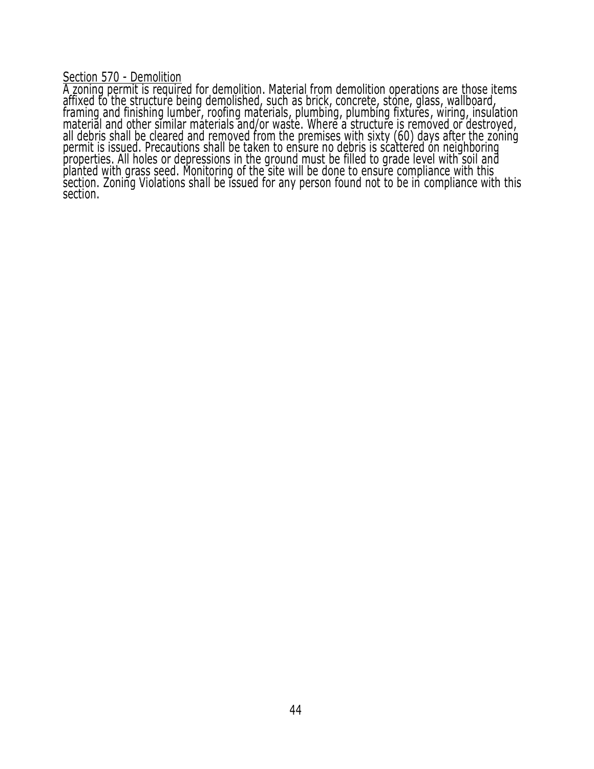Section 570 - Demolition

A zoning permit is required for demolition. Material from demolition operations are those items affixed to the structure being demolished, such as brick, concrete, stone, glass, wallboard, framing and finishing lumber, roofing materials, plumbing, plumbing fixtures, wiring, insulation<br>material and other similar materials and/or waste. Where a structure is removed or destroyed, all debris shall be cleared and removed from the premises with sixty (60) days after the zoning permit is issued. Precautions shall be taken to ensure no debris is scattered on neighboring properties. All holes or depressions in the ground must be filled to grade level with soil and planted with grass seed. Monitoring of the site will be done to ensure compliance with this section. Zoning Violations shall be issued for any person found not to be in compliance with this section.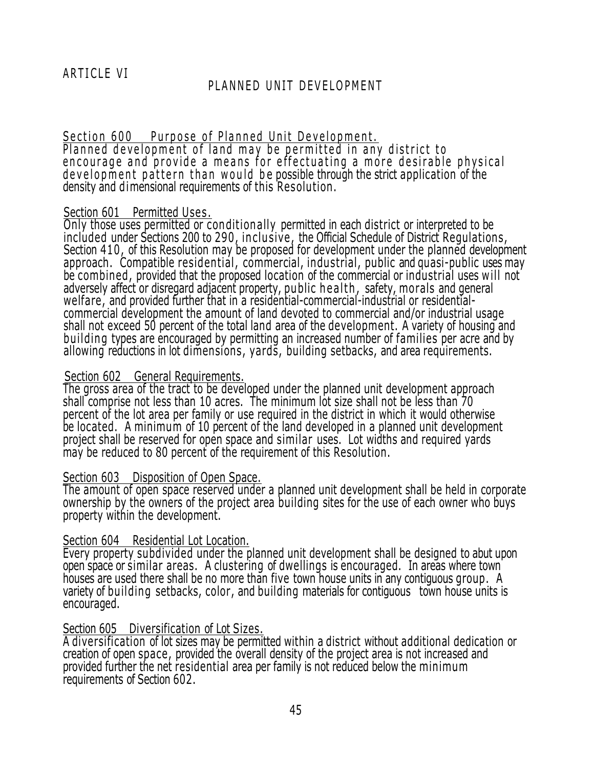Section 600 Purpose of Planned Unit Development. Planned development of land may be permitted in any district to encourage and provide a means for effectuating a more desirable physical development pattern than would be possible through the strict application of the density and dimensional requirements of this Resolution.

#### Section 601 Permitted Uses.

Only those uses permitted or conditionally permitted in each district or interpreted to be included under Sections 200 to 290, in clu sive , the Official Schedule of District Regulations, Section 410, of this Resolution may be proposed for development under the planned development approach. Compatible residential, commercial, industrial, public and quasi-public uses may be combined, provided that the proposed location of the commercial or industrial uses will not adversely affect or disregard adjacent property, public health, safety, morals and general welfare, and provided further that in a residential-commercial-industrial or residentialcommercial development the amount of land devoted to commercial and/or industrial usage shall not exceed 50 percent of the total land area of the development. A variety of housing and building types are encouraged by permitting an increased number of families per acre and by allowing reductions in lot dimensions, yards, building setbacks, and area requirements.

#### Section 602 General Requirements.

The gross area of the tract to be developed under the planned unit development approach shall comprise not less than 10 acres. The minimum lot size shall not be less than 70 percent of the lot area per family or use required in the district in which it would otherwise be located. A minimum of 10 percent of the land developed in a planned unit development project shall be reserved for open space and similar uses. Lot widths and required yards may be reduced to 80 percent of the requirement of this Resolution.

## Section 603 Disposition of Open Space.

The amount of open space reserved under a planned unit development shall be held in corporate ownership by the owners of the project area building sites for the use of each owner who buys property within the development.

## Section 604 Residential Lot Location.

Every property subdivided under the planned unit development shall be designed to abut upon open space or similar areas. A clustering of dwellings is encouraged. In areas where town houses are used there shall be no more than five town house units in any contiguous group. A variety of building setbacks, color, and building materials for contiguous town house units is encouraged.

## Section 605 Diversification of Lot Sizes.

A diversification of lot sizes may be permitted within a district without additional dedication or creation of open space, provided the overall density of the project area is not increased and provided further the net residential area per family is not reduced below the minimum requirements of Section 602.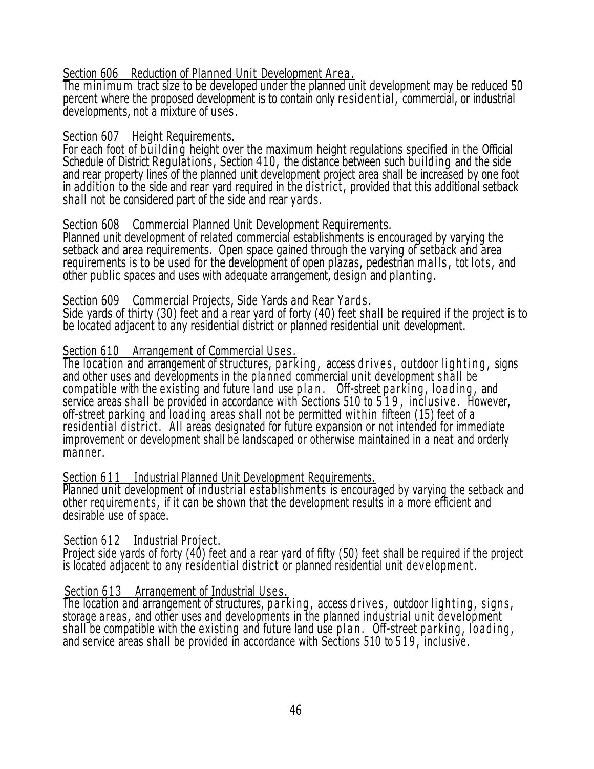Section 606 Reduction of Planned Unit Development Area.

The minimum tract size to be developed under the planned unit development may be reduced 50 percent where the proposed development is to contain only residential , commercial, or industrial developments, not a mixture of uses.

#### Section 607 Height Requirements.

For each foot of building height over the maximum height regulations specified in the Official Schedule of District Regulations, Section 410, the distance between such building and the side and rear property lines of the planned unit development project area shall be increased by one foot in addition to the side and rear yard required in the district, provided that this additional setback shall not be considered part of the side and rear yards.

## Section 608 Commercial Planned Unit Development Requirements.

Planned unit development of related commercial establishments is encouraged by varying the setback and area requirements. Open space gained through the varying of setback and area requirements is to be used for the development of open plazas, pedestrian malls, tot lots, and other public spaces and uses with adequate arrangement, design and planting.

#### Section 609 Commercial Projects, Side Yards and Rear Yards .

Side yards of thirty (30) feet and a rear yard of forty (40) feet shall be required if the project is to be located adjacent to any residential district or planned residential unit development.

## Section 610 Arrangement of Commercial Uses.

The location and arrangement of structures, parking, access drives, outdoor lighting, signs and other uses and developments in the planned commercial unit development shall be compatible with the existing and future land use plan. Off-street parking, loading, and service areas shall be provided in accordance with Sections 510 to 519, inclusive. However, off-street parking and loading areas shall not be permitted wit hin fifteen (15) feet of a residential district. All areas designated for future expansion or not intended for immediate improvement or development shall be landscaped or otherwise maintained in a neat and orderly manner.

## Section 611 Industrial Planned Unit Development Requirements.

Planned unit development of industrial establishments is encouraged by varying the setback and other requirem ents, if it can be shown that the development results in a more efficient and desirable use of space.

Section 612 Industrial Project.

Project side yards of forty (40) feet and a rear yard of fifty (50) feet shall be required if the project is located adjacent to any residential district or planned residential unit development.

## Section 613 Arrangement of Industrial Uses.

The location and arrangement of structures, parking, access drives, outdoor lighting, signs, storage a reas, and other uses and developments in the planned industrial unit development shall be compatible with the existing and future land use p l a n . Off-street p ar king, loading, and service areas shall be provided in accordance with Sections 510 to 519, inclusive.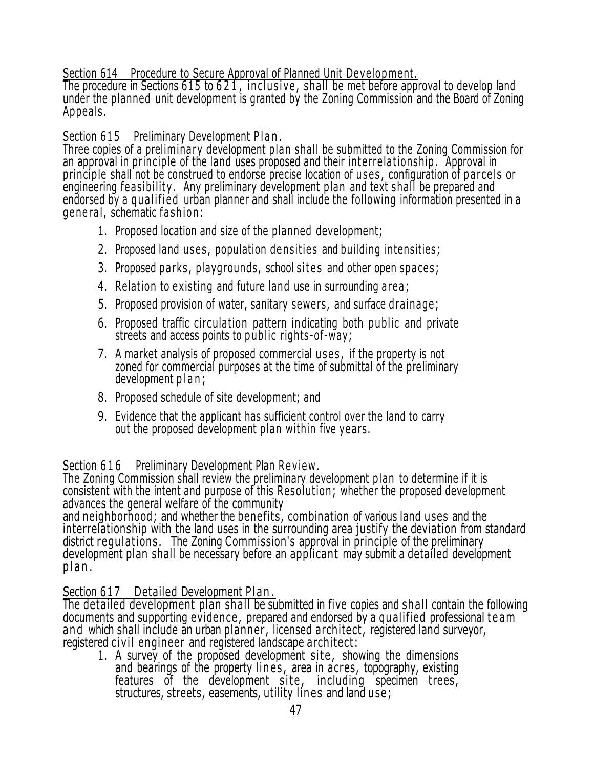Section 614 Procedure to Secure Approval of Planned Unit Development.

The procedure in Sections 615 to 621, inclusive, shall be met before approval to develop land under the planned unit development is granted by the Zoning Commission and the Board of Zoning Appeals.

# Section 615 Preliminary Development Plan.

Three copies of a preliminary development plan shall be submitted to the Zoning Commission for an approval in principle of the land uses proposed and their interrela tionship . Approval in principle shall not be construed to endorse precise location of uses, configuration of parcels or engineering fea sibility . Any preliminary development plan and text shall be prepared and endorsed by a qualified urban planner and shall include the following information presented in a general, schematic fashion:

- 1. Proposed location and size of the planned development;
- 2. Proposed land uses, population densities and building intensities;
- 3. Proposed parks, playgrounds, school sites and other open spaces;
- 4. Relation to existing and future land use in surrounding area;
- 5. Proposed provision of water, sanitary sewers, and surface drainage;
- 6. Proposed traffic circulation pattern indicating both public and private streets and access points to public rights-of-way;
- 7. A market analysis of proposed commercial uses, if the property is not zoned for commercial purposes at the time of submittal of the preliminary development plan;
- 8. Proposed schedule of site development; and
- 9. Evidence that the applicant has sufficient control over the land to carry out the proposed development plan within five years.

Section 616 Preliminary Development Plan Review.

The Zoning Commission shall review the preliminary development plan to determine if it is consistent with the intent and purpose of this Resolution; whether the proposed development advances the general welfare of the community

and neighborhood; and whether the benefits , combination of various land uses and the interrelationship with the land uses in the surrounding area justify the deviation from standard district regulations. The Zoning Commission's approval in principle of the preliminary development plan shall be necessary before an applicant may submit a detailed development plan.

# Section 617 Detailed Development Plan.

The detailed development plan shall be submitted in five copies and shall contain the following documents and supporting evidence, prepared and endorsed by a qualified professional team and which shall include an urban planner, licensed architect, registered land surveyor, registered civil engineer and registered landscape architect:

1. A survey of the proposed development site, showing the dimensions and bearings of the property lines, area in acres, topography, existing features of the development site, including specimen trees, structures, streets, easements, utility lin es and land u se;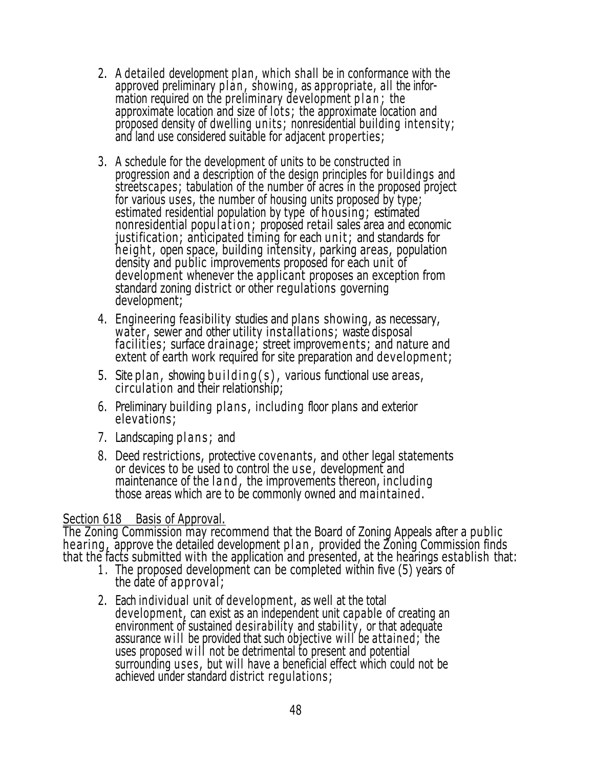- 2. A detailed development plan , which shall be in conformance with the approved preliminary plan, showing, as appropriate, all the information required on the preliminary development plan; the approximate location and size of lots; the approximate location and proposed density of dwelling uni ts; nonresidential building intensity; and land use considered suitable for adjacent properties;
- 3. A schedule for the development of units to be constructed in progression and a description of the design principles for buildings and streetscapes; tabulation of the number of acres in the proposed project for various uses, the number of housing units proposed by type; estimated residential population by type of housing; estimated nonresidential population; proposed retail sales area and economic justification; anticipated timing for each unit; and standards for height, open space, building intensity, parking areas, population density and public improvements proposed for each unit of development whenever the applicant proposes an exception from standard zoning district or other regulations governing development;
- 4. Engineering feasibility studies and plans showing, as necessary, water, sewer and other utility installations; waste disposal facilities; surface drainage; street improvements; and nature and extent of earth work required for site preparation and development;
- 5. Site plan, showing building  $(s)$ , various functional use areas, circulation and their relationship;
- 6. Preliminary building plans , including floor plans and exterior elevations;
- 7. Landscaping plans; and
- 8. Deed restrictions, protective covenants, and other legal statements or devices to be used to control the u se , development and maintenance of the land, the improvements thereon, including those areas which are to be commonly owned and maintained.

## Section 618 Basis of Approval.

The Zoning Commission may recommend that the Board of Zoning Appeals after a public hearing, approve the detailed development plan, provided the Zoning Commission finds that the facts submitted with the application and presented, at the hearings establish that:

- 1 . The proposed development can be completed within five (5) years of the date of approval;
- 2. Each individual unit of development, as well at the total development, can exist as an independent unit capable of creating an environment of sustained desirability and stability, or that adequate assurance w i ll be provided that such objective will be attained; the uses proposed will not be detrimental to present and potential surrounding u ses , but will have a beneficial effect which could not be achieved under standard district regulations;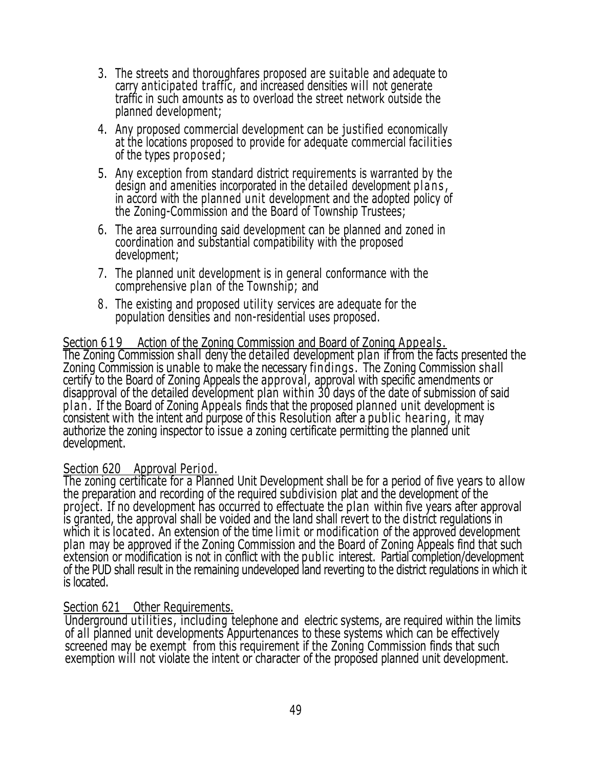- 3. The streets and thoroughfares proposed are suitable and adequate to carry anticipated traffic, and increased densities will not generate traffic in such amounts as to overload the street network outside the planned development;
- 4. Any proposed commercial development can be justified economically at the locations proposed to provide for adequate commercial facilities of the types proposed;
- 5. Any exception from standard district requirements is warranted by the design and amenities incorporated in the detailed development plans, in accord with the planned unit development and the adopted policy of the Zoning-Commission and the Board of Township Trustees;
- 6. The area surrounding said development can be planned and zoned in coordination and substantial compatibility with the proposed development;
- 7. The planned unit development is in general conformance with the comprehensive plan of the Township; and
- 8 . The existing and proposed utility services are adequate for the population densities and non-residential uses proposed.

# Section 619 Action of the Zoning Commission and Board of Zoning Appeals.

The Zoning Commission shall deny the detailed development plan if from the facts presented the Zoning Commission is unable to make the necessary findings . The Zoning Commission shall certify to the Board of Zoning Appeals the approval, approval with specific amendments or disapproval of the detailed development plan within 30 days of the date of submission of said pl an . If the Board of Zoning Appeals finds that the proposed planned unit development is consistent with the intent and purpose of this Resolution after a public hearing, it may authorize the zoning inspector to issue a zoning certificate permitting the planned unit development.

#### Section 620 Approval Period.

The zoning certificate for a Planned Unit Development shall be for a period of five years to allow the preparation and recording of the required subdivision plat and the development of the project. If no development has occurred to effectuate the plan within five years after approval is granted, the approval shall be voided and the land shall revert to the district regulations in which it is located. An extension of the time limit or modification of the approved development plan may be approved if the Zoning Commission and the Board of Zoning Appeals find that such extension or modification is not in conflict with the public interest. Partial completion/development of the PUD shall result in the remaining undeveloped land reverting to the district regulations in which it is located.

#### Section 621 Other Requirements.

Underground utilities, including telephone and electric systems, are required within the limits of all planned unit developments Appurtenances to these systems which can be effectively screened may be exempt from this requirement if the Zoning Commission finds that such exemption will not violate the intent or character of the proposed planned unit development.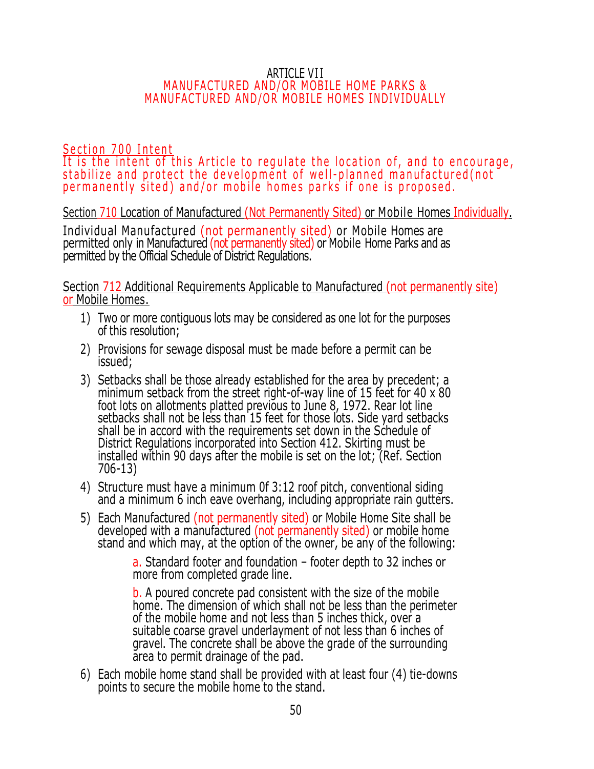#### ARTICLE VI I MANUFACTURED AND/OR MOBILE HOME PARKS & MANUFACTURED AND/OR MOBILE HOMES INDIVIDUALLY

Section 700 Intent It is the intent of this Article to regulate the location of, and to encourage, stabilize and protect the development of well-planned manufactured (not permanently sited) and/or mobile homes parks if one is proposed.

Section 710 Location of Manufactured (Not Permanently Sited) or Mobile Homes Individually.

Individual Manufactured (not permanently sited) or Mobile Homes are permitted only in Manufactured (not permanently sited) or Mobile Home Parks and as permitted by the Official Schedule of District Regulations.

Section 712 Additional Requirements Applicable to Manufactured (not permanently site) or Mobile Homes.

- 1) Two or more contiguous lots may be considered as one lot for the purposes of this resolution;
- 2) Provisions for sewage disposal must be made before a permit can be issued;
- 3) Setbacks shall be those already established for the area by precedent; a minimum setback from the street right-of-way line of 15 feet for 40 x 80 foot lots on allotments platted previous to June 8, 1972. Rear lot line setbacks shall not be less than 15 feet for those lots. Side yard setbacks shall be in accord with the requirements set down in the Schedule of District Regulations incorporated into Section 412. Skirting must be installed within 90 days after the mobile is set on the lot; (Ref. Section 706-13)
- 4) Structure must have a minimum 0f 3:12 roof pitch, conventional siding and a minimum 6 inch eave overhang, including appropriate rain gutters.
- 5) Each Manufactured (not permanently sited) or Mobile Home Site shall be developed with a manufactured (not permanently sited) or mobile home stand and which may, at the option of the owner, be any of the following:

a. Standard footer and foundation – footer depth to 32 inches or more from completed grade line.

b. A poured concrete pad consistent with the size of the mobile home. The dimension of which shall not be less than the perimeter of the mobile home and not less than 5 inches thick, over a suitable coarse gravel underlayment of not less than 6 inches of gravel. The concrete shall be above the grade of the surrounding area to permit drainage of the pad.

6) Each mobile home stand shall be provided with at least four (4) tie-downs points to secure the mobile home to the stand.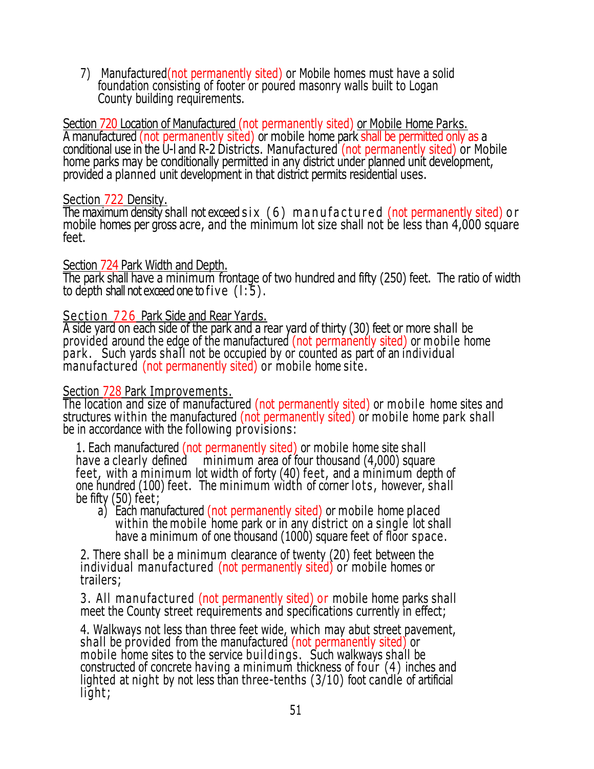7) Manufactured(not permanently sited) or Mobile homes must have a solid foundation consisting of footer or poured masonry walls built to Logan County building requirements.

Section 720 Location of Manufactured (not permanently sited) or Mobile Home Parks. A manufactured (not permanently sited) or mobile home park shall be permitted only as a conditional use in the U-l and R-2 Districts. Manufactured (not permanently sited) or Mobile home parks may be conditionally permitted in any district under planned unit development, provided a planned unit development in that district permits residential uses.

#### Section 722 Density.

The maximum density shall not exceed  $s$  ix  $(6)$  m an u f a c t u r e d (not permanently sited) o r mobile homes per gross acre, and the minimum lot size shall not be less than 4,000 square feet.

## Section 724 Park Width and Depth.

The park shall have a minimum frontage of two hundred and fifty (250) feet. The ratio of width to depth shall not exceed one to five  $(1:5)$ .

## Section 726 Park Side and Rear Yards.

A side yard on each side of the park and a rear yard of thirty (30) feet or more shall be provided around the edge of the manufactured (not permanently sited) or mobile home park . Such yards shall not be occupied by or counted as part of an individual manufactured (not permanently sited) or mobile home site.

#### Section 728 Park Improvements.

The location and size of manufactured (not permanently sited) or mobile home sites and structures within the manufactured (not permanently sited) or mobile home park shall be in accordance with the following provisions:

1. Each manufactured (not permanently sited) or mobile home site shall have a clearly defined minimum area of four thousand (4,000) square feet, with a minimum lot width of forty (40) feet, and a minimum depth of one hundred (100) feet. The minimum width of corner lots, however, shall be fifty (50) feet;

a) Each manufactured (not permanently sited) or mobile home placed within the mobile home park or in any district on a single lot shall have a minimum of one thousand (1000) square feet of floor space.

2. There shall be a minimum clearance of twenty (20) feet between the individual manufactured (not permanently sited) or mobile homes or trailers;

3. All manufactured (not permanently sited) or mobile home parks shall meet the County street requirements and specifications currently in effect;

4. Walkways not less than three feet wide, which may abut street pavement, shall be provided from the manufactured (not permanently sited) or mobile home sites to the service buildings. Such walkways shall be constructed of concrete having a minimum thickness of four (4) inches and lighted at night by not less than three-tenths (3/10) foot candle of artificial light;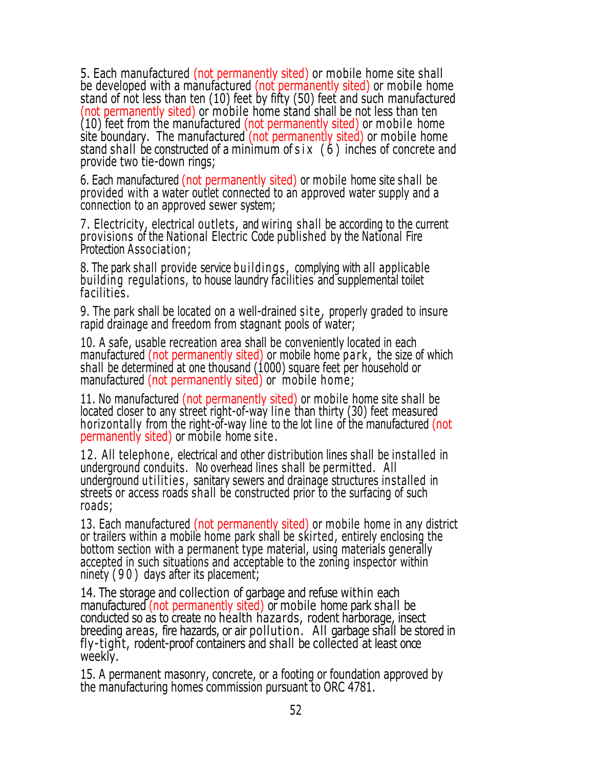5. Each manufactured (not permanently sited) or mobile home site shall be developed with a manufactured (not permanently sited) or mobile home stand of not less than ten (10) feet by fifty (50) feet and such manufactured (not permanently sited) or mobile home stand shall be not less than ten  $(10)$  feet from the manufactured (not permanently sited) or mobile home site boundary. The manufactured (not permanently sited) or mobile home stand shall be constructed of a minimum of s i x (6) inches of concrete and provide two tie-down rings;

6. Each manufactured (not permanently sited) or mobile home site shall be provided with a water outlet connected to an approved water supply and a connection to an approved sewer system;

7. Electricity, electrical outlets, and wiring shall be according to the current provisions of the National Electric Code published by the National Fire Protection Association;

8. The park shall provide service buildings, complying with all applicable building regulations, to house laundry facilities and supplemental toilet facilities .

9. The park shall be located on a well-drained site, properly graded to insure rapid drainage and freedom from stagnant pools of water;

10. A safe, usable recreation area shall be conveniently located in each manufactured (not permanently sited) or mobile home park, the size of which shall be determined at one thousand (1000) square feet per household or manufactured (not permanently sited) or mobile home;

11. No manufactured (not permanently sited) or mobile home site shall be located closer to any street right-of-way line than thirty (30) feet measured horizontally from the right-of-way line to the lot line of the manufactured (not permanently sited) or mobile home site .

12. All telephone, electrical and other distribution lines shall be installed in underground conduits. No overhead lines shall be permitted. All underground utilities, sanitary sewers and drainage structures installed in streets or access roads shall be constructed prior to the surfacing of such roads;

13. Each manufactured (not permanently sited) or mobile home in any district or trailers within a mobile home park shall be skirted, entirely enclosing the bottom section with a permanent type material, using materials generally accepted in such situations and acceptable to the zoning inspector within ninety ( 9 0 ) days after its placement;

14. The storage and collection of garbage and refuse within each manufactured (not permanently sited) or mobile home park shall be conducted so as to create no health hazards, rodent harborage, insect breeding areas, fire hazards, or air pollution. All garbage shall be stored in fly-tight, rodent-proof containers and shall be collected at least once weekly.

15. A permanent masonry, concrete, or a footing or foundation approved by the manufacturing homes commission pursuant to ORC 4781.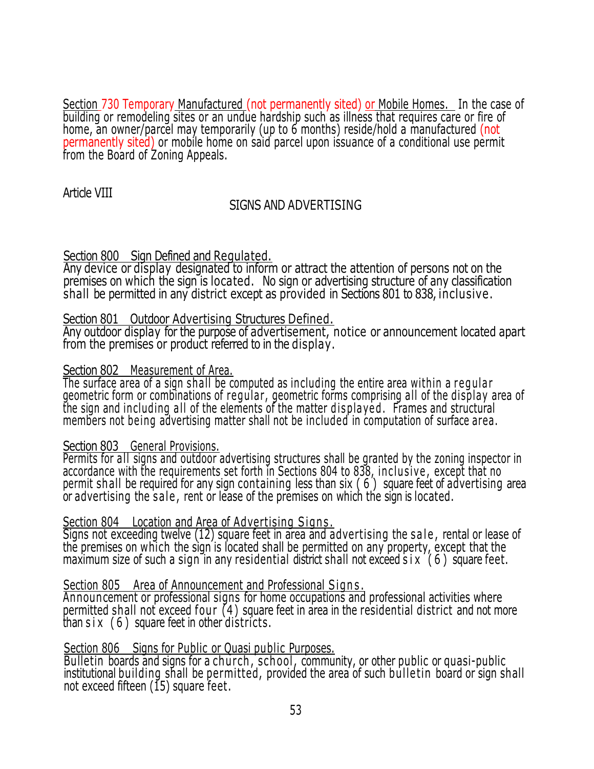Section 730 Temporary Manufactured (not permanently sited) or Mobile Homes. In the case of building or remodeling sites or an undue hardship such as illness that requires care or fire of home, an owner/parcel may temporarily (up to 6 months) reside/hold a manufactured (not permanently sited) or mobile home on said parcel upon issuance of a conditional use permit from the Board of Zoning Appeals.

Article VIII

# SIGNS AND ADVERTISING

## Section 800 Sign Defined and Regulated.

Any device or display designated to inform or attract the attention of persons not on the premises on which the sign is located. No sign or advertising structure of any classification shall be permitted in any district except as provided in Sections 801 to 838, inclusive.

## Section 801 Outdoor Advertising Structures Defined.

Any outdoor display for the purpose of advertisement, notice or announcement located apart from the premises or product referred to in the display.

## Section 802 Measurement of Area.

The surface area of a sign shall be computed as including the entire area within a regular geometric form or combinations of regular, geometric forms comprising all of the display area of the sign and including all of the elements of the matter displayed. Frames and structural members not being advertising matter shall not be included in computation of surface area.

## Section 803 General Provisions.

Permits for all signs and outdoor advertising structures shall be granted by the zoning inspector in accordance with the requirements set forth in Sections 804 to 838, inclusive, except that no permit shall be required for any sign containing less than six ( 6 ) square feet of advertising area or advertising the sale, rent or lease of the premises on which the sign is located.

# Section 804 Location and Area of Advertising Signs.

Signs not exceeding twelve (12) square feet in area and advertising the sale, rental or lease of the premises on which the sign is located shall be permitted on any property, except that the maximum size of such a sign in any residential district shall not exceed  $\sin x$  (6) square feet.

# Section 805 Area of Announcement and Professional Signs.

Announcement or professional signs for home occupations and professional activities where permitted shall not exceed four  $(4)$  square feet in area in the residential district and not more than  $s$  i x  $(6)$  square feet in other districts.

# Section 806 Signs for Public or Quasi public Purposes.

Bulletin boards and signs for a church, school, community, or other public or quasi-public institutional building shall be permitted, provided the area of such bulletin board or sign shall not exceed fifteen (15) square feet.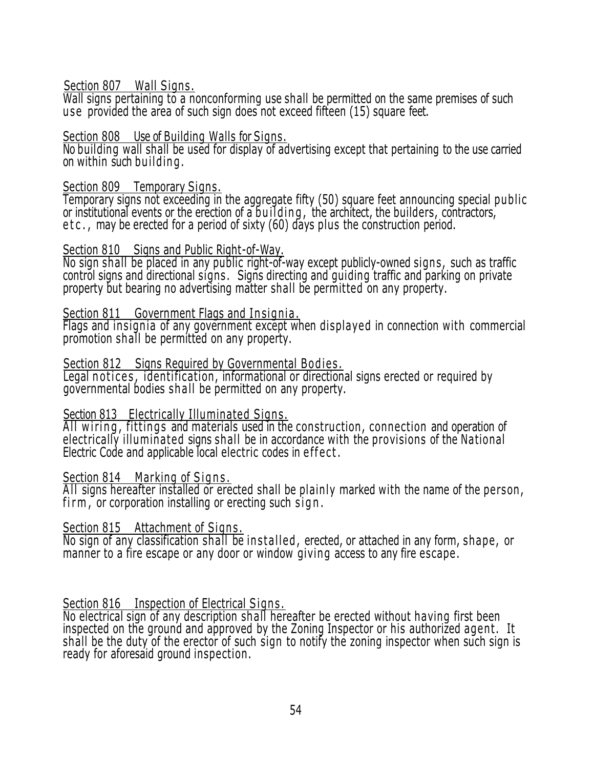#### Section 807 Wall Signs.

Wall signs pertaining to a nonconforming use shall be permitted on the same premises of such u se provided the area of such sign does not exceed fifteen (15) square feet.

#### Section 808 Use of Building Walls for Signs.

No building wall shall be used for display of advertising except that pertaining to the use carried on within such bu il din g .

#### Section 809 Temporary Signs.

Temporary signs not exceeding in the aggregate fifty (50) square feet announcing special public or institutional events or the erection of a building, the architect, the builders, contractors, etc., may be erected for a period of sixty (60) days plus the construction period.

#### Section 810 Signs and Public Right-of-Way.

No sign shall be placed in any public right-of-way except publicly-owned signs, such as traffic control signs and directional signs. Signs directing and guiding traffic and parking on private property but bearing no advertising matter shall be permitted on any property.

#### Section 811 Government Flags and Insignia.

Flags and insignia of any government except when displayed in connection with commercial promotion shall be permitted on any property.

## Section 812 Signs Required by Governmental Bodies.

Legal notices, identification, informational or directional signs erected or required by governmental bodies sh all be permitted on any property.

## Section 813 Electrically Illuminated Signs.

All wiring, fittings and materials used in the construction, connection and operation of electrically illuminated signs shall be in accordance with the provisions of the National Electric Code and applicable local electric codes in effect.

## Section 814 Marking of Signs.

All signs hereafter installed or erected shall be plainly marked with the name of the person,  $firm, or corporation installing or erecting such sign.$ 

## Section 815 Attachment of Signs.

No sign of any classification shall be installed, erected, or attached in any form, shape, or manner to a fire escape or any door or window giving access to any fire escape .

## Section 816 Inspection of Electrical Signs.

No electrical sign of any description shall hereafter be erected without having first been inspected on the ground and approved by the Zoning Inspector or his authorized agent. It shall be the duty of the erector of such sign to notify the zoning inspector when such sign is ready for aforesaid ground inspection .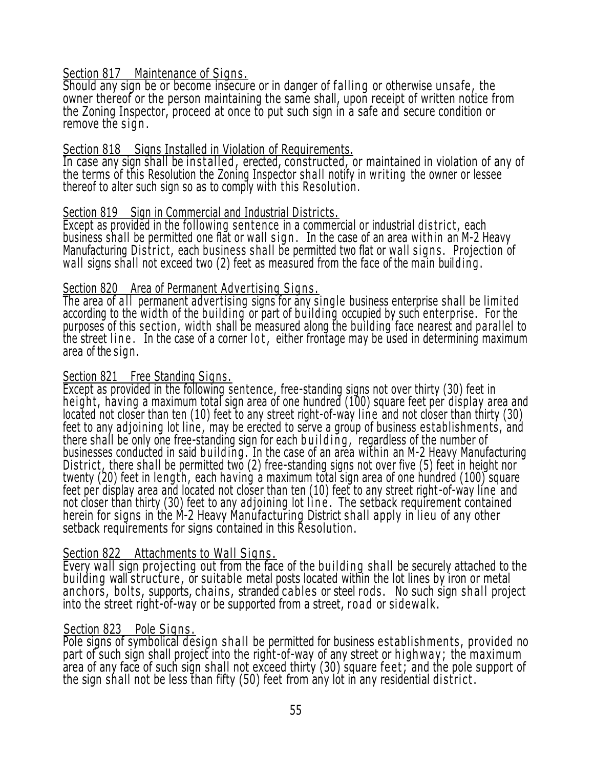## Section 817 Maintenance of Signs.

Should any sign be or become insecure or in danger of falling or otherwise unsafe, the owner thereof or the person maintaining the same shall, upon receipt of written notice from the Zoning Inspector, proceed at once to put such sign in a safe and secure condition or remove the sign.

#### Section 818 Signs Installed in Violation of Requirements.

In case any sign shall be installed, erected, constructed, or maintained in violation of any of the terms of this Resolution the Zoning Inspector shall notify in w riting the owner or lessee thereof to alter such sign so as to comply with this Resolution.

#### Section 819 Sign in Commercial and Industrial Districts.

Except as provided in the following sentence in a commercial or industrial district, each business shall be permitted one flat or wall sign. In the case of an area within an M-2 Heavy Manufacturing District, each business shall be permitted two flat or wall signs. Projection of wall signs shall not exceed two (2) feet as measured from the face of the main building.

#### Section 820 Area of Permanent Advertising Signs.

The area of all permanent advertising signs for any single business enterprise shall be limited according to the width of the building or part of building occupied by such enterprise. For the purposes of this section, width shall be measured along the building face nearest and parallel to the street line. In the case of a corner lot, either frontage may be used in determining maximum area of the sign.

#### Section 821 Free Standing Signs.

Except as provided in the following sentence, free-standing signs not over thirty (30) feet in height, having a maximum total sign area of one hundred (100) square feet per display area and located not closer than ten (10) feet to any street right-of-way line and not closer than thirty (30) feet to any adjoining lot line, may be erected to serve a group of business establishments, and there shall be only one free-standing sign for each building, regardless of the number of businesses conducted in said building. In the case of an area within an M-2 Heavy Manufacturing District, there shall be permitted two (2) free-standing signs not over five (5) feet in height nor twenty (20) feet in length, each having a maximum total sign area of one hundred (100) square feet per display area and located not closer than ten (10) feet to any street right -of-way line and not closer than thirty (30) feet to any adjoining lot line. The setback requirement contained herein for signs in the M-2 Heavy Manufacturing District shall apply in lieu of any other setback requirements for signs contained in this Resolution .

## Section 822 Attachments to Wall Signs.

Every wall sign projecting out from the face of the building shall be securely attached to the building wall structure, or suitable metal posts located within the lot lines by iron or metal an chors, bolts, supports, chains, stranded cables or steel rods. No such sign shall project into the street right-of-way or be supported from a street, road or sidewalk.

## Section 823 Pole Signs.

Pole signs of symbolical design shall be permitted for business establishments, provided no part of such sign shall project into the right-of-way of any street or highway; the maximum area of any face of such sign shall not exceed thirty (30) square feet; and the pole support of the sign shall not be less than fifty (50) feet from any lot in any residential district.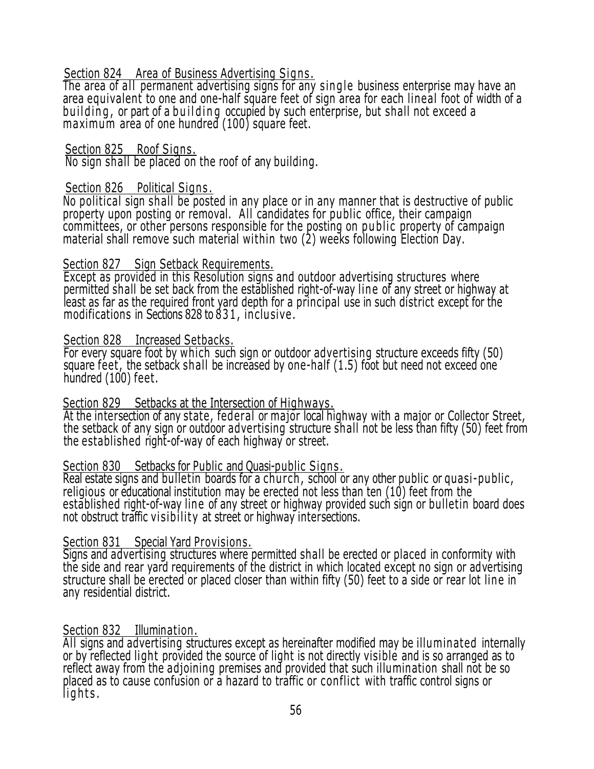## Section 824 Area of Business Advertising Signs,

The area of all permanent advertising signs for any single business enterprise may have an area equivalent to one and one-half square feet of sign area for each lineal foot of width of a building, or part of a building occupied by such enterprise, but shall not exceed a maximum area of one hundred (100) square feet.

Section 825 Roof Signs.

No sign shall be placed on the roof of any building.

## Section 826 Political Signs.

No political sign shall be posted in any place or in any manner that is destructive of public property upon posting or removal. All candidates for public office, their campaign committees, or other persons responsible for the posting on public property of campaign material shall remove such material wi thin two (2) weeks following Election Day.

## Section 827 Sign Setback Requirements.

Except as provided in this Resolution signs and outdoor advertising structures where permitted shall be set back from the established right-of-way line of any street or highway at least as far as the required front yard depth for a principal use in such district except for the modifications in Sections 828 to 83 1 , in clu sive .

#### Section 828 Increased Setbacks.

For every square foot by which such sign or outdoor advertising structure exceeds fifty (50) square feet , the setback shall be increased by one-half (1.5) foot but need not exceed one hundred (100) feet.

## Section 829 Setbacks at the Intersection of Highways.

At the intersection of any state, federal or major local highway with a major or Collector Street, the setback of any sign or outdoor advertising structure shall not be less than fifty (50) feet from the established right-of-way of each highway or street.

## Section 830 Setbacks for Public and Quasi-public Signs.

Real estate signs and bulletin boards for a church, school or any other public or quasi-public, religious or educational institution may be erected not less than ten (10) feet from the established right-of-way line of any street or highway provided such sign or bulletin board does not obstruct traffic visibility at street or highway intersections.

# Section 831 Special Yard Provisions.

Signs and advertising structures where permitted shall be erected or placed in conformity with the side and rear yard requirements of the district in which located except no sign or advertising structure shall be erected or placed closer than within fifty (50) feet to a side or rear lot line in any residential district.

## Section 832 Illumination.

All signs and advertising structures except as hereinafter modified may be illuminated internally or by reflected light provided the source of light is not directly visible and is so arranged as to reflect away from the adjoining premises and provided that such illumination shall not be so placed as to cause confusion or a hazard to traffic or con flict with traffic control signs or lights.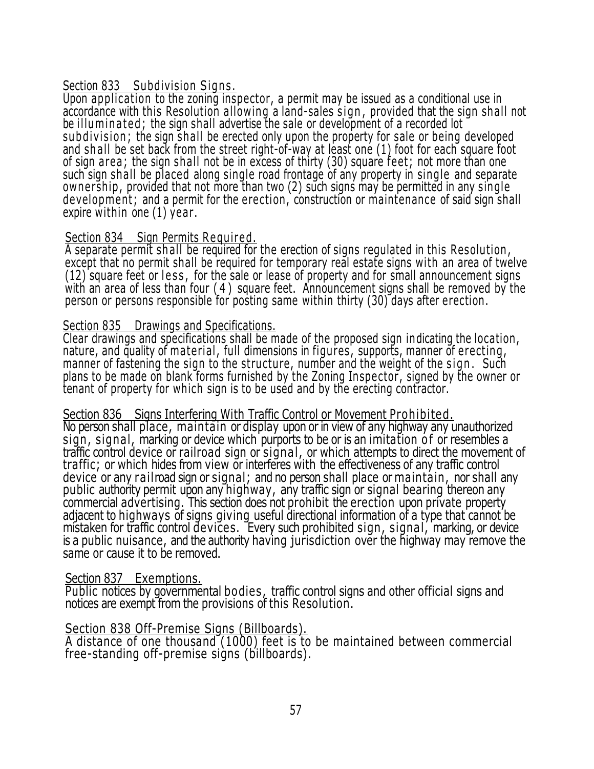#### Section 833 Subdivision Signs.

Upon application to the zoning inspector, a permit may be issued as a conditional use in accordance with this Resolution allowing a land-sales sign, provided that the sign shall not be illuminated; the sign shall advertise the sale or development of a recorded lot subdivision; the sign shall be erected only upon the property for sale or being developed and shall be set back from the street right-of-way at least one (1) foot for each square foot of sign area ; the sign shall not be in excess of thirty (30) square feet; not more than one such sign shall be placed along single road frontage of any property in single and separate ownership, provided that not more than two (2) such signs may be permitted in any single development; and a permit for the erection, construction or maintenance of said sign shall expire within one (1) year .

## Section 834 Sign Permits Required.

A separate permit shall be required for the erection of signs regulated in this Resolution, except that no permit shall be required for temporary real estate signs with an area of twelve  $(12)$  square feet or less, for the sale or lease of property and for small announcement signs with an area of less than four ( 4 ) square feet. Announcement signs shall be removed by the person or persons responsible for posting same within thirty (30) days after erection .

#### Section 835 Drawings and Specifications.

Clear drawings and specifications shall be made of the proposed sign indicating the location , nature, and quality of material, full dimensions in figures, supports, manner of erecting, manner of fastening the sign to the structure, number and the weight of the sign. Such plans to be made on blank forms furnished by the Zoning Inspector, signed by the owner or tenant of property for which sign is to be used and by the erecting contractor.

#### Section 836 Signs Interfering With Traffic Control or Movement Prohibited.

No person shall place, maintain or display upon or in view of any highway any unauthorized sign, signal, marking or device which purports to be or is an imitation of or resembles a traffic control device or railroad sign or signal , or which attempts to direct the movement of traffic; or which hides from view or interferes with the effectiveness of any traffic control device or any railroad sign or signal; and no person shall place or maintain, nor shall any public authority permit upon any highway, any traffic sign or signal bearing thereon any commercial advertising. This section does not prohibit the erection upon private property adjacent to highways of signs giving useful directional information of a type that cannot be mistaken for traffic control devices. Every such prohibited sign, signal, marking, or device is a public nuisance, and the authority having jurisdiction over the highway may remove the same or cause it to be removed.

#### Section 837 Exemptions.

Public notices by governmental bodies , traffic control signs and other official signs and notices are exempt from the provisions of this Resolution.

## Section 838 Off-Premise Signs (Billboards).

A distance of one thousand (1000) feet is to be maintained between commercial free-standing off-premise signs (billboards).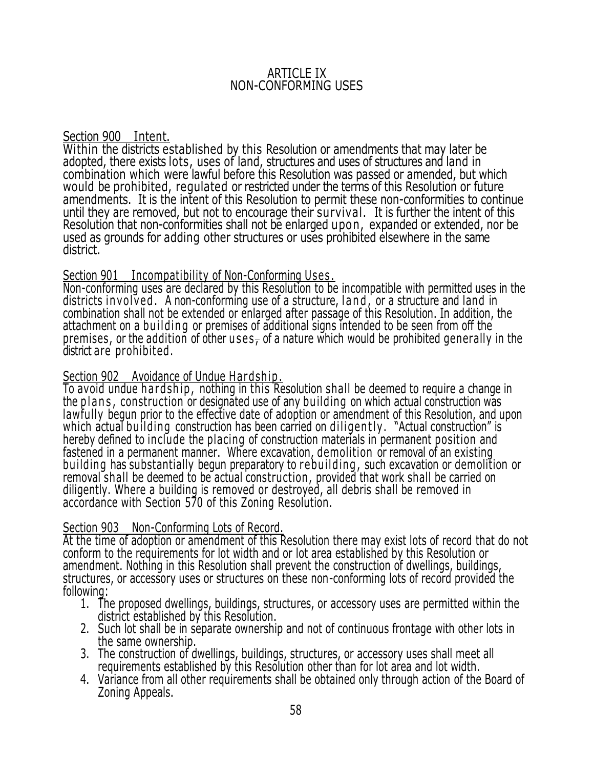#### ARTICLE IX NON-CONFORMING USES

Section 900 Intent.

Within the districts established by this Resolution or amendments that may later be adopted, there exists lots, uses of land, structures and uses of structures and land in combination which were lawful before this Resolution was passed or amended, but which would be prohibited, regulated or restricted under the terms of this Resolution or future amendments. It is the intent of this Resolution to permit these non-conformities to continue until they are removed, but not to encourage their survival. It is further the intent of this Resolution that non-conformities shall not be enlarged upon, expanded or extended, nor be used as grounds for adding other structures or uses prohibited elsewhere in the same district.

## Section 901 Incompatibility of Non-Conforming Uses.

Non-conforming uses are declared by this Resolution to be incompatible with permitted uses in the districts in volved. A non-conforming use of a structure, land, or a structure and land in combination shall not be extended or enlarged after passage of this Resolution. In addition, the attachment on a building or premises of additional signs intended to be seen from off the premises, or the addition of other uses, of a nature which would be prohibited generally in the district are prohibited.

## Section 902 Avoidance of Undue Hardship.

To avoid undue hard ship, nothing in this Resolution shall be deemed to require a change in the plans, construction or designated use of any building on which actual construction was lawfully begun prior to the effective date of adoption or amendment of this Resolution, and upon which actual building construction has been carried on diligently. "Actual construction" is hereby defined to include the placing of construction materials in permanent position and fastened in a permanent manner. Where excavation, demolition or removal of an existing building has substantially begun preparatory to rebuilding, such excavation or demolition or removal shall be deemed to be actual construction, provided that work shall be carried on diligently. Where a building is removed or destroyed, all debris shall be removed in accordance with Section 570 of this Zoning Resolution.

# Section 903 Non-Conforming Lots of Record.

At the time of adoption or amendment of this Resolution there may exist lots of record that do not conform to the requirements for lot width and or lot area established by this Resolution or amendment. Nothing in this Resolution shall prevent the construction of dwellings, buildings, structures, or accessory uses or structures on these non-conforming lots of record provided the following:

- 1. The proposed dwellings, buildings, structures, or accessory uses are permitted within the district established by this Resolution.
- 2. Such lot shall be in separate ownership and not of continuous frontage with other lots in the same ownership.
- 3. The construction of dwellings, buildings, structures, or accessory uses shall meet all requirements established by this Resolution other than for lot area and lot width.
- 4. Variance from all other requirements shall be obtained only through action of the Board of Zoning Appeals.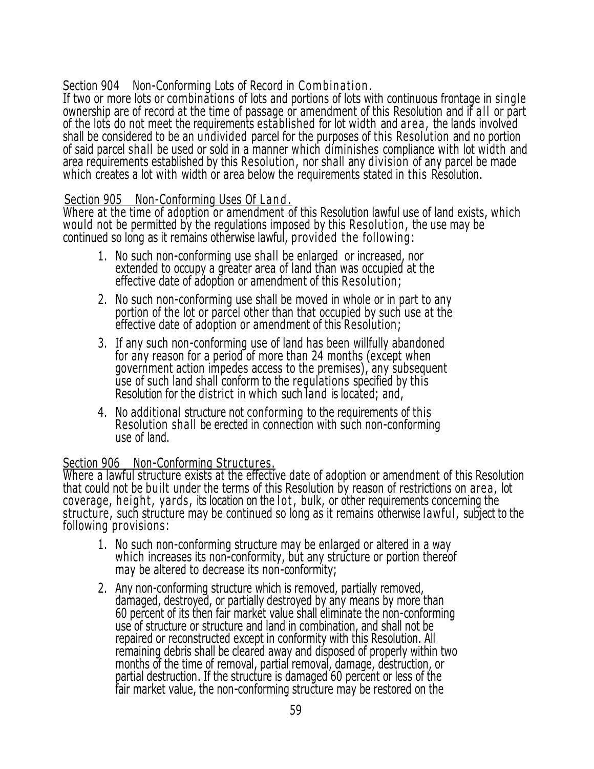## Section 904 Non-Conforming Lots of Record in Combination.

If two or more lots or combinations of lots and portions of lots with continuous frontage in single ownership are of record at the time of passage or amendment of this Resolution and if all or part of the lots do not meet the requirements established for lot width and are a , the lands involved shall be considered to be an undivided parcel for the purposes of this Resolution and no portion of said parcel shall be used or sold in a manner which diminishes compliance with lot width and area requirements established by this Resolution , nor shall any division of any parcel be made which creates a lot with width or area below the requirements stated in this Resolution.

## Section 905 Non-Conforming Uses Of Land.

Where at the time of adoption or amendment of this Resolution lawful use of land exists, which would not be permitted by the regulations imposed by this Resolution , the use may be continued so long as it remains otherwise lawful, provided the following:

- 1. No such non-conforming use shall be enlarged or increased, nor extended to occupy a greater area of land than was occupied at the effective date of adoption or amendment of this Resolution;
- 2. No such non-conforming use shall be moved in whole or in part to any portion of the lot or parcel other than that occupied by such use at the effective date of adoption or amendment of this Resolution;
- 3. If any such non-conforming use of land has been willfully abandoned for any reason for a period of more than 24 months (except when government action impedes access to the premises), any subsequent use of such land shall conform to the regulations specified by this Resolution for the district in which such land is located; and,
- 4. No additional structure not conforming to the requirements of this Resolution shall be erected in connection with such non-conforming use of land.

# Section 906 Non-Conforming Structures.

Where a lawful structure exists at the effective date of adoption or amendment of this Resolution that could not be built under the terms of this Resolution by reason of restrictions on area, lot coverage, height, yards, its location on the lot, bulk, or other requirements concerning the structure, such structure may be continued so long as it remains otherwise lawful , subject to the following provisions:

- 1. No such non-conforming structure may be enlarged or altered in a way which increases its non-conformity, but any structure or portion thereof may be altered to decrease its non-conformity;
- 2. Any non-conforming structure which is removed, partially removed, damaged, destroyed, or partially destroyed by any means by more than 60 percent of its then fair market value shall eliminate the non-conforming use of structure or structure and land in combination, and shall not be repaired or reconstructed except in conformity with this Resolution. All remaining debris shall be cleared away and disposed of properly within two months of the time of removal, partial removal, damage, destruction, or partial destruction. If the structure is damaged 60 percent or less of the fair market value, the non-conforming structure may be restored on the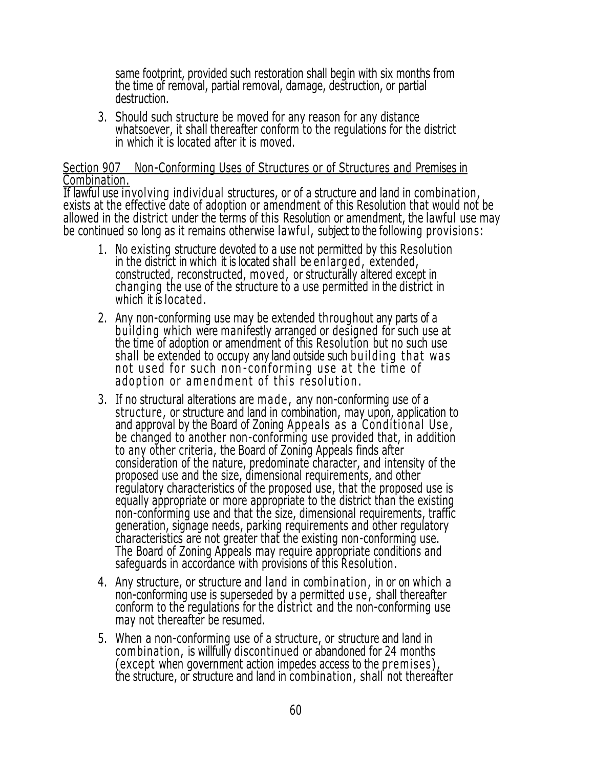same footprint, provided such restoration shall begin with six months from the time of removal, partial removal, damage, destruction, or partial destruction.

3. Should such structure be moved for any reason for any distance whatsoever, it shall thereafter conform to the regulations for the district in which it is located after it is moved.

#### Section 907 Non-Conforming Uses of Structures or of Structures and Premises in Combination.

If lawful use involving individual structures, or of a structure and land in combination, exists at the effective date of adoption or amendment of this Resolution that would not be allowed in the district under the terms of this Resolution or amendment, the lawful use may be continued so long as it remains otherwise lawful, subject to the following provisions:

- 1. No existing structure devoted to a use not permitted by this Resolution in the district in which it is located shall be enlarged , extended, constructed, reconstructed, moved , or structurally altered except in changing the use of the structure to a use permitted in the district in which it is located.
- 2. Any non-conforming use may be extended throughout any parts of a building which were manifestly arranged or designed for such use at the time of adoption or amendment of this Resolution but no such use shall be extended to occupy any land outside such building that was not used for such non-conforming use at the time of adoption or amendment of this resolution.
- 3. If no structural alterations are made, any non-conforming use of a structure, or structure and land in combination, may upon, application to and approval by the Board of Zoning Appeals as a Conditional Use, be changed to another non-conforming use provided that, in addition to any other criteria, the Board of Zoning Appeals finds after consideration of the nature, predominate character, and intensity of the proposed use and the size, dimensional requirements, and other regulatory characteristics of the proposed use, that the proposed use is equally appropriate or more appropriate to the district than the existing non-conforming use and that the size, dimensional requirements, traffic generation, signage needs, parking requirements and other regulatory characteristics are not greater that the existing non-conforming use. The Board of Zoning Appeals may require appropriate conditions and safeguards in accordance with provisions of this Resolution.
- 4. Any structure, or structure and land in combination , in or on which <sup>a</sup> non-conforming use is superseded by a permitted use, shall thereafter conform to the regulations for the district and the non-conforming use may not thereafter be resumed.
- 5. When a non-conforming use of a structure, or structure and land in combination , is willfully discontinued or abandoned for 24 months (except when government action impedes access to the premises) , the structure, or structure and land in combination , shall not thereafter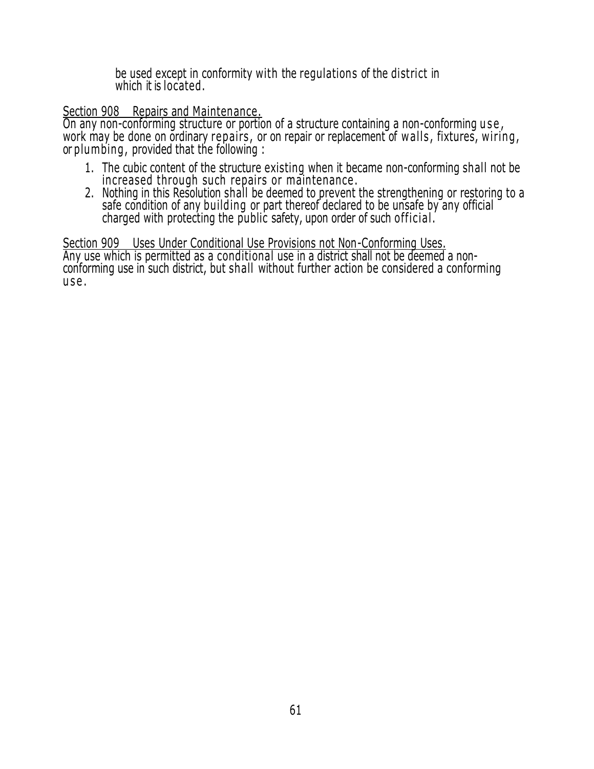be used except in conformity with the regulations of the district in which it is located.

## Section 908 Repairs and Maintenance.

On any non-conforming structure or portion of a structure containing a non-conforming use, work may be done on ordinary repairs, or on repair or replacement of walls, fixtures, wiring, or plumbing , provided that the following :

- 1. The cubic content of the structure existing when it became non-conforming shall not be increased through such repairs or maintenance.
- 2. Nothing in this Resolution shall be deemed to prevent the strengthening or restoring to a safe condition of any building or part thereof declared to be unsafe by any official charged with protecting the public safety, upon order of such official.

Section 909 Uses Under Conditional Use Provisions not Non-Conforming Uses. Any use which is permitted as a conditional use in a district shall not be deemed a nonconforming use in such district, but shall without further action be considered a conforming use.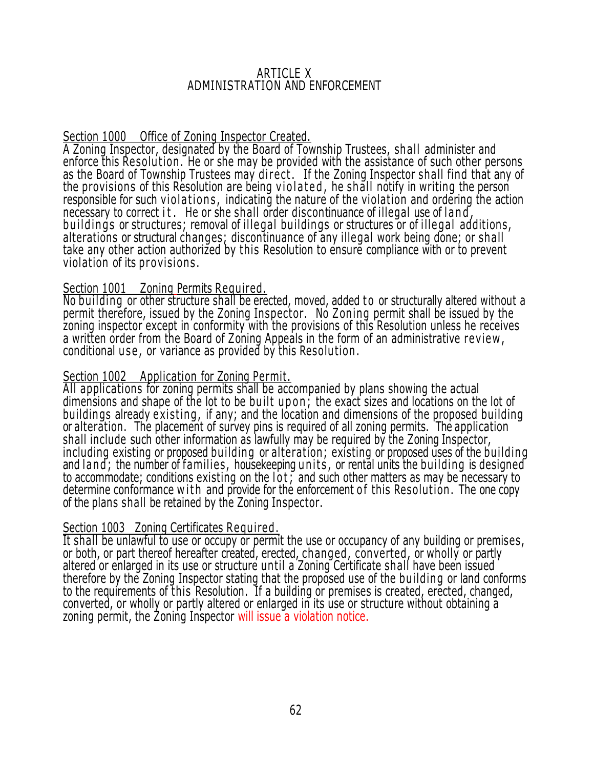#### ARTICLE X ADMINISTRATION AND ENFORCEMENT

# Section 1000 Office of Zoning Inspector Created.

A Zoning Inspector, designated by the Board of Township Trustees, shall administer and enforce this Resolu tion . He or she may be provided with the assistance of such other persons as the Board of Township Trustees may direct. If the Zoning Inspector shall find that any of the provisions of this Resolution are being violated, he shall notify in writing the person responsible for such violations, indicating the nature of the violation and ordering the action necessary to correct it. He or she shall order discontinuance of illegal use of land, buildings or structures; removal of illegal buildings or structures or of illegal additions, alterations or structural changes; discontinuance of any illegal work being done; or shall take any other action authorized by this Resolution to ensure compliance with or to prevent violation of its provisions.

## Section 1001 Zoning Permits Required.

No building or other structure shall be erected, moved, added to or structurally altered without a permit therefore, issued by the Zoning Inspector. No Zoning permit shall be issued by the zoning inspector except in conformity with the provisions of this Resolution unless he receives a written order from the Board of Zoning Appeals in the form of an administrative re view , conditional use, or variance as provided by this Resolution.

## Section 1002 Application for Zoning Permit.

All applications for zoning permits shall be accompanied by plans showing the actual dimensions and shape of the lot to be built upon; the exact sizes and locations on the lot of buildings already existing, if any; and the location and dimensions of the proposed building or alteration. The placement of survey pins is required of all zoning permits. The application shall include such other information as lawfully may be required by the Zoning Inspector, including existing or proposed building or alteration; existing or proposed uses of the building and land; the number of families, housekeeping units, or rental units the building is designed to accommodate; conditions existing on the lot; and such other matters as may be necessary to determine conformance w ith and provide for the enforcement of this Resolution. The one copy of the plans shall be retained by the Zoning Inspector.

# Section 1003 Zoning Certificates Required.

It shall be unlawful to use or occupy or permit the use or occupancy of any building or premises, or both, or part thereof hereafter created, erected, changed, converted, or wholly or partly altered or enlarged in its use or structure until a Zoning Certificate shall have been issued therefore by the Zoning Inspector stating that the proposed use of the building or land conforms to the requirements of this Resolution. If a building or premises is created, erected, changed, converted, or wholly or partly altered or enlarged in its use or structure without obtaining a zoning permit, the Zoning Inspector will issue a violation notice.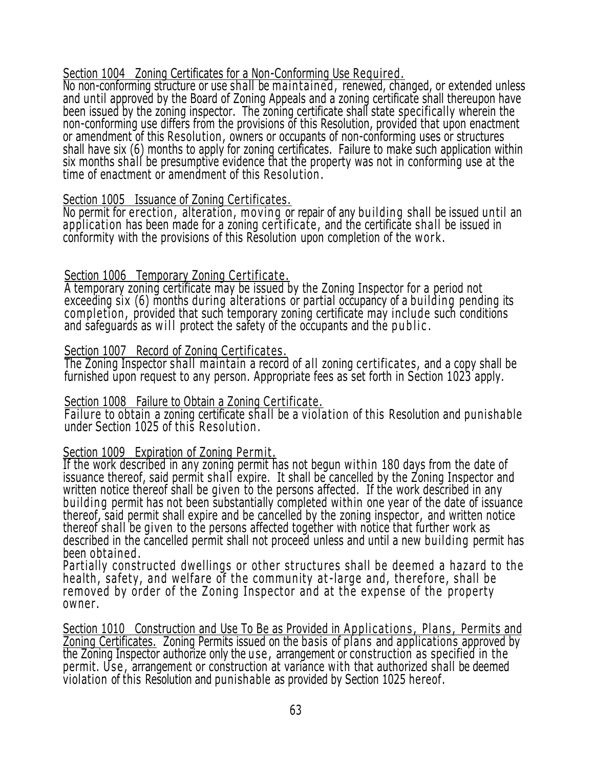## Section 1004 Zoning Certificates for a Non-Conforming Use Required.

No non-conforming structure or use shall be maintained, renewed, changed, or extended unless and until approved by the Board of Zoning Appeals and a zoning certificate shall thereupon have been issued by the zoning inspector. The zoning certificate shall state specifically wherein the non-conforming use differs from the provisions of this Resolution, provided that upon enactment or amendment of this Resolution , owners or occupants of non-conforming uses or structures shall have six (6) months to apply for zoning certificates. Failure to make such application within six months shall be presumptive evidence that the property was not in conforming use at the time of enactment or amendment of this Resolu tion .

#### Section 1005 Issuance of Zoning Certificates.

No permit for erection, alteration, moving or repair of any building shall be issued until an application has been made for a zoning certificate, and the certificate shall be issued in conformity with the provisions of this Resolution upon completion of the w or k .

#### Section 1006 Temporary Zoning Certificate.

A temporary zoning certificate may be issued by the Zoning Inspector for a period not exceeding six (6) months during alterations or partial occupancy of a building pending its comple tion , provided that such temporary zoning certificate may include such conditions and safeguards as will protect the safety of the occupants and the public.

#### Section 1007 Record of Zoning Certificates .

The Zoning Inspector shall maintain a record of all zoning certificates, and a copy shall be furnished upon request to any person. Appropriate fees as set forth in Section 1023 apply.

#### Section 1008 Failure to Obtain a Zoning Certificate.

Failure to obtain a zoning certificate shall be a violation of this Resolution and punishable under Section 1025 of this Resolution .

## Section 1009 Expiration of Zoning Permit.

If the work described in any zoning permit has not begun within 180 days from the date of issuance thereof, said permit shall expire. It shall be cancelled by the Zoning Inspector and written notice thereof shall be given to the persons affected. If the work described in any building permit has not been substantially completed within one year of the date of issuance thereof, said permit shall expire and be cancelled by the zoning inspector, and written notice thereof shall be given to the persons affected together with notice that further work as described in the cancelled permit shall not proceed unless and until a new building permit has been obtained .

Partially constructed dwellings or other structures shall be deemed a hazard to the health, safety, and welfare of the community at-large and, therefore, shall be removed by order of the Zoning Inspector and at the expense of the property owner.

Section 1010 Construction and Use To Be as Provided in Applications, Plans, Permits and <u>Zoning Certificates.</u> Zoning Permits issued on the basis of plans and applications approved by Z the Zoning Inspector authorize only the u se , arrangement or construction as specified in the permit. Use, arrangement or construction at variance with that authorized shall be deemed violation of this Resolution and punishable as provided by Section 1025 hereof.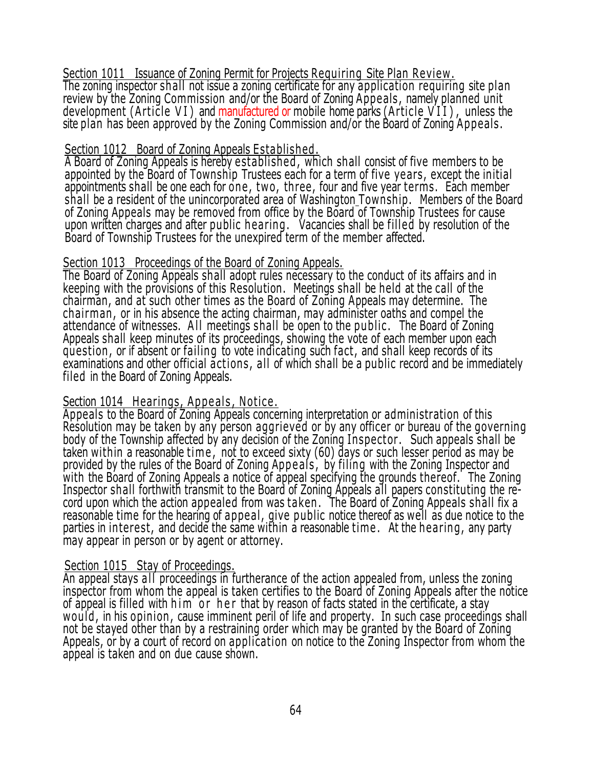Section 1011 Issuance of Zoning Permit for Projects Requiring Site Plan Review . The zoning inspector shall not issue a zoning certificate for any application requiring site plan review by the Zoning Commission and/or the Board of Zoning Appeals , namely planned unit development (Article VI) and manufactured or mobile home parks (Article VII), unless the site plan has been approved by the Zoning Commission and/or the Board of Zoning Appeals .

#### Section 1012 Board of Zoning Appeals Established.

A Board of Zoning Appeals is hereby established , which shall consist of five members to be appointed by the Board of Township Trustees each for a term of five years, except the initial appointments shall be one each for one , two, three, four and five year terms. Each member shall be a resident of the unincorporated area of Washington Township. Members of the Board of Zoning Appeals may be removed from office by the Board of Township Trustees for cause upon written charges and after public hearing. Vacancies shall be filled by resolution of the Board of Township Trustees for the unexpired term of the member affected.

#### Section 1013 Proceedings of the Board of Zoning Appeals.

The Board of Zoning Appeals shall adopt rules necessary to the conduct of its affairs and in keeping with the provisions of this Resolution. Meetings shall be held at the call of the chairman, and at such other times as the Board of Zoning Appeals may determine. The chairman , or in his absence the acting chairman, may administer oaths and compel the attendance of witnesses. A ll meetings shall be open to the public . The Board of Zoning Appeals shall keep minutes of its proceedings, showing the vote of each member upon each question , or if absent or failing to vote indicating such fact, and shall keep records of its examinations and other official actions, all of which shall be a public record and be immediately filed in the Board of Zoning Appeals.

## Section 1014 Hearings, Appeals, Notice,

Appeals to the Board of Zoning Appeals concerning interpretation or administration of this Resolution may be taken by any person aggrieved or by any officer or bureau of the governing body of the Township affected by any decision of the Zoning Inspector. Such appeals shall be taken within a reasonable time , not to exceed sixty (60) days or such lesser period as may be provided by the rules of the Board of Zoning Appeals, by filing with the Zoning Inspector and with the Board of Zoning Appeals a notice of appeal specifying the grounds thereof. The Zoning Inspector shall forthwith transmit to the Board of Zoning Appeals all papers constituting the record upon which the action appealed from was taken . The Board of Zoning Appeals shall fix a reasonable time for the hearing of appeal , give public notice thereof as well as due notice to the parties in interest, and decide the same within a reasonable time. At the hearing, any party may appear in person or by agent or attorney.

## Section 1015 Stay of Proceedings.

An appeal stays all proceedings in furtherance of the action appealed from, unless the zoning inspector from whom the appeal is taken certifies to the Board of Zoning Appeals after the notice of appeal is filled with h i m or h e r that by reason of facts stated in the certificate, a stay would , in his opinion , cause imminent peril of life and property. In such case proceedings shall not be stayed other than by a restraining order which may be granted by the Board of Zoning Appeals, or by a court of record on application on notice to the Zoning Inspector from whom the appeal is taken and on due cause shown.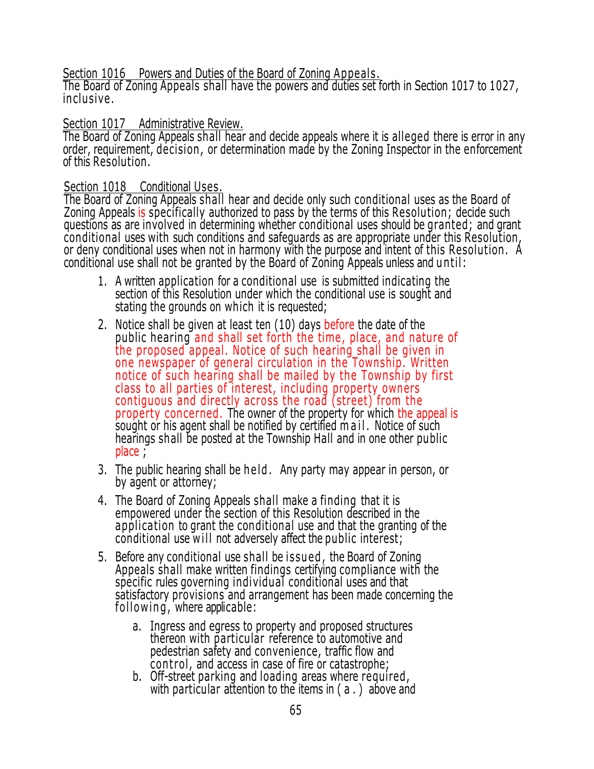Section 1016 Powers and Duties of the Board of Zoning Appeals.

The Board of Zoning Appeals shall have the powers and duties set forth in Section 1017 to 1027, in clusive .

## Section 1017 Administrative Review.

The Board of Zoning Appeals shall hear and decide appeals where it is alleged there is error in any order, requirement, decision , or determination made by the Zoning Inspector in the enforcement of this Resolution.

## Section 1018 Conditional Uses.

The Board of Zoning Appeals shall hear and decide only such conditional uses as the Board of Zoning Appeals is specifically authorized to pass by the terms of this Resolution; decide such questions as are involved in determining whether conditional uses should be granted; and grant conditional uses with such conditions and safeguards as are appropriate under this Resolution, or deny conditional uses when not in harmony with the purpose and intent of this Resolution . A conditional use shall not be granted by the Board of Zoning Appeals unless and u n til :

- 1. A written application for a conditional use is submitted indicating the section of this Resolution under which the conditional use is sought and stating the grounds on which it is requested;
- 2. Notice shall be given at least ten (10) days before the date of the public hearing and shall set forth the time, place, and nature of the proposed appeal. Notice of such hearing shall be given in one newspaper of general circulation in the Township. Written notice of such hearing shall be mailed by the Township by first class to all parties of interest, including property owners contiguous and directly across the road (street) from the property concerned. The owner of the property for which the appeal is sought or his agent shall be notified by certified m a i l. Notice of such hearings shall be posted at the Township Hall and in one other public place ;
- 3. The public hearing shall be h el d . Any party may appear in person, or by agent or attorney;
- 4. The Board of Zoning Appeals shall make a finding that it is empowered under the section of this Resolution described in the application to grant the conditional use and that the granting of the conditional use will not adversely affect the public interest;
- 5. Before any conditional use shall be i ssu ed , the Board of Zoning Appeals shall make written findings certifying compliance with the specific rules governing individual conditional uses and that satisfactory provisions and arrangement has been made concerning the following, where applicable:
	- a. Ingress and egress to property and proposed structures thereon with particular reference to automotive and pedestrian safety and convenience, traffic flow and con trol , and access in case of fire or catastrophe;
	- b. Off-street parking and loading areas where required, with particular attention to the items in ( a . ) above and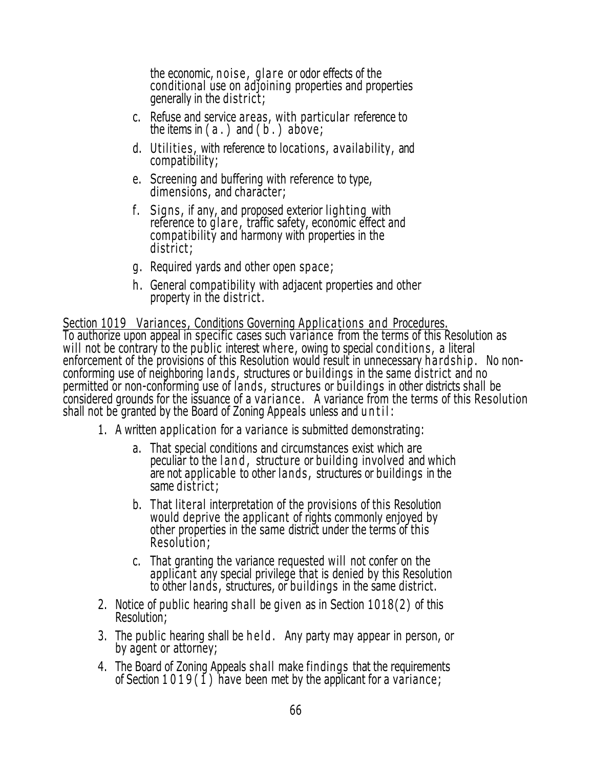the economic, noise, glare or odor effects of the conditional use on adjoining properties and properties generally in the district;

- c. Refuse and service areas, with particular reference to the items in  $(a_1)$  and  $(b_1)$  above;
- d. Utilities, with reference to locations, availability, and compatibility;
- e. Screening and buffering with reference to type, dimensions, and character;
- f. Signs, if any, and proposed exterior lighting with reference to glare, traffic safety, economic effect and compatibility and harmony with properties in the district;
- g. Required yards and other open space;
- h. General compatibility with adjacent properties and other property in the district .

Section 1019 Variances, Conditions Governing Applications and Procedures. To authorize upon appeal in specific cases such variance from the terms of this Resolution as will not be contrary to the public interest where, owing to special conditions, a literal enforcement of the provisions of this Resolution would result in unnecessary hard ship. No nonconforming use of neighboring lands , structures or buildings in the same district and no permitted or non-conforming use of lands , structures or buildings in other districts shall be considered grounds for the issuance of a variance. A variance from the terms of this Resolution shall not be granted by the Board of Zoning Appeals unless and until:

- 1. A written application for a variance is submitted demonstrating:
	- a. That special conditions and circumstances exist which are peculiar to the land, structure or building involved and which are not applicable to other lands , structures or buildings in the same district;
	- b. That literal interpretation of the provisions of this Resolution would deprive the applicant of rights commonly enjoyed by other properties in the same district under the terms of this Resolution;
	- c. That granting the variance requested will not confer on the applicant any special privilege that is denied by this Resolution to other lands, structures, or buildings in the same district.
- 2. Notice of public hearing shall be given as in Section 1018(2) of this Resolution;
- 3. The public hearing shall be held. Any party may appear in person, or by agent or attorney;
- 4. The Board of Zoning Appeals shall make findings that the requirements of Section 1019 (1) have been met by the applicant for a variance;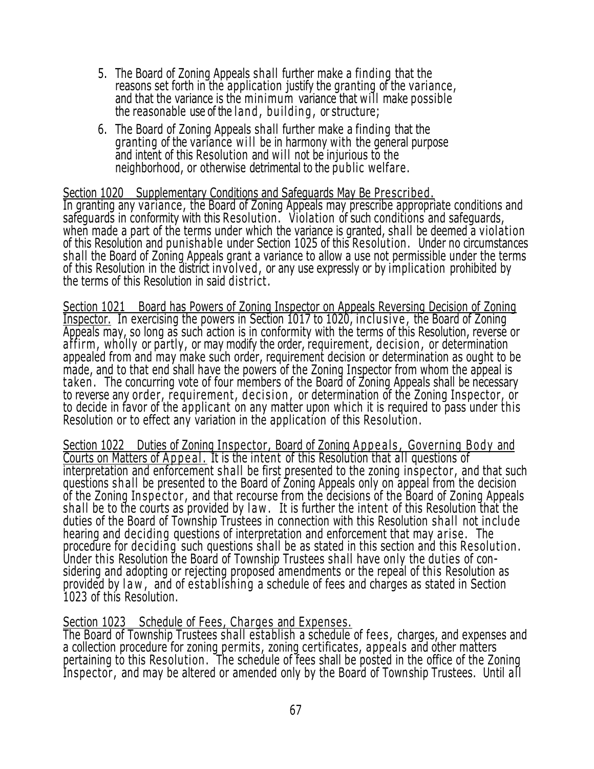- 5. The Board of Zoning Appeals shall further make a finding that the reasons set forth in the application justify the granting of the variance, and that the variance is the minimum variance that will make possible the reasonable use of the land, building, or structure;
- 6. The Board of Zoning Appeals shall further make a finding that the granting of the variance will be in harmony with the general purpose and intent of this Resolution and will not be injurious to the neighborhood, or otherwise detrimental to the public welfare.

#### Section 1020 Supplementary Conditions and Safeguards May Be Prescribed.

In granting any variance, the Board of Zoning Appeals may prescribe appropriate conditions and safeguards in conformity with this Resolution . Violation of such conditions and safeguards, when made a part of the terms under which the variance is granted, shall be deemed a violation of this Resolution and punishable under Section 1025 of this Resolution . Under no circumstances shall the Board of Zoning Appeals grant a variance to allow a use not permissible under the terms of this Resolution in the district involved , or any use expressly or by implication prohibited by the terms of this Resolution in said district .

Section 1021 Board has Powers of Zoning Inspector on Appeals Reversing Decision of Zoning Inspector. In exercising the powers in Section 1017 to 1020, inclusive, the Board of Zoning Appeals may, so long as such action is in conformity with the terms of this Resolution, reverse or affirm, wholly or partly, or may modify the order, requirement, decision, or determination appealed from and may make such order, requirement decision or determination as ought to be made, and to that end shall have the powers of the Zoning Inspector from whom the appeal is taken . The concurring vote of four members of the Board of Zoning Appeals shall be necessary to reverse any order, requirement, decision, or determination of the Zoning Inspector, or to decide in favor of the applicant on any matter upon which it is required to pass under this Resolution or to effect any variation in the application of this Resolution .

Section 1022 Duties of Zoning Inspector, Board of Zoning Appeals, Governing Body and Courts on Matters of Appeal. It is the intent of this Resolution that all questions of interpretation and enforcement shall be first presented to the zoning inspector, and that such questions sh all be presented to the Board of Zoning Appeals only on appeal from the decision of the Zoning In spector, and that recourse from the decisions of the Board of Zoning Appeals shall be to the courts as provided by law. It is further the intent of this Resolution that the duties of the Board of Township Trustees in connection with this Resolution shall not in clude hearing and deciding questions of interpretation and enforcement that may arise . The procedure for deciding such questions shall be as stated in this section and this Resolution . Under this Resolution the Board of Township Trustees shall have only the duties of considering and adopting or rejecting proposed amendments or the repeal of this Resolution as provided by law, and of establishing a schedule of fees and charges as stated in Section 1023 of this Resolution.

#### Section 1023 Schedule of Fees, Charges and Expenses.

The Board of Township Trustees shall establish a schedule of fees , charges, and expenses and a collection procedure for zoning permits, zoning certificates, appeals and other matters pertaining to this Resolution . The schedule of fees shall be posted in the office of the Zoning Inspector, and may be altered or amended only by the Board of Township Trustees. Until all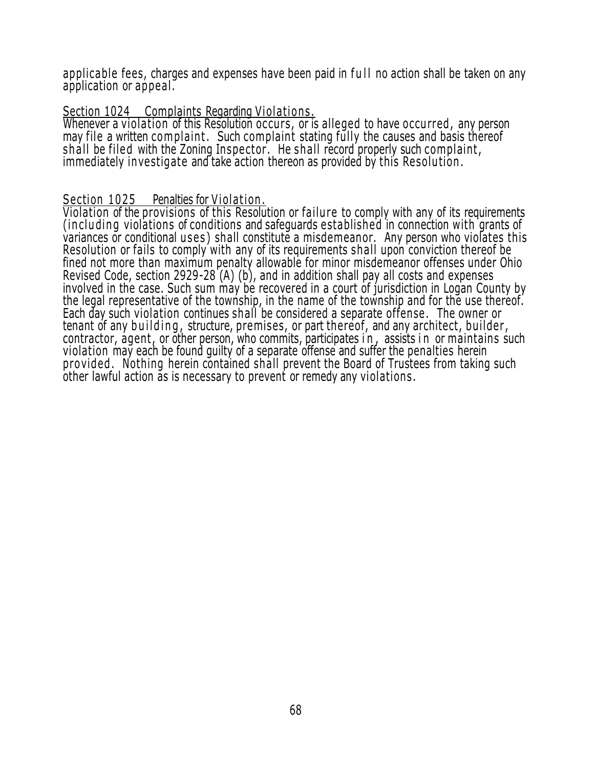applicable fees, charges and expenses have been paid in full no action shall be taken on any application or appeal .

## Section 1024 Complaints Regarding Violations.

Whenever a violation of this Resolution occurs, or is alleged to have occurred, any person may file a written complaint. Such complaint stating fully the causes and basis thereof shall be filed with the Zoning Inspector. He shall record properly such complaint, immediately investigate and take action thereon as provided by this Resolu tion .

## Section 1025 Penalties for Violation.

Violation of the provisions of this Resolution or failure to comply with any of its requirements (including violations of conditions and safeguards established in connection with grants of variances or conditional uses) shall constitute a misdemeanor. Any person who violates this Resolution or fails to comply with any of its requirements shall upon conviction thereof be fined not more than maximum penalty allowable for minor misdemeanor offenses under Ohio Revised Code, section 2929-28 (A) (b), and in addition shall pay all costs and expenses involved in the case. Such sum may be recovered in a court of jurisdiction in Logan County by the legal representative of the township, in the name of the township and for the use thereof. Each day such violation continues shall be considered a separate offense . The owner or tenant of any building, structure, premises, or part thereof, and any architect, builder, contractor, agent, or other person, who commits, participates in, assists in or maintains such violation may each be found guilty of a separate offense and suffer the penalties herein provided . Nothing herein contained shall prevent the Board of Trustees from taking such other lawful action as is necessary to prevent or remedy any violations .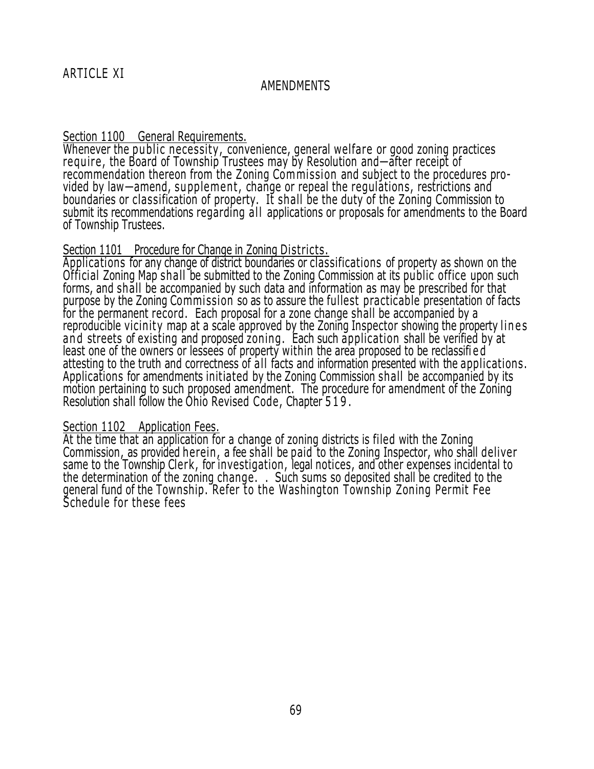#### AMENDMENTS

#### Section 1100 General Requirements.

Whenever the public necessity, convenience, general welfare or good zoning practices require, the Board of Township Trustees may by Resolution and—after receipt of recommendation thereon from the Zoning Commission and subject to the procedures provided by law—amend, supplement, change or repeal the regulations, restrictions and boundaries or classification of property. It shall be the duty of the Zoning Commission to submit its recommendations regarding all applications or proposals for amendments to the Board of Township Trustees.

#### Section 1101 Procedure for Change in Zoning Districts.

Applications for any change of district boundaries or classifications of property as shown on the Official Zoning Map shall be submitted to the Zoning Commission at its public office upon such forms, and shall be accompanied by such data and information as may be prescribed for that purpose by the Zoning Commission so as to assure the fullest practicable presentation of facts for the permanent record. Each proposal for a zone change shall be accompanied by a reproducible vicinity map at a scale approved by the Zoning Inspector showing the property lines and streets of existing and proposed zoning. Each such application shall be verified by at least one of the owners or lessees of property within the area proposed to be reclassifi e d attesting to the truth and correctness of all facts and information presented with the applications. Applications for amendments initiated by the Zoning Commission shall be accompanied by its motion pertaining to such proposed amendment. The procedure for amendment of the Zoning Resolution shall follow the Ohio Revised Code, Chapter 519.

#### Section 1102 Application Fees.

At the time that an application for a change of zoning districts is filed with the Zoning Commission, as provided herein , a fee shall be paid to the Zoning Inspector, who shall deliver same to the Township Clerk, for investigation, legal notices, and other expenses incidental to the determination of the zoning change. . . Such sums so deposited shall be credited to the general fund of the Township. Refer to the Washington Township Zoning Permit Fee Schedule for these fees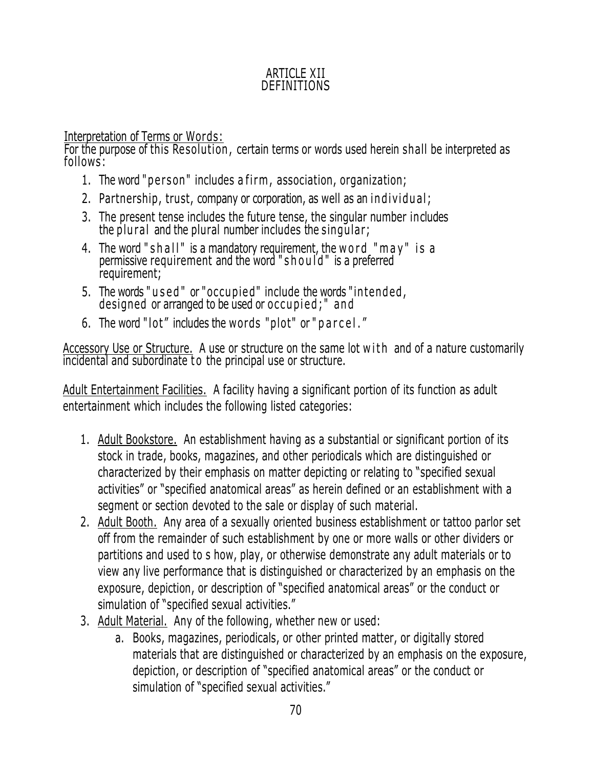# ARTICLE XII DEFINITIONS

<u>Interpretation of Terms or Words:</u>

For the purpose of this Resolution , certain terms or words used herein shall be interpreted as follows:

- 1. The word "person" includes a firm, association, organization;
- 2. Partnership, trust, company or corporation, as well as an individual;
- 3. The present tense includes the future tense, the singular number includes the plural and the plural number includes the singular;
- 4. The word " shall" is a mandatory requirement, the w ord " m a y" is a permissive requirement and the word " $sh$  ou  $id$ " is a preferred requirement;
- 5. The words "used" or "occupied" include the words "intended, designed or arranged to be used or occupied;" and
- 6. The word "lot" includes the words "plot" or "parcel."

Accessory Use or Structure. A use or structure on the same lot with and of a nature customarily incidental and subordinate to the principal use or structure.

Adult Entertainment Facilities. A facility having a significant portion of its function as adult entertainment which includes the following listed categories:

- 1. Adult Bookstore. An establishment having as a substantial or significant portion of its stock in trade, books, magazines, and other periodicals which are distinguished or characterized by their emphasis on matter depicting or relating to "specified sexual activities" or "specified anatomical areas" as herein defined or an establishment with a segment or section devoted to the sale or display of such material.
- 2. Adult Booth. Any area of a sexually oriented business establishment or tattoo parlor set off from the remainder of such establishment by one or more walls or other dividers or partitions and used to s how, play, or otherwise demonstrate any adult materials or to view any live performance that is distinguished or characterized by an emphasis on the exposure, depiction, or description of "specified anatomical areas" or the conduct or simulation of "specified sexual activities."
- 3. Adult Material. Any of the following, whether new or used:
	- a. Books, magazines, periodicals, or other printed matter, or digitally stored materials that are distinguished or characterized by an emphasis on the exposure, depiction, or description of "specified anatomical areas" or the conduct or simulation of "specified sexual activities."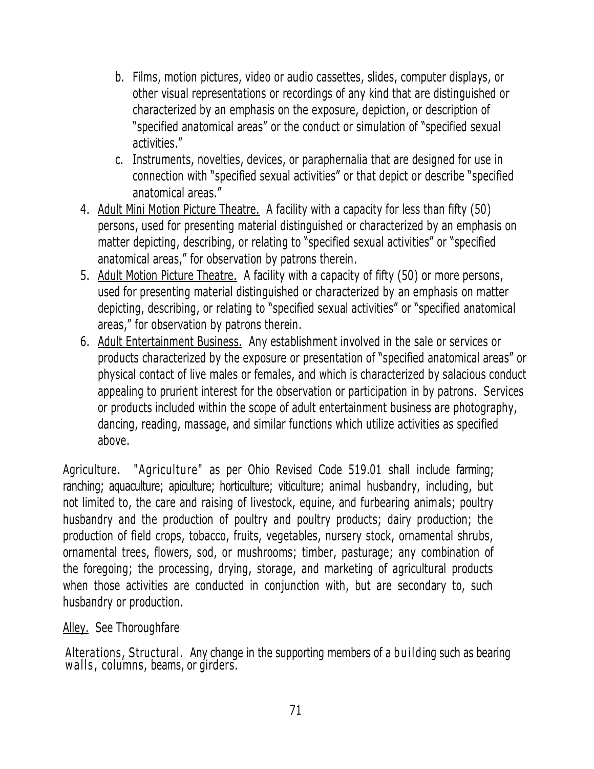- b. Films, motion pictures, video or audio cassettes, slides, computer displays, or other visual representations or recordings of any kind that are distinguished or characterized by an emphasis on the exposure, depiction, or description of "specified anatomical areas" or the conduct or simulation of "specified sexual activities."
- c. Instruments, novelties, devices, or paraphernalia that are designed for use in connection with "specified sexual activities" or that depict or describe "specified anatomical areas."
- 4. Adult Mini Motion Picture Theatre. A facility with a capacity for less than fifty (50) persons, used for presenting material distinguished or characterized by an emphasis on matter depicting, describing, or relating to "specified sexual activities" or "specified anatomical areas," for observation by patrons therein.
- 5. Adult Motion Picture Theatre. A facility with a capacity of fifty (50) or more persons, used for presenting material distinguished or characterized by an emphasis on matter depicting, describing, or relating to "specified sexual activities" or "specified anatomical areas," for observation by patrons therein.
- 6. Adult Entertainment Business. Any establishment involved in the sale or services or products characterized by the exposure or presentation of "specified anatomical areas" or physical contact of live males or females, and which is characterized by salacious conduct appealing to prurient interest for the observation or participation in by patrons. Services or products included within the scope of adult entertainment business are photography, dancing, reading, massage, and similar functions which utilize activities as specified above.

Agriculture. "Agriculture" as per Ohio Revised Code 519.01 shall include farming; ranching; aquaculture; apiculture; horticulture; viticulture; animal husbandry, including, but not limited to, the care and raising of livestock, equine, and furbearing animals; poultry husbandry and the production of poultry and poultry products; dairy production; the production of field crops, tobacco, fruits, vegetables, nursery stock, ornamental shrubs, ornamental trees, flowers, sod, or mushrooms; timber, pasturage; any combination of the foregoing; the processing, drying, storage, and marketing of agricultural products when those activities are conducted in conjunction with, but are secondary to, such husbandry or production.

Alley. See Thoroughfare

Alterations, Structural. Any change in the supporting members of a bu il ding such as bearing walls, columns, beams, or girders.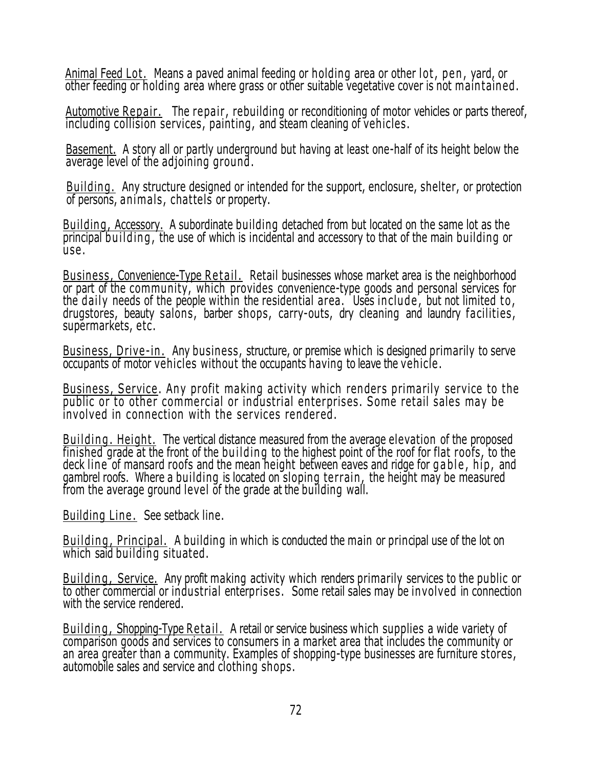Animal Feed Lot. Means a paved animal feeding or holding area or other lot, pen, yard, or other feeding or holding area where grass or other suitable vegetative cover is not main tained .

Automotive Repair. The repair, rebuilding or reconditioning of motor vehicles or parts thereof, including collision services, painting, and steam cleaning of vehicles.

Basement. A story all or partly underground but having at least one-half of its height below the average level of the adjoining ground.

Building . Any structure designed or intended for the support, enclosure, shelter, or protection of persons, animals , chattels or property.

Building, Accessory. A subordinate building detached from but located on the same lot as the principal building, the use of which is incidental and accessory to that of the main building or u se .

Business, Convenience-Type Retail. Retail businesses whose market area is the neighborhood or part of the community, which provides convenience-type goods and personal services for the daily needs of the people within the residential area. Uses include, but not limited to, drugstores, beauty salons, barber shops, carry-outs, dry cleaning and laundry facilities , supermarkets, etc.

Business, Drive-in. Any business, structure, or premise which is designed primarily to serve occupants of motor vehicles without the occupants having to leave the vehicle .

Business, Service. Any profit making activity which renders primarily service to the public or to other commercial or industrial enterprises. Some retail sales may be involved in connection with the services rendered .

Building. Height. The vertical distance measured from the average elevation of the proposed finished grade at the front of the building to the highest point of the roof for flat roofs, to the deck line of mansard roofs and the mean height between eaves and ridge for g a ble, hip, and gambrel roofs. Where a building is located on sloping terrain, the height may be measured from the average ground level of the grade at the building wall.

Building Line. See setback line.

Building, Principal. A building in which is conducted the main or principal use of the lot on which said building situated.

Building, Service. Any profit making activity which renders primarily services to the public or to other commercial or industrial enterprises . Some retail sales may be involved in connection with the service rendered.

Building, Shopping-Type Retail. A retail or service business which supplies a wide variety of comparison goods and services to consumers in a market area that includes the community or an area greater than a community. Examples of shopping-type businesses are furniture stores, automobile sales and service and clothing shops.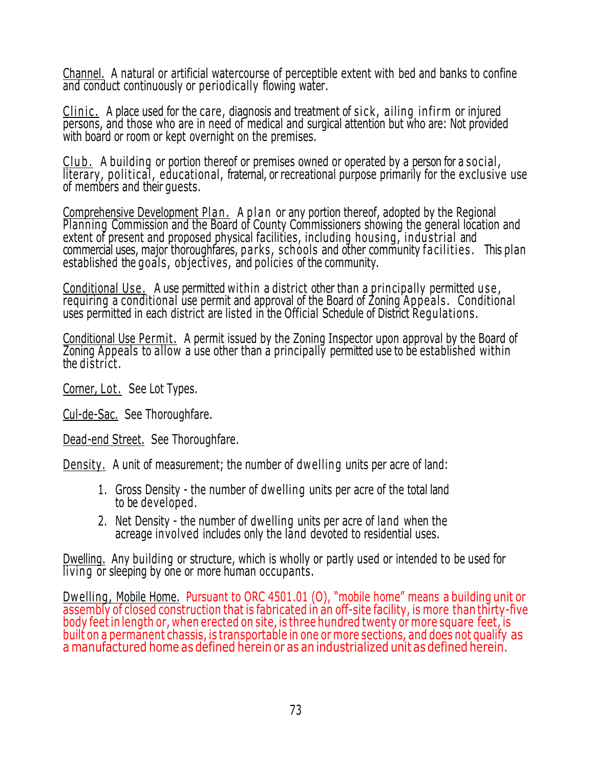Channel. A natural or artificial watercourse of perceptible extent with bed and banks to confine and conduct continuously or periodically flowing water.

Clinic. A place used for the care, diagnosis and treatment of sick, ailing infirm or injured persons, and those who are in need of medical and surgical attention but who are: Not provided with board or room or kept overnight on the premises.

Club. A building or portion thereof or premises owned or operated by a person for a social, literary, political, educational, fraternal, or recreational purpose primarily for the exclusive use of members and their guests.

Comprehensive Development Plan. A plan or any portion thereof, adopted by the Regional Planning Commission and the Board of County Commissioners showing the general location and extent of present and proposed physical facilities, including housing, industrial and commercial uses, major thoroughfares, parks, schools and other community facilities. This plan established the goals , objectives, and policies of the community.

Conditional Use. A use permitted within a district other than a principally permitted use, requiring a conditional use permit and approval of the Board of Zoning Appeals . Conditional uses permitted in each district are listed in the Official Schedule of District Regulations.

Conditional Use Permit. A permit issued by the Zoning Inspector upon approval by the Board of Zoning Appeals to allow a use other than a principally permitted use to be established within the district.

Corner, Lot. See Lot Types.

Cul-de-Sac. See Thoroughfare.

Dead-end Street. See Thoroughfare.

Density. A unit of measurement; the number of dwelling units per acre of land:

- 1. Gross Density the number of dwelling units per acre of the total land to be developed.
- 2. Net Density the number of dwelling units per acre of land when the acreage involved includes only the land devoted to residential uses.

Dwelling. Any building or structure, which is wholly or partly used or intended to be used for living or sleeping by one or more human occupants.

Dwelling, Mobile Home. Pursuant to ORC 4501.01 (O), "mobile home" means a building unit or assembly of closed construction that is fabricated in an off-site facility, is more than thirty-five body feet in length or, when erected on site, is three hundred twenty or more square feet, is built on a permanent chassis, is transportable in one or more sections, and does not qualify as a manufactured home as défined herein or as an industrialized unit as defined herein.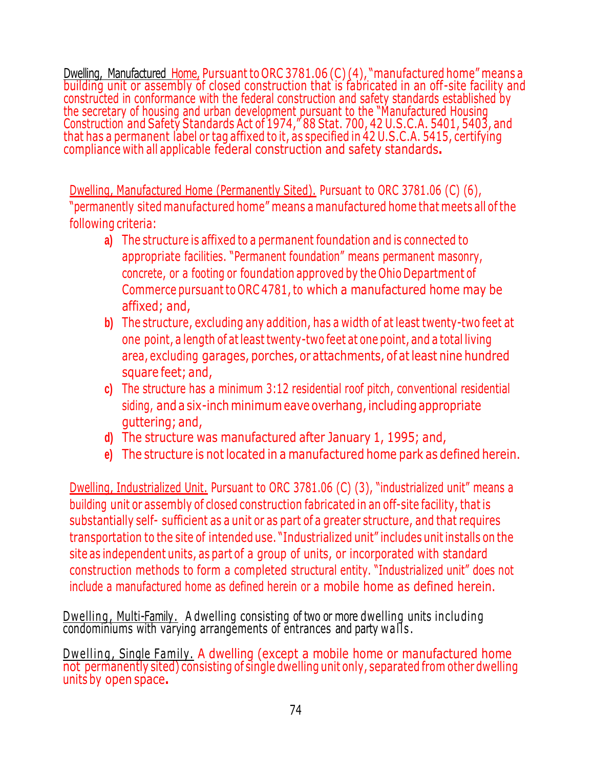Dwelling, Manufactured Home, Pursuant to ORC 3781.06 (C) (4), "manufactured home" means a building unit or assembly of closed construction that is fabricated in an off-site facility and constructed in conformance with the federal construction and safety standards established by the secretary of housing and urban development pursuant to the "Manufactured Housing Construction and Safety Standards Act of 1974," 88 Stat. 700, 42 U.S.C.A. 5401, 5403, and that has a permanent label or tag affixed to it, as specified in 42 U.S.C.A. 5415, certifying compliance with all applicable federal construction and safety standards**.**

Dwelling, Manufactured Home (Permanently Sited). Pursuant to ORC 3781.06 (C) (6), "permanently sited manufactured home" means a manufactured home that meets all ofthe following criteria:

- **a)** The structure is affixed to a permanent foundation and is connected to appropriate facilities. "Permanent foundation" means permanent masonry, concrete, or a footing or foundation approved by the Ohio Department of Commerce pursuant to ORC 4781,to which a manufactured home may be affixed; and,
- **b)** The structure, excluding any addition, has a width of at least twenty-two feet at one point, a length of atleast twenty-two feet at one point, and a total living area, excluding garages, porches, or attachments, of atleast nine hundred square feet; and,
- **c)** The structure has a minimum 3:12 residential roof pitch, conventional residential siding, and a six-inch minimum eave overhang, including appropriate guttering; and,
- **d)** The structure was manufactured after January 1, 1995; and,
- **e)** The structure is not located in a manufactured home park as defined herein.

Dwelling, Industrialized Unit. Pursuant to ORC 3781.06 (C) (3), "industrialized unit" means a building unit or assembly of closed construction fabricated in an off-site facility, that is substantially self- sufficient as a unit or as part of a greater structure, and that requires transportation to the site of intended use. "Industrialized unit" includes unit installs on the site as independent units, as part of a group of units, or incorporated with standard construction methods to form a completed structural entity. "Industrialized unit" does not include a manufactured home as defined herein or a mobile home as defined herein.

Dwelling , Multi-Family . A dwelling consisting of two or more dwelling units in cluding condominiums with varying arrangements of entrances and party w all s .

Dwelling, Single Family. A dwelling (except a mobile home or manufactured home not permanently sited) consisting of single dwelling unit only, separated from other dwelling units by open space**.**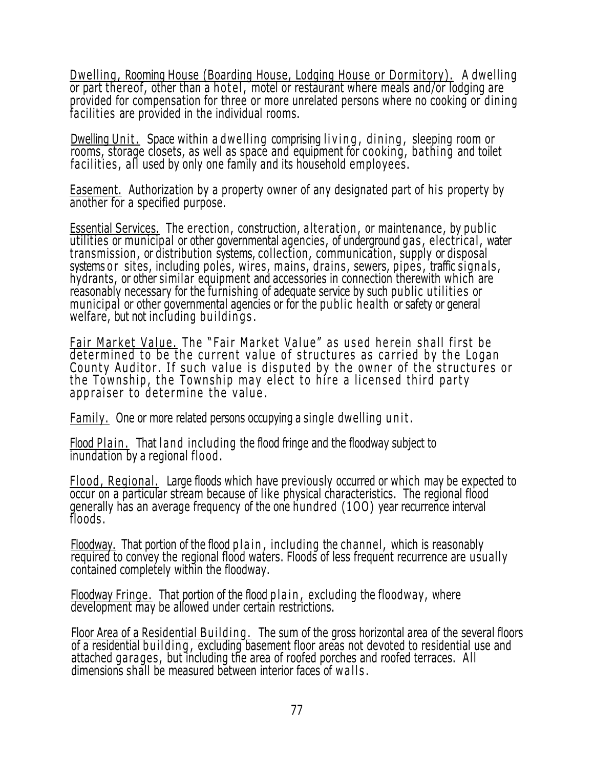Dwelling, Rooming House (Boarding House, Lodging House or Dormitory). A dwelling or part thereof, other than a hotel, motel or restaurant where meals and/or lodging are provided for compensation for three or more unrelated persons where no cooking or dining facilities are provided in the individual rooms.

Dwelling Unit. Space within a dwelling comprising living, dining, sleeping room or rooms, storage closets, as well as space and equipment for cooking, bathing and toilet facilities, all used by only one family and its household employees.

Easement. Authorization by a property owner of any designated part of his property by another for a specified purpose.

**Essential Services.** The erection, construction, alteration, or maintenance, by public utilities or municipal or other governmental agencies, of underground gas , elec trical , water transmission , or distribution systems, collection , communication, supply or disposal systems or sites, including poles, wires, mains, drains, sewers, pipes, traffic signals, hydrants, or other similar equipment and accessories in connection therewith which are reasonably necessary for the furnishing of adequate service by such public utilities or municipal or other governmental agencies or for the public health or safety or general welfare, but not including buildings.

Fair Market Value. The "Fair Market Value" as used herein shall first be determined to be the current value of structures as carried by the Logan County Auditor. If such value is disputed by the owner of the structures or the Township, the Township may elect to hire a licensed third party appraiser to determine the value.

Family. One or more related persons occupying a single dwelling unit.

Flood Plain. That land including the flood fringe and the floodway subject to inundation by a regional flood .

Flood, Regional. Large floods which have previously occurred or which may be expected to occur on a particular stream because of like physical characteristics. The regional flood generally has an average frequency of the one hundred (1OO) year recurrence interval floods.

Floodway. That portion of the flood plain, including the channel, which is reasonably required to convey the regional flood waters. Floods of less frequent recurrence are usually contained completely within the floodway.

Floodway Fringe. That portion of the flood plain, excluding the floodway, where development may be allowed under certain restrictions.

Floor Area of a Residential Building. The sum of the gross horizontal area of the several floors  $\overline{0}$  of a residential building, excluding basement floor areas not devoted to residential use and attached garages , but including the area of roofed porches and roofed terraces. All dimensions shall be measured between interior faces of w a ll s .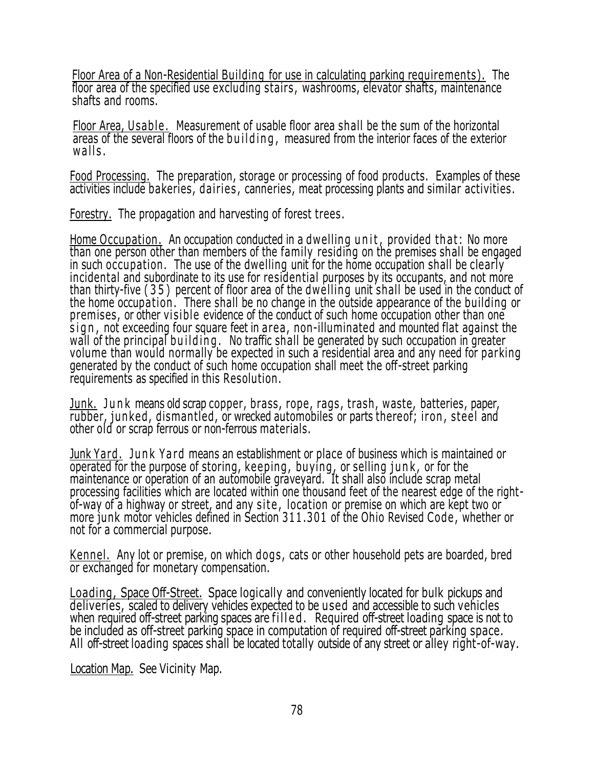Floor Area of a Non-Residential Building for use in calculating parking requirements). The floor area of the specified use excluding stairs , washrooms, elevator shafts, maintenance shafts and rooms.

Floor Area, Usable. Measurement of usable floor area shall be the sum of the horizontal areas of the several floors of the building, measured from the interior faces of the exterior  $walks.$ 

Food Processing. The preparation, storage or processing of food products. Examples of these activities include bakeries, dairies , canneries, meat processing plants and similar activities.

Forestry. The propagation and harvesting of forest trees.

Home Occupation. An occupation conducted in a dwelling unit, provided that: No more than one person other than members of the family residing on the premises shall be engaged in such occupation. The use of the dwelling unit for the home occupation shall be clearly incidental and subordinate to its use for residential purposes by its occupants, and not more than thirty-five ( 3 5 ) percent of floor area of the dwelling unit shall be used in the conduct of the home occupation. There shall be no change in the outside appearance of the building or premises, or other visible evidence of the conduct of such home occupation other than one sign, not exceeding four square feet in area, non-illuminated and mounted flat against the wall of the principal building. No traffic shall be generated by such occupation in greater volume than would normally be expected in such a residential area and any need for parking generated by the conduct of such home occupation shall meet the off-street parking requirements as specified in this Resolution .

Junk. Junk means old scrap copper, brass, rope, rags, trash, waste, batteries, paper, rubber, junked, dismantled, or wrecked automobiles or parts thereof; iron, steel and other old or scrap ferrous or non-ferrous materials.

Junk Yard, Junk Yard means an establishment or place of business which is maintained or operated for the purpose of storing, keeping, buying, or selling junk, or for the maintenance or operation of an automobile graveyard. It shall also include scrap metal processing facilities which are located within one thousand feet of the nearest edge of the rightof-way of a highway or street, and any site, location or premise on which are kept two or more junk motor vehicles defined in Section 311 .301 of the Ohio Revised Code , whether or not for a commercial purpose.

Kennel. Any lot or premise, on which dogs , cats or other household pets are boarded, bred or exchanged for monetary compensation.

Loading, Space Off-Street. Space logically and conveniently located for bulk pickups and deliveries, scaled to delivery vehicles expected to be used and accessible to such vehicles when required off-street parking spaces are filled. Required off-street loading space is not to be included as off-street parking space in computation of required off-street parking space. All off-street loading spaces shall be located totally outside of any street or alley right-of-way.

Location Map. See Vicinity Map.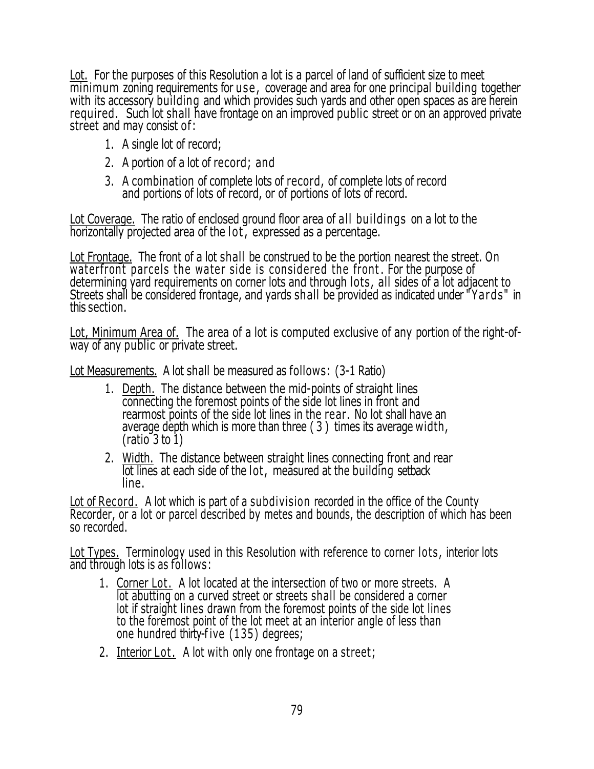Lot. For the purposes of this Resolution a lot is a parcel of land of sufficient size to meet minimum zoning requirements for use , coverage and area for one principal building together with its accessory building and which provides such yards and other open spaces as are herein required. Such lot shall have frontage on an improved public street or on an approved private street and may consist of:

- 1. A single lot of record;
- 2. A portion of a lot of record; and
- 3. A combination of complete lots of record, of complete lots of record and portions of lots of record, or of portions of lots of record.

Lot Coverage. The ratio of enclosed ground floor area of all buildings on a lot to the horizontally projected area of the lot, expressed as a percentage.

Lot Frontage. The front of a lot shall be construed to be the portion nearest the street. On waterfront parcels the water side is considered the front. For the purpose of determining yard requirements on corner lots and through lots, all sides of a lot adjacent to Streets shall be considered frontage, and yards shall be provided as indicated under " Yards" in this section.

Lot, Minimum Area of. The area of a lot is computed exclusive of any portion of the right-ofway of any public or private street.

Lot Measurements. A lot shall be measured as follows: (3-1 Ratio)

- 1. Depth. The distance between the mid-points of straight lines connecting the foremost points of the side lot lines in front and rearmost points of the side lot lines in the rear. No lot shall have an average depth which is more than three ( 3 ) times its average width,  $(ratio<sup>-</sup>3 to 1)$
- 2. Width. The distance between straight lines connecting front and rear lot lines at each side of the lot, measured at the building setback line.

Lot of Record. A lot which is part of a subdivision recorded in the office of the County Recorder, or a lot or parcel described by metes and bounds, the description of which has been so recorded.

Lot Types. Terminology used in this Resolution with reference to corner lots, interior lots and through lots is as follows:

- 1. Corner Lot. A lot located at the intersection of two or more streets. A lot abutting on a curved street or streets shall be considered a corner lot if straight lines drawn from the foremost points of the side lot lines to the foremost point of the lot meet at an interior angle of less than one hundred thirty-f ive (135) degrees;
- 2. Interior Lot. A lot with only one frontage on a street;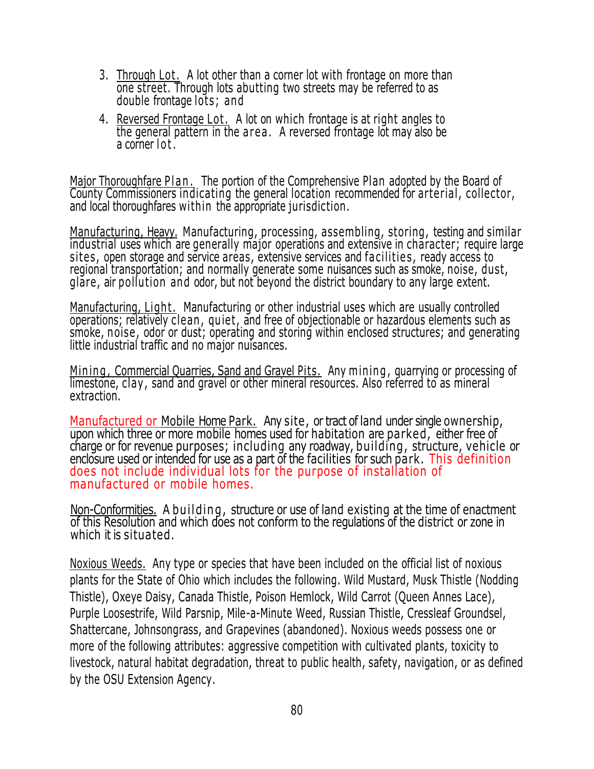- 3. Through Lot. A lot other than a corner lot with frontage on more than one street. Through lots abutting two streets may be referred to as double frontage lots; and
- 4. Reversed Frontage Lot . A lot on which frontage is at right angles to the general pattern in the area. A reversed frontage lot may also be a corner lot.

Major Thoroughfare Plan. The portion of the Comprehensive Plan adopted by the Board of County Commissioners indicating the general location recommended for arterial , collector, and local thoroughfares within the appropriate jurisdiction.

Manufacturing, Heavy. Manufacturing, processing, assembling, storing, testing and similar industrial uses which are generally major operations and extensive in character; require large sites, open storage and service areas, extensive services and facilities, ready access to regional transportation; and normally generate some nuisances such as smoke, noise, dust, glare, air pollu tion and odor, but not beyond the district boundary to any large extent.

Manufacturing, Light. Manufacturing or other industrial uses which are usually controlled operations; relatively clean, quiet, and free of objectionable or hazardous elements such as smoke, noise, odor or dust; operating and storing within enclosed structures; and generating little industrial traffic and no major nuisances.

Mining, Commercial Quarries, Sand and Gravel Pits. Any mining, quarrying or processing of limestone, clay , sand and gravel or other mineral resources. Also referred to as mineral extraction.

Manufactured or Mobile Home Park. Any site, or tract of land under single ownership, upon which three or more mobile homes used for habitation are parked, either free of charge or for revenue purposes; including any roadway, building, structure, vehicle or enclosure used or intended for use as a part of the facilities for such park. This definition does not include individual lots for the purpose of installation of manufactured or mobile homes.

Non-Conformities. A building, structure or use of land existing at the time of enactment of this Resolution and which does not conform to the regulations of the district or zone in which it is situated.

Noxious Weeds. Any type or species that have been included on the official list of noxious plants for the State of Ohio which includes the following. Wild Mustard, Musk Thistle (Nodding Thistle), Oxeye Daisy, Canada Thistle, Poison Hemlock, Wild Carrot (Queen Annes Lace), Purple Loosestrife, Wild Parsnip, Mile-a-Minute Weed, Russian Thistle, Cressleaf Groundsel, Shattercane, Johnsongrass, and Grapevines (abandoned). Noxious weeds possess one or more of the following attributes: aggressive competition with cultivated plants, toxicity to livestock, natural habitat degradation, threat to public health, safety, navigation, or as defined by the OSU Extension Agency.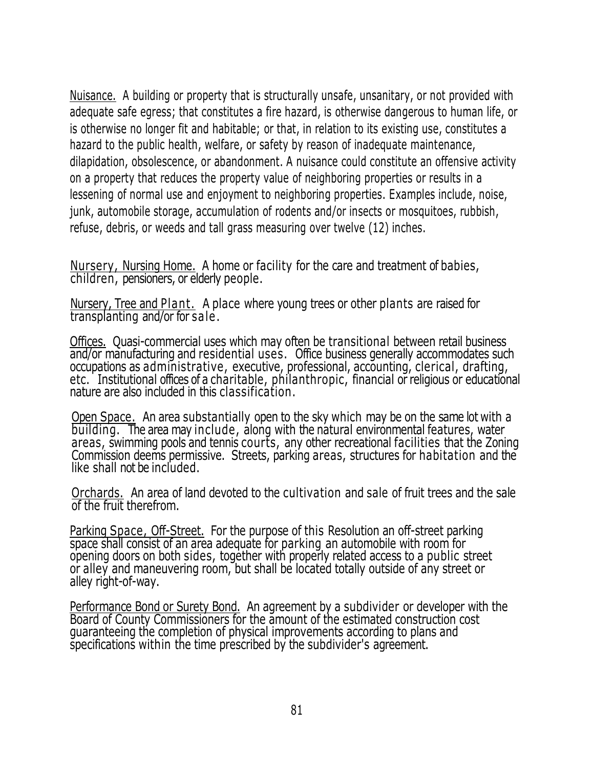Nuisance. A building or property that is structurally unsafe, unsanitary, or not provided with adequate safe egress; that constitutes a fire hazard, is otherwise dangerous to human life, or is otherwise no longer fit and habitable; or that, in relation to its existing use, constitutes a hazard to the public health, welfare, or safety by reason of inadequate maintenance, dilapidation, obsolescence, or abandonment. A nuisance could constitute an offensive activity on a property that reduces the property value of neighboring properties or results in a lessening of normal use and enjoyment to neighboring properties. Examples include, noise, junk, automobile storage, accumulation of rodents and/or insects or mosquitoes, rubbish, refuse, debris, or weeds and tall grass measuring over twelve (12) inches.

Nursery, Nursing Home. A home or facility for the care and treatment of babies, children, pensioners, or elderly people.

Nursery, Tree and Plant. A place where young trees or other plants are raised for transplanting and/or for sale .

Offices. Quasi-commercial uses which may often be transitional between retail business and/or manufacturing and residential uses. Office business generally accommodates such occupations as administrative, executive, professional, accounting, clerical, drafting, etc. Institutional offices of a charitable, philanthropic, financial or religious or educational nature are also included in this classification.

Open Space. An area substantially open to the sky which may be on the same lot with a building. The area may include, along with the natural environmental features, water areas, swimming pools and tennis courts, any other recreational facilities that the Zoning Commission deems permissive. Streets, parking areas, structures for habitation and the like shall not be included.

Orchards. An area of land devoted to the cultivation and sale of fruit trees and the sale of the fruit therefrom.

Parking Space, Off-Street. For the purpose of this Resolution an off-street parking space shall consist of an area adequate for parking an automobile with room for opening doors on both sides, together with properly related access to a public street or alley and maneuvering room, but shall be located totally outside of any street or alley right-of-way.

Performance Bond or Surety Bond. An agreement by a subdivider or developer with the Board of County Commissioners for the amount of the estimated construction cost guaranteeing the completion of physical improvements according to plans and specifications within the time prescribed by the subdivider's agreement.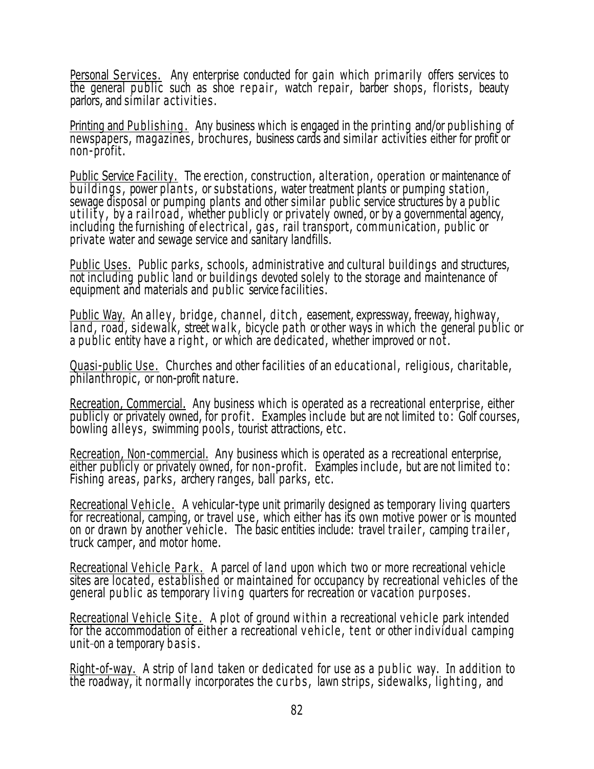Personal Services. Any enterprise conducted for gain which primarily offers services to the general public such as shoe repair, watch repair, barber shops, florists, beauty parlors, and similar activities .

Printing and Publishing . Any business which is engaged in the printing and/or publishing of newspapers, magazines, brochures, business cards and similar activities either for profit or non-profit.

Public Service Facility. The erection, construction, alteration , operation or maintenance of buildings, power plants, or substations, water treatment plants or pumping station, sewage disposal or pumping plants and other similar public service structures by a public utility, by a rail road, whether publicly or privately owned, or by a governmental agency, including the furnishing of electrical, gas, rail transport, communication, public or private water and sewage service and sanitary landfills.

Public Uses. Public parks, schools, administrative and cultural buildings and structures, not including public land or buildings devoted solely to the storage and maintenance of equipment and materials and public service facilities.

Public Way. An alley, bridge, channel, ditch, easement, expressway, freeway, highway, land, road, sidewalk, street walk, bicycle path or other ways in which the general public or a public entity have a right, or which are dedicated, whether improved or not.

Quasi-public Use. Churches and other facilities of an educational, religious, charitable, philanthropic, or non-profit nature.

Recreation, Commercial. Any business which is operated as a recreational enterprise, either publicly or privately owned, for profit. Examples include but are not limited to: Golf courses, bowling alleys, swimming pools, tourist attractions, etc.

Recreation, Non-commercial. Any business which is operated as a recreational enterprise, either publicly or privately owned, for non-profit. Examples include, but are not limited to: Fishing areas, parks, archery ranges, ball parks, etc.

Recreational Vehicle . A vehicular-type unit primarily designed as temporary living quarters for recreational, camping, or travel use, which either has its own motive power or is mounted on or drawn by another vehicle. The basic entities include: travel trailer, camping trailer, truck camper, and motor home.

Recreational Vehicle Park. A parcel of land upon which two or more recreational vehicle sites are located, established or maintained for occupancy by recreational vehicles of the general public as temporary living quarters for recreation or vacation purposes.

Recreational Vehicle Site. A plot of ground within a recreational vehicle park intended for the accommodation of either a recreational vehicle, tent or other individual camping unit-on a temporary basis.

Right-of-way. A strip of land taken or dedicated for use as a public way. In addition to the roadway, it normally incorporates the curbs, lawn strips, sidewalks, lighting, and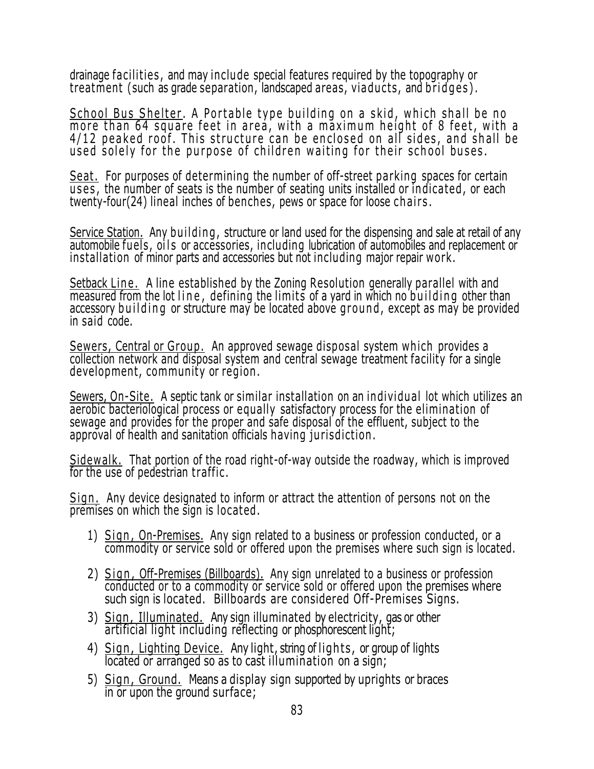drainage facilities, and may include special features required by the topography or treatment (such as grade separation, landscaped areas, viaducts, and bridges).

School Bus Shelter. A Portable type building on a skid, which shall be no more than 64 square feet in area, with a maximum height of 8 feet, with a 4/12 peaked roof. This structure can be enclosed on all sides, and shall be used solely for the purpose of children waiting for their school buses.

Seat. For purposes of determining the number of off-street parking spaces for certain  $\overline{uses}$ , the number of seats is the number of seating units installed or indicated, or each twenty-four(24) lineal inches of benches, pews or space for loose chairs.

Service Station. Any building, structure or land used for the dispensing and sale at retail of any automobile fuels, oils or accessories, including lubrication of automobiles and replacement or installation of minor parts and accessories but not including major repair work.

Setback Line. A line established by the Zoning Resolution generally parallel with and measured from the lot line, defining the limits of a yard in which no building other than accessory building or structure may be located above ground, except as may be provided in said code.

Sewers, Central or Group. An approved sewage disposal system which provides a collection network and disposal system and central sewage treatment facility for a single development, community or region .

Sewers, On-Site. A septic tank or similar installation on an individual lot which utilizes an aerobic bacteriological process or equally satisfactory process for the elimination of sewage and provides for the proper and safe disposal of the effluent, subject to the approval of health and sanitation officials having jurisdiction.

Sidewalk. That portion of the road right-of-way outside the roadway, which is improved for the use of pedestrian traffic.

Sign. Any device designated to inform or attract the attention of persons not on the premises on which the sign is located .

- 1) Sign, On-Premises. Any sign related to a business or profession conducted, or a commodity or service sold or offered upon the premises where such sign is located.
- 2) Sign, Off-Premises (Billboards). Any sign unrelated to a business or profession conducted or to a commodity or service sold or offered upon the premises where such sign is located. Billboards are considered Off-Premises Signs.
- 3) Sign , Illuminated. Any sign illuminated by electricity, gas or other artificial light including reflecting or phosphorescent light;
- 4) Sign, Lighting Device. Any light, string of lights, or group of lights located or arranged so as to cast illumination on a sign;
- 5) Sign , Ground. Means a display sign supported by uprights or braces in or upon the ground surface;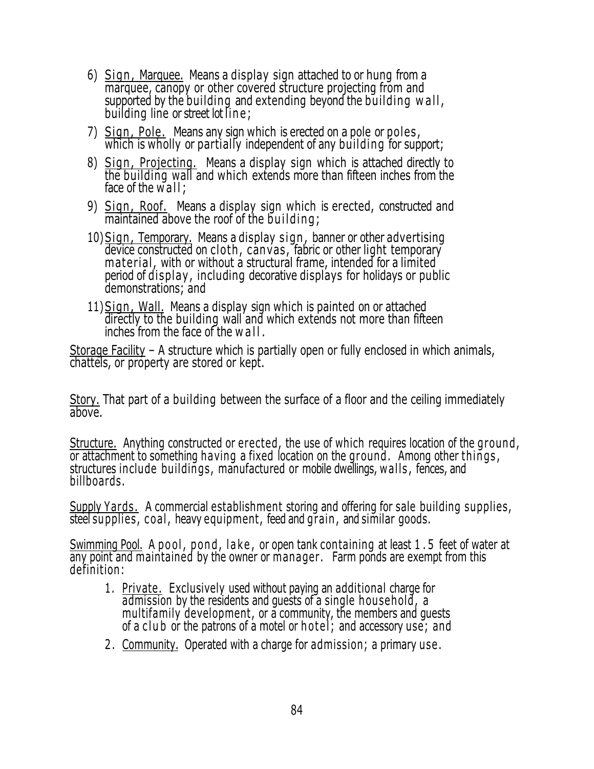- 6) Sign, Marquee. Means a display sign attached to or hung from a marquee, canopy or other covered structure projecting from and supported by the building and extending beyond the building w a ll , building line or street lot line :
- 7) Sign, Pole. Means any sign which is erected on a pole or poles, which is wholly or partially independent of any building for support;
- 8) Sign, Projecting. Means a display sign which is attached directly to the building wall and which extends more than fifteen inches from the face of the  $\overline{w}$  all ;
- 9) Sign, Roof. Means a display sign which is erected, constructed and maintained above the roof of the  $building;$
- 10) Sign, Temporary. Means a display sign, banner or other advertising device constructed on cloth , canvas , fabric or other light temporary material, with or without a structural frame, intended for a limited period of display, including decorative displays for holidays or public demonstrations; and
- 11) Sign, Wall. Means a display sign which is painted on or attached directly to the building wall and which extends not more than fifteen inches from the face of the w all.

Storage Facility - A structure which is partially open or fully enclosed in which animals, chattels, or property are stored or kept.

Story. That part of a building between the surface of a floor and the ceiling immediately above.

Structure. Anything constructed or erected, the use of which requires location of the ground , or attachment to something having a fixed location on the ground. Among other things, structures include buildings, manufactured or mobile dwellings, w alls , fences, and billboards.

Supply Yards. A commercial establishment storing and offering for sale building supplies, steel supplies , c oal , heavy equipment, feed and grain , and similar goods.

Swimming Pool. A pool, pond, lake, or open tank containing at least 1.5 feet of water at any point and maintained by the owner or manager. Farm ponds are exempt from this definition:

- 1. Private. Exclusively used without paying an additional charge for admission by the residents and quests of a single household, a multifamily development, or a community, the members and guests of a club or the patrons of a motel or hotel; and accessory use; and
- 2 . Community. Operated with a charge for admission; a primary use .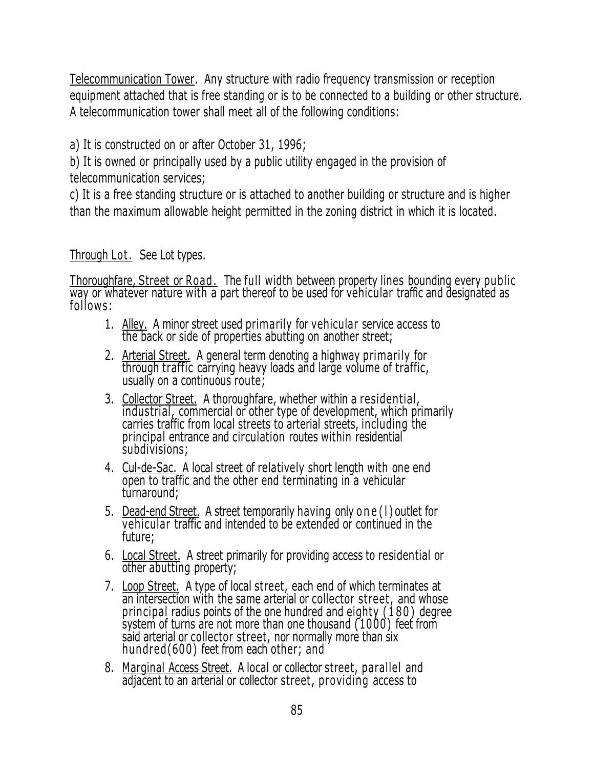Telecommunication Tower. Any structure with radio frequency transmission or reception equipment attached that is free standing or is to be connected to a building or other structure. A telecommunication tower shall meet all of the following conditions:

a) It is constructed on or after October 31, 1996;

b) It is owned or principally used by a public utility engaged in the provision of telecommunication services;

c) It is a free standing structure or is attached to another building or structure and is higher than the maximum allowable height permitted in the zoning district in which it is located.

# Through Lot. See Lot types.

Thoroughfare, Street or Road . The full width between property lines bounding every public way or whatever nature with a part thereof to be used for vehicular traffic and designated as follows:

- 1. Alley. A minor street used primarily for vehicular service access to the back or side of properties abutting on another street;
- 2. Arterial Street. A general term denoting a highway primarily for through traffic carrying heavy loads and large volume of traffic, usually on a continuous route;
- 3. Collector Street. A thoroughfare, whether within a residential, industrial, commercial or other type of development, which primarily carries traffic from local streets to arterial streets, including the principal entrance and circulation routes within residential subdivisions;
- 4. Cul-de-Sac. A local street of relatively short length with one end open to traffic and the other end terminating in a vehicular turnaround;
- 5. Dead-end Street. A street temporarily having only one (1) outlet for vehicular traffic and intended to be extended or continued in the future;
- 6. Local Street. A street primarily for providing access to residential or other abutting property;
- 7. Loop Street. A type of local street, each end of which terminates at an intersection with the same arterial or collector street, and whose principal radius points of the one hundred and eighty (180) degree system of turns are not more than one thousand (1000) feet from said arterial or collector street, nor normally more than six hundred(600) feet from each other; and
- 8. Marginal Access Street. A local or collector street, parallel and adjacent to an arterial or collector street, providing access to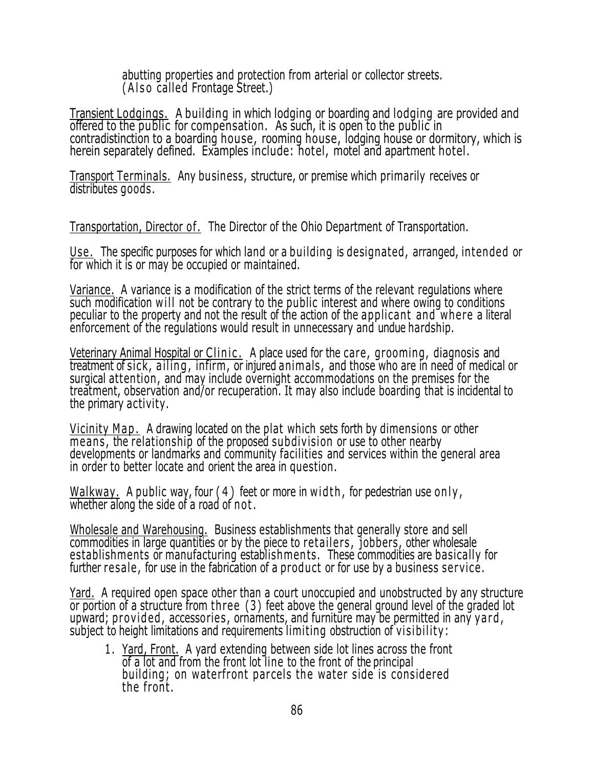abutting properties and protection from arterial or collector streets. (Also called Frontage Street.)

Transient Lodgings. A building in which lodging or boarding and lodging are provided and offered to the public for compensation. As such, it is open to the public in contradistinction to a boarding house, rooming house, lodging house or dormitory, which is herein separately defined. Examples include: hotel, motel and apartment hotel.

Transport Terminals. Any business, structure, or premise which primarily receives or distributes goods.

Transportation, Director of. The Director of the Ohio Department of Transportation.

Use . The specific purposes for which land or a building is designated, arranged, intended or for which it is or may be occupied or maintained.

Variance. A variance is a modification of the strict terms of the relevant regulations where such modification will not be contrary to the public interest and where owing to conditions peculiar to the property and not the result of the action of the applicant and where a literal enforcement of the regulations would result in unnecessary and undue hardship.

Veterinary Animal Hospital or Clinic. A place used for the care, grooming, diagnosis and treatment of sick, ailing, infirm, or injured animals, and those who are in need of medical or surgical attention, and may include overnight accommodations on the premises for the treatment, observation and/or recuperation. It may also include boarding that is incidental to the primary activity.

Vicinity Map. A drawing located on the plat which sets forth by dimensions or other means, the relationship of the proposed subdivision or use to other nearby developments or landmarks and community facilities and services within the general area in order to better locate and orient the area in question.

Walkway. A public way, four  $(4)$  feet or more in width, for pedestrian use only, whether along the side of a road of not.

Wholesale and Warehousing. Business establishments that generally store and sell commodities in large quantities or by the piece to retailers, jobbers, other wholesale establishments or manufacturing establishments. These commodities are basically for further resale, for use in the fabrication of a product or for use by a business service.

Yard. A required open space other than a court unoccupied and unobstructed by any structure or portion of a structure from th ree (3) feet above the general ground level of the graded lot upward; provided, accessories, ornaments, and furniture may be permitted in any yard, subject to height limitations and requirements limiting obstruction of visibility:

1 . Yard, Front. A yard extending between side lot lines across the front of a lot and from the front lot line to the front of the principal building; on waterfront parcels the water side is considered the front .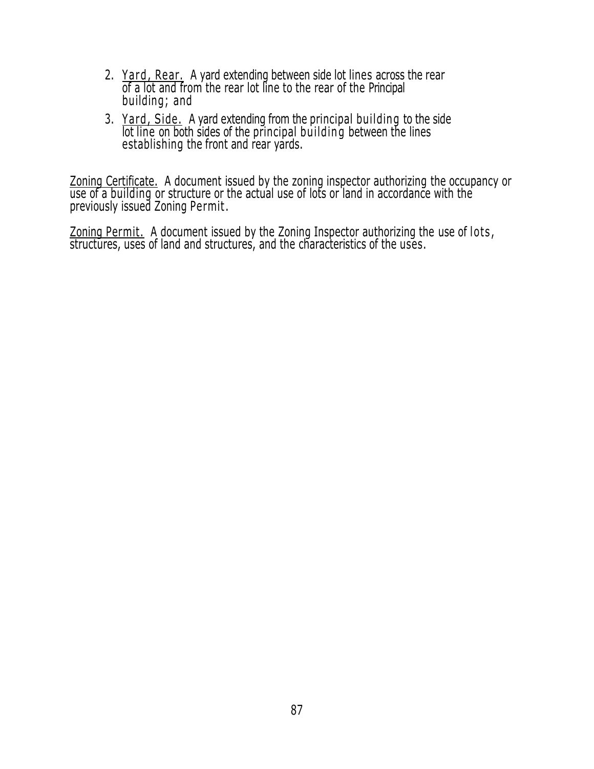- 2. Yard, Rear. A yard extending between side lot lines across the rear of a lot and from the rear lot line to the rear of the Principal building; and
- 3. Yard, Side. A yard extending from the principal building to the side lot line on both sides of the principal building between the lines establishing the front and rear yards.

Zoning Certificate. A document issued by the zoning inspector authorizing the occupancy or use of a building or structure or the actual use of lots or land in accordance with the previously issued Zoning Permit .

Zoning Permit. A document issued by the Zoning Inspector authorizing the use of lots, structures, uses of land and structures, and the characteristics of the uses.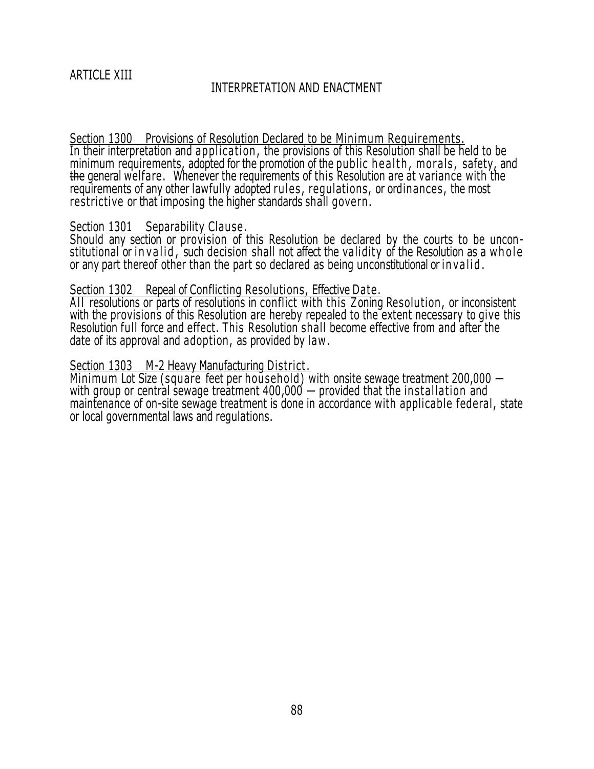## INTERPRETATION AND ENACTMENT

Section 1300 Provisions of Resolution Declared to be Minimum Requirements. In their interpretation and application , the provisions of this Resolution shall be held to be minimum requirements, adopted for the promotion of the public health, morals, safety, and the general welfare. Whenever the requirements of this Resolution are at variance with the requirements of any other lawfully adopted rules, regulations, or ordinances, the most restrictive or that imposing the higher standards shall govern .

### Section 1301 Separability Clause.

Should any section or provision of this Resolution be declared by the courts to be unconstitutional or in valid, such decision shall not affect the validity of the Resolution as a whole or any part thereof other than the part so declared as being unconstitutional or invalid.

#### Section 1302 Repeal of Conflicting Resolutions, Effective Date.

All resolutions or parts of resolutions in conflict with this Zoning Resolution, or inconsistent with the provisions of this Resolution are hereby repealed to the extent necessary to give this Resolution full force and effect. This Resolution shall become effective from and after the date of its approval and adoption, as provided by law.

## Section 1303 M-2 Heavy Manufacturing District.

Minimum Lot Size (square feet per hou sehold) with onsite sewage treatment 200,000 with group or central sewage treatment 400,000  $-$  provided that the installation and maintenance of on-site sewage treatment is done in accordance with applicable federal, state or local governmental laws and regulations.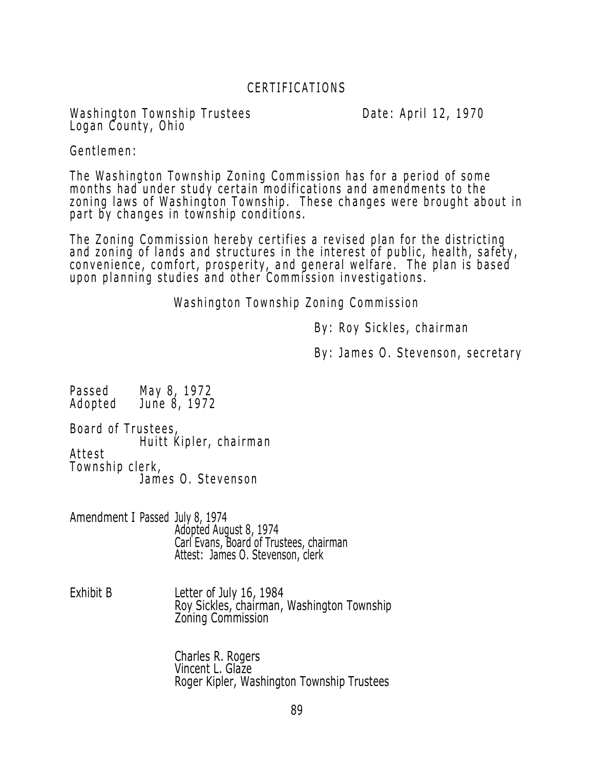# CERTIFICATIONS

Washington Township Trustees **Example 20** Date: April 12, 1970 Logan County, Ohio

Gentlemen:

The Washington Township Zoning Commission has for a period of some months had under study certain modifications and amendments to the zoning laws of Washington Township. These changes were brought about in part by changes in township conditions.

The Zoning Commission hereby certifies a revised plan for the districting and zoning of lands and structures in the interest of public, health, safety, convenience, comfort, prosperity, and general welfare. The plan is based upon planning studies and other Commission investigations.

Washington Township Zoning Commission

By: Roy Sickles, chairman

By: James O. Stevenson, secretary

Passed May 8, 1972<br>Adopted June 8, 1972 June 8, 1972

Board of Trustees, Huitt Kipler, chairman Attest Township clerk, James O. Stevenson

Amendment I Passed July 8, 1974 Adopted August 8, 1974 Carl Evans, Board of Trustees, chairman Attest: James O. Stevenson, clerk

Exhibit B Letter of July 16, 1984 Roy Sickles, chairman, Washington Township Zoning Commission

> Charles R. Rogers Vincent L. Glaze Roger Kipler, Washington Township Trustees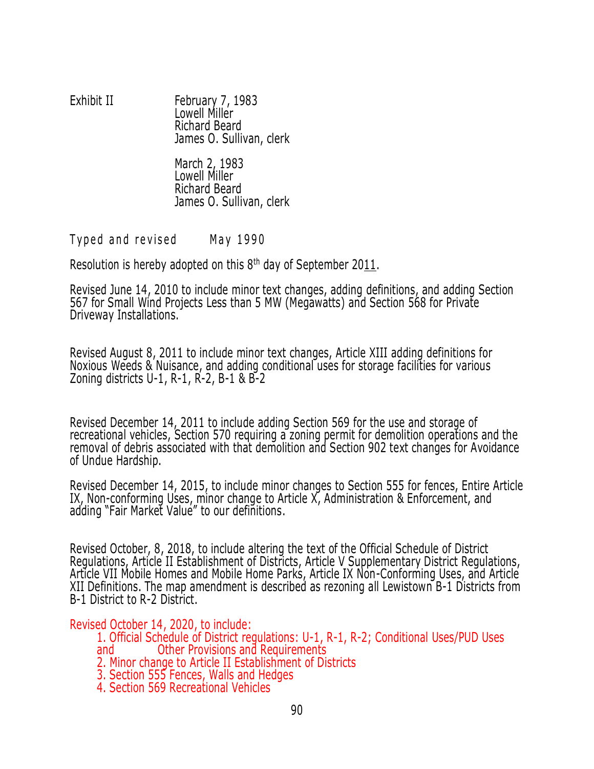### Exhibit II February 7, 1983 Lowell Miller Richard Beard James O. Sullivan, clerk

March 2, 1983 Lowell Miller Richard Beard James O. Sullivan, clerk

Typed and revised May 1990

Resolution is hereby adopted on this 8<sup>th</sup> day of September 2011.

Revised June 14, 2010 to include minor text changes, adding definitions, and adding Section 567 for Small Wind Projects Less than 5 MW (Megawatts) and Section 568 for Private Driveway Installations.

Revised August 8, 2011 to include minor text changes, Article XIII adding definitions for Noxious Weeds & Nuisance, and adding conditional uses for storage facilities for various Zoning districts U-1, R-1, R-2, B-1 & B-2

Revised December 14, 2011 to include adding Section 569 for the use and storage of recreational vehicles, Section 570 requiring a zoning permit for demolition operations and the removal of debris associated with that demolition and Section 902 text changes for Avoidance of Undue Hardship.

Revised December 14, 2015, to include minor changes to Section 555 for fences, Entire Article IX, Non-conforming Uses, minor change to Article X, Administration & Enforcement, and adding "Fair Market Value" to our definitions.

Revised October, 8, 2018, to include altering the text of the Official Schedule of District Regulations, Article II Establishment of Districts, Article V Supplementary District Regulations, Article VII Mobile Homes and Mobile Home Parks, Article IX Non-Conforming Uses, and Article XII Definitions. The map amendment is described as rezoning all Lewistown B-1 Districts from B-1 District to R-2 District.

## Revised October 14, 2020, to include:

1. Official Schedule of District regulations: U-1, R-1, R-2; Conditional Uses/PUD Uses and Other Provisions and Requirements

- 2. Minor change to Article II Establishment of Districts
- 3. Section 555 Fences, Walls and Hedges
- 4. Section 569 Recreational Vehicles